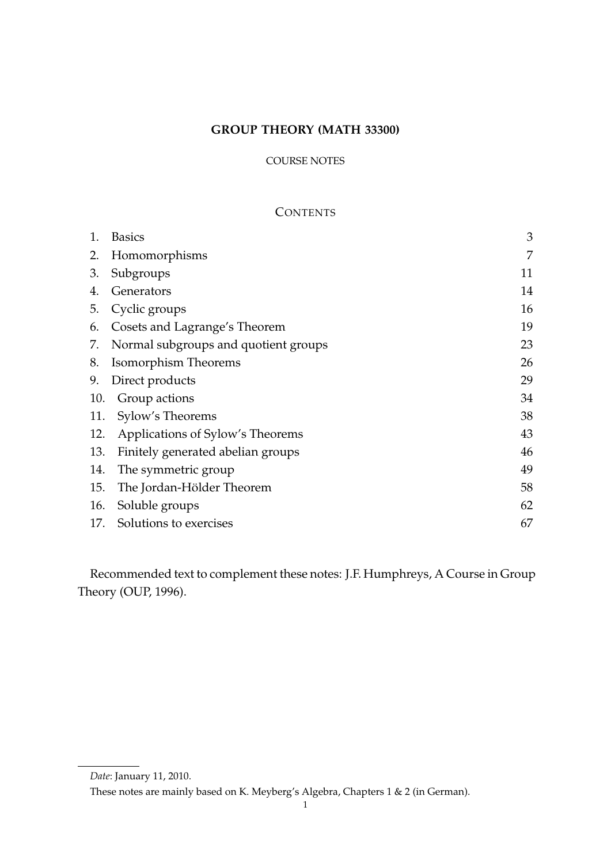# **GROUP THEORY (MATH 33300)**

# COURSE NOTES

# **CONTENTS**

| 1.  | <b>Basics</b>                        | 3  |
|-----|--------------------------------------|----|
| 2.  | Homomorphisms                        | 7  |
| 3.  | Subgroups                            | 11 |
| 4.  | Generators                           | 14 |
| 5.  | Cyclic groups                        | 16 |
| 6.  | Cosets and Lagrange's Theorem        | 19 |
| 7.  | Normal subgroups and quotient groups | 23 |
| 8.  | Isomorphism Theorems                 | 26 |
| 9.  | Direct products                      | 29 |
| 10. | Group actions                        | 34 |
| 11. | Sylow's Theorems                     | 38 |
| 12. | Applications of Sylow's Theorems     | 43 |
| 13. | Finitely generated abelian groups    | 46 |
| 14. | The symmetric group                  | 49 |
| 15. | The Jordan-Hölder Theorem            | 58 |
| 16. | Soluble groups                       | 62 |
| 17. | Solutions to exercises               | 67 |

Recommended text to complement these notes: J.F. Humphreys, A Course in Group Theory (OUP, 1996).

*Date*: January 11, 2010.

These notes are mainly based on K. Meyberg's Algebra, Chapters 1 & 2 (in German).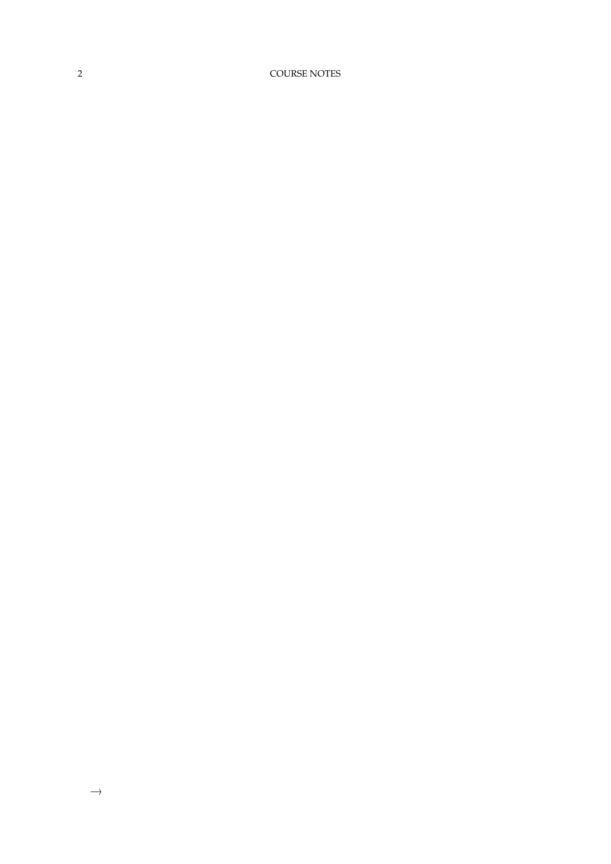2 COURSE NOTES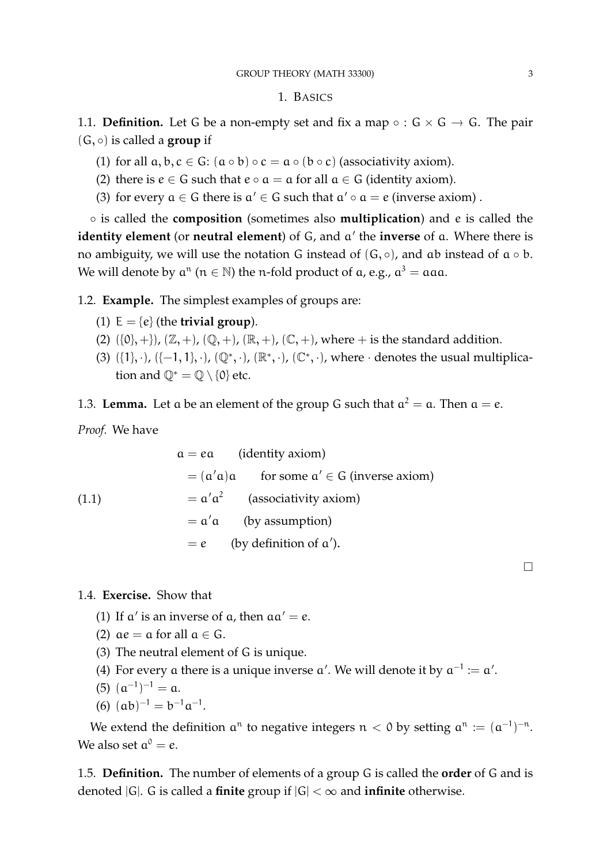# 1. BASICS

1.1. **Definition.** Let G be a non-empty set and fix a map  $\circ$  :  $G \times G \rightarrow G$ . The pair (G, ◦) is called a **group** if

- (1) for all  $a, b, c \in G$ :  $(a \circ b) \circ c = a \circ (b \circ c)$  (associativity axiom).
- (2) there is  $e \in G$  such that  $e \circ a = a$  for all  $a \in G$  (identity axiom).
- (3) for every  $a \in G$  there is  $a' \in G$  such that  $a' \circ a = e$  (inverse axiom).

◦ is called the **composition** (sometimes also **multiplication**) and e is called the identity element (or neutral element) of G, and  $a'$  the inverse of a. Where there is no ambiguity, we will use the notation G instead of  $(G, \circ)$ , and ab instead of  $\alpha \circ b$ . We will denote by  $a^n$   $(n \in \mathbb{N})$  the n-fold product of a, e.g.,  $a^3 = aaa$ .

1.2. **Example.** The simplest examples of groups are:

- (1)  $E = \{e\}$  (the **trivial group**).
- (2)  $({0}, +)$ ,  $({\mathbb{Z}}, +)$ ,  $({\mathbb{Q}}, +)$ ,  $({\mathbb{R}}, +)$ ,  $({\mathbb{C}}, +)$ , where  $+$  is the standard addition.
- (3)  $({1}, \cdot)$ ,  $({-1}, 1)$ ,  $\cdot$ ,  $({\mathbb{Q}}^*, \cdot)$ ,  $({\mathbb{R}}^*, \cdot)$ ,  $({\mathbb{C}}^*, \cdot)$ , where  $\cdot$  denotes the usual multiplication and  $\mathbb{Q}^* = \mathbb{Q} \setminus \{0\}$  etc.

1.3. **Lemma.** Let  $\alpha$  be an element of the group G such that  $\alpha^2 = \alpha$ . Then  $\alpha = e$ .

*Proof.* We have

(1.1)

\n
$$
a = ea \quad \text{(identity axiom)}
$$
\n
$$
= (a'a)a \quad \text{for some } a' \in G \text{ (inverse axiom)}
$$
\n
$$
= a'a^{2} \quad \text{(associativity axiom)}
$$
\n
$$
= a'a \quad \text{(by assumption)}
$$
\n
$$
= e \quad \text{(by definition of } a').
$$

1.4. **Exercise.** Show that

- (1) If  $a'$  is an inverse of  $a$ , then  $aa' = e$ .
- (2)  $\alpha e = \alpha$  for all  $\alpha \in G$ .
- (3) The neutral element of G is unique.
- (4) For every a there is a unique inverse  $\alpha'$ . We will denote it by  $\alpha^{-1} := \alpha'$ .
- (5)  $(a^{-1})^{-1} = a$ .
- (6)  $(ab)^{-1} = b^{-1}a^{-1}$ .

We extend the definition  $a^n$  to negative integers  $n < 0$  by setting  $a^n := (a^{-1})^{-n}$ . We also set  $a^0 = e$ .

1.5. **Definition.** The number of elements of a group G is called the **order** of G and is denoted  $|G|$ . G is called a **finite** group if  $|G| < \infty$  and **infinite** otherwise.

 $\Box$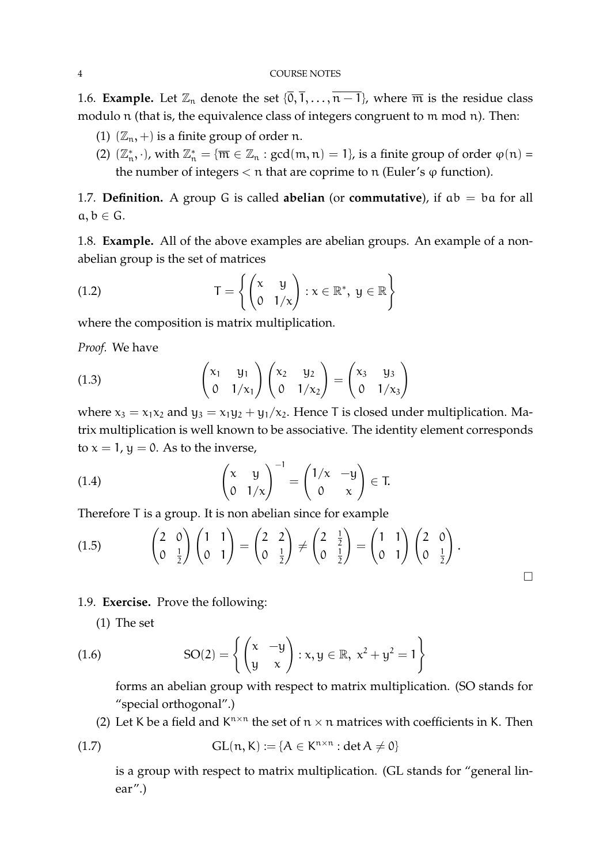1.6. **Example.** Let  $\mathbb{Z}_n$  denote the set  $\{\overline{0}, \overline{1}, \ldots, \overline{n-1}\}$ , where  $\overline{m}$  is the residue class modulo n (that is, the equivalence class of integers congruent to m mod n). Then:

- (1)  $(\mathbb{Z}_n, +)$  is a finite group of order n.
- (2)  $(\mathbb{Z}_n^*, \cdot)$ , with  $\mathbb{Z}_n^* = {\overline{m} \in \mathbb{Z}_n : \gcd(m, n) = 1}$ , is a finite group of order  $\varphi(n) =$ the number of integers  $<$  n that are coprime to n (Euler's  $\varphi$  function).

1.7. **Definition.** A group G is called **abelian** (or **commutative**), if ab = ba for all  $a, b \in G$ .

1.8. **Example.** All of the above examples are abelian groups. An example of a nonabelian group is the set of matrices

(1.2) 
$$
T = \left\{ \begin{pmatrix} x & y \\ 0 & 1/x \end{pmatrix} : x \in \mathbb{R}^*, y \in \mathbb{R} \right\}
$$

where the composition is matrix multiplication.

*Proof.* We have

(1.3) 
$$
\begin{pmatrix} x_1 & y_1 \ 0 & 1/x_1 \end{pmatrix} \begin{pmatrix} x_2 & y_2 \ 0 & 1/x_2 \end{pmatrix} = \begin{pmatrix} x_3 & y_3 \ 0 & 1/x_3 \end{pmatrix}
$$

where  $x_3 = x_1x_2$  and  $y_3 = x_1y_2 + y_1/x_2$ . Hence T is closed under multiplication. Matrix multiplication is well known to be associative. The identity element corresponds to  $x = 1$ ,  $y = 0$ . As to the inverse,

(1.4) 
$$
\begin{pmatrix} x & y \ 0 & 1/x \end{pmatrix}^{-1} = \begin{pmatrix} 1/x & -y \ 0 & x \end{pmatrix} \in T.
$$

Therefore T is a group. It is non abelian since for example

$$
(1.5) \qquad \begin{pmatrix} 2 & 0 \\ 0 & \frac{1}{2} \end{pmatrix} \begin{pmatrix} 1 & 1 \\ 0 & 1 \end{pmatrix} = \begin{pmatrix} 2 & 2 \\ 0 & \frac{1}{2} \end{pmatrix} \neq \begin{pmatrix} 2 & \frac{1}{2} \\ 0 & \frac{1}{2} \end{pmatrix} = \begin{pmatrix} 1 & 1 \\ 0 & 1 \end{pmatrix} \begin{pmatrix} 2 & 0 \\ 0 & \frac{1}{2} \end{pmatrix}.
$$

# 1.9. **Exercise.** Prove the following:

(1) The set

(1.6) 
$$
SO(2) = \left\{ \begin{pmatrix} x & -y \ y & x \end{pmatrix} : x, y \in \mathbb{R}, x^2 + y^2 = 1 \right\}
$$

forms an abelian group with respect to matrix multiplication. (SO stands for "special orthogonal".)

 $\Box$ 

(2) Let K be a field and  $K^{n \times n}$  the set of  $n \times n$  matrices with coefficients in K. Then

(1.7) 
$$
GL(n, K) := \{A \in K^{n \times n} : \det A \neq 0\}
$$

is a group with respect to matrix multiplication. (GL stands for "general linear".)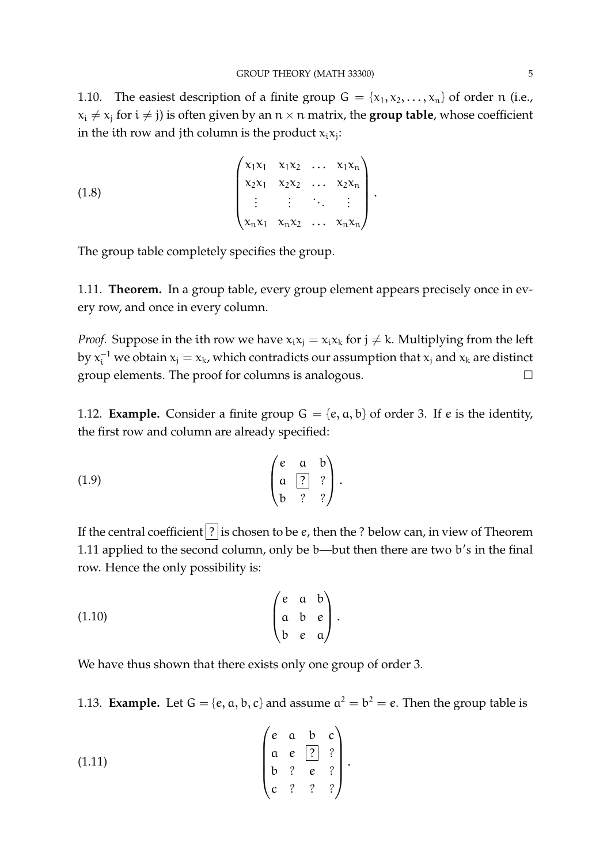1.10. The easiest description of a finite group  $G = \{x_1, x_2, \dots, x_n\}$  of order n (i.e.,  $x_i \neq x_j$  for  $i \neq j$ ) is often given by an  $n \times n$  matrix, the **group table**, whose coefficient in the ith row and jth column is the product  $x_ix_j$ :

.

(1.8) 
$$
\begin{pmatrix} x_1x_1 & x_1x_2 & \dots & x_1x_n \\ x_2x_1 & x_2x_2 & \dots & x_2x_n \\ \vdots & \vdots & \ddots & \vdots \\ x_nx_1 & x_nx_2 & \dots & x_nx_n \end{pmatrix}
$$

The group table completely specifies the group.

1.11. **Theorem.** In a group table, every group element appears precisely once in every row, and once in every column.

*Proof.* Suppose in the ith row we have  $x_i x_j = x_i x_k$  for  $j \neq k$ . Multiplying from the left by  $x_i^{-1}$  we obtain  $x_j = x_k$ , which contradicts our assumption that  $x_j$  and  $x_k$  are distinct group elements. The proof for columns is analogous.  $\Box$ 

1.12. **Example.** Consider a finite group  $G = \{e, a, b\}$  of order 3. If e is the identity, the first row and column are already specified:

$$
(1.9) \qquad \qquad \begin{pmatrix} e & a & b \\ a & 2 & ? \\ b & ? & ? \end{pmatrix}.
$$

If the central coefficient  $|$ ? is chosen to be  $e$ , then the ? below can, in view of Theorem 1.11 applied to the second column, only be b—but then there are two b's in the final row. Hence the only possibility is:

$$
(1.10) \qquad \qquad \begin{pmatrix} e & a & b \\ a & b & e \\ b & e & a \end{pmatrix}.
$$

We have thus shown that there exists only one group of order 3.

1.13. **Example.** Let  $G = \{e, a, b, c\}$  and assume  $a^2 = b^2 = e$ . Then the group table is

(1.11) 
$$
\begin{pmatrix} e & a & b & c \\ a & e & 2 & ? \\ b & ? & e & ? \\ c & ? & ? & ? \end{pmatrix}.
$$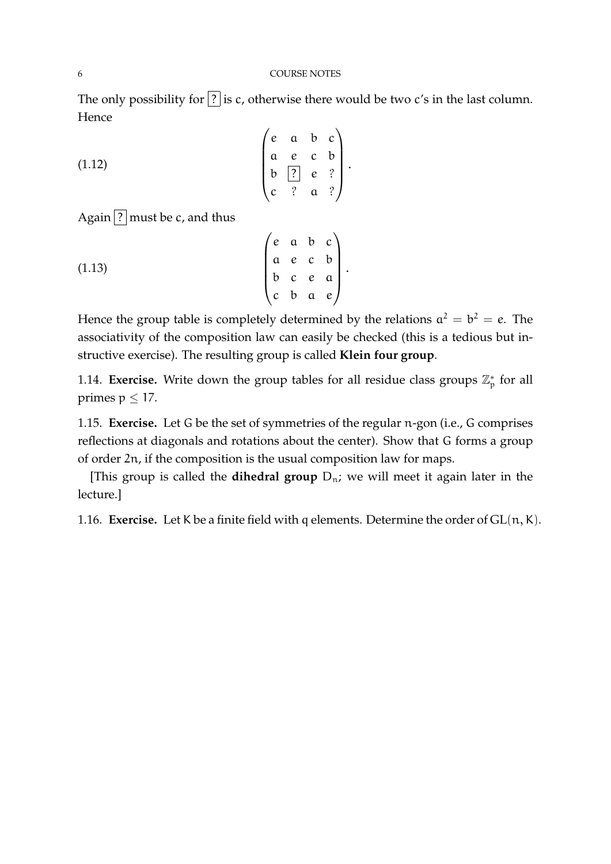The only possibility for  $\boxed{?}$  is c, otherwise there would be two c's in the last column. Hence

 $\overline{1}$ 

(1.12) 
$$
\begin{pmatrix} e & a & b & c \\ a & e & c & b \\ b & \boxed{?} & e & ? \\ c & ? & a & ? \end{pmatrix}.
$$

Again  $\lceil$ ? must be c, and thus

(1.13) 
$$
\begin{pmatrix} e & a & b & c \\ a & e & c & b \\ b & c & e & a \\ c & b & a & e \end{pmatrix}.
$$

Hence the group table is completely determined by the relations  $a^2 = b^2 = e$ . The associativity of the composition law can easily be checked (this is a tedious but instructive exercise). The resulting group is called **Klein four group**.

1.14. **Exercise.** Write down the group tables for all residue class groups  $\mathbb{Z}_p^*$  for all primes  $p \leq 17$ .

1.15. **Exercise.** Let G be the set of symmetries of the regular n-gon (i.e., G comprises reflections at diagonals and rotations about the center). Show that G forms a group of order 2n, if the composition is the usual composition law for maps.

[This group is called the **dihedral group**  $D_n$ ; we will meet it again later in the lecture.]

1.16. **Exercise.** Let K be a finite field with q elements. Determine the order of  $GL(n, K)$ .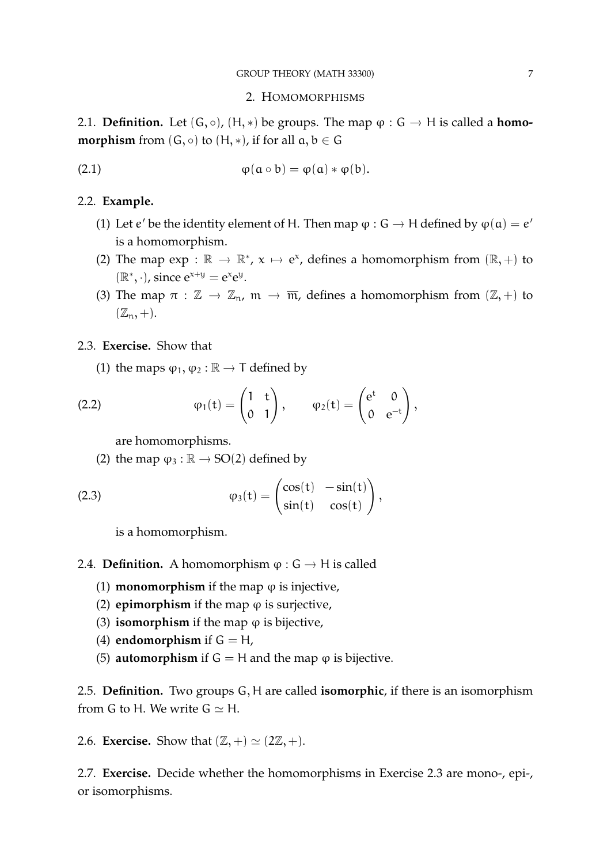## 2. HOMOMORPHISMS

2.1. **Definition.** Let  $(G, \circ)$ ,  $(H, *)$  be groups. The map  $\varphi : G \to H$  is called a **homomorphism** from  $(G, \circ)$  to  $(H, *)$ , if for all  $a, b \in G$ 

(2.1) 
$$
\varphi(\mathfrak{a} \circ \mathfrak{b}) = \varphi(\mathfrak{a}) * \varphi(\mathfrak{b}).
$$

## 2.2. **Example.**

- (1) Let  $e'$  be the identity element of H. Then map  $\varphi$  :  $G \to H$  defined by  $\varphi(\mathfrak{a}) = e'$ is a homomorphism.
- (2) The map  $\exp : \mathbb{R} \to \mathbb{R}^*, x \mapsto e^x$ , defines a homomorphism from  $(\mathbb{R}, +)$  to  $(\mathbb{R}^*, \cdot)$ , since  $e^{x+y} = e^x e^y$ .
- (3) The map  $\pi : \mathbb{Z} \to \mathbb{Z}_n$ ,  $\mathfrak{m} \to \overline{\mathfrak{m}}$ , defines a homomorphism from  $(\mathbb{Z}, +)$  to  $(\mathbb{Z}_n, +).$

# 2.3. **Exercise.** Show that

(1) the maps  $\varphi_1, \varphi_2 : \mathbb{R} \to \mathsf{T}$  defined by

(2.2) 
$$
\varphi_1(t) = \begin{pmatrix} 1 & t \\ 0 & 1 \end{pmatrix}, \qquad \varphi_2(t) = \begin{pmatrix} e^t & 0 \\ 0 & e^{-t} \end{pmatrix},
$$

are homomorphisms.

(2) the map  $\varphi_3 : \mathbb{R} \to SO(2)$  defined by

(2.3) 
$$
\varphi_3(t) = \begin{pmatrix} \cos(t) & -\sin(t) \\ \sin(t) & \cos(t) \end{pmatrix},
$$

is a homomorphism.

- 2.4. **Definition.** A homomorphism  $\varphi : G \to H$  is called
	- (1) **monomorphism** if the map  $\varphi$  is injective,
	- (2) **epimorphism** if the map  $\varphi$  is surjective,
	- (3) **isomorphism** if the map  $\varphi$  is bijective,
	- (4) **endomorphism** if  $G = H$ ,
	- (5) **automorphism** if  $G = H$  and the map  $\varphi$  is bijective.

2.5. **Definition.** Two groups G, H are called **isomorphic**, if there is an isomorphism from G to H. We write  $G \simeq H$ .

2.6. **Exercise.** Show that  $(\mathbb{Z}, +) \simeq (2\mathbb{Z}, +)$ .

2.7. **Exercise.** Decide whether the homomorphisms in Exercise 2.3 are mono-, epi-, or isomorphisms.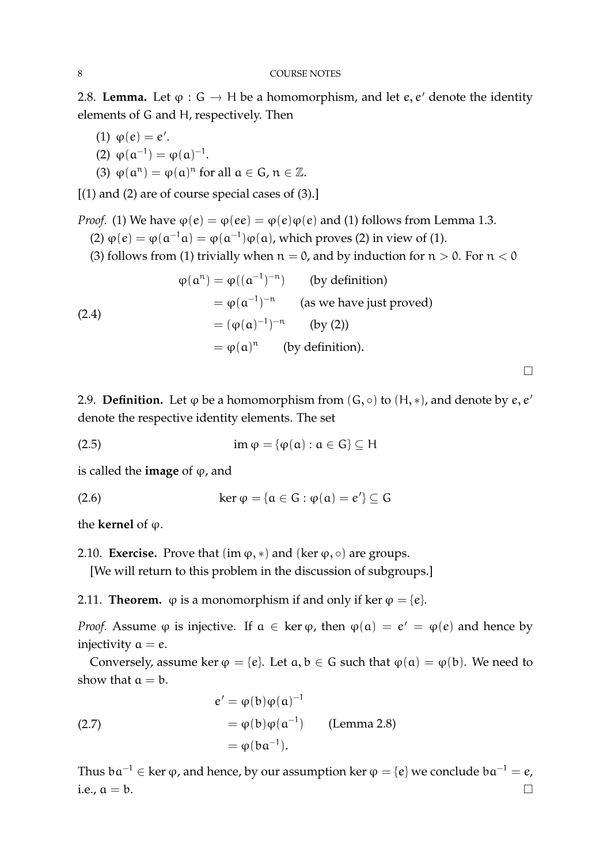2.8. **Lemma.** Let  $\varphi : G \to H$  be a homomorphism, and let e, e' denote the identity elements of G and H, respectively. Then

- (1)  $\varphi(e) = e'$ .
- (2)  $\varphi(\alpha^{-1}) = \varphi(\alpha)^{-1}$ .
- (3)  $\varphi(\mathfrak{a}^n) = \varphi(\mathfrak{a})^n$  for all  $\mathfrak{a} \in \mathbb{G}$ ,  $\mathfrak{n} \in \mathbb{Z}$ .

 $[$ (1) and (2) are of course special cases of (3).]

*Proof.* (1) We have  $\varphi(e) = \varphi(ee) = \varphi(e)\varphi(e)$  and (1) follows from Lemma 1.3.

(2)  $\varphi$ (e) =  $\varphi$ ( $\alpha^{-1}$  $\alpha$ ) =  $\varphi$ ( $\alpha^{-1}$ ) $\varphi$ ( $\alpha$ ), which proves (2) in view of (1).

(3) follows from (1) trivially when  $n = 0$ , and by induction for  $n > 0$ . For  $n < 0$ 

(2.4)  
\n
$$
\varphi(\mathfrak{a}^n) = \varphi((\mathfrak{a}^{-1})^{-n}) \qquad \text{(by definition)}
$$
\n
$$
= \varphi(\mathfrak{a}^{-1})^{-n} \qquad \text{(as we have just proved)}
$$
\n
$$
= (\varphi(\mathfrak{a})^{-1})^{-n} \qquad \text{(by (2))}
$$
\n
$$
= \varphi(\mathfrak{a})^n \qquad \text{(by definition)}.
$$

2.9. **Definition.** Let  $\varphi$  be a homomorphism from  $(G, \circ)$  to  $(H, *)$ , and denote by  $e, e'$ denote the respective identity elements. The set

 $\Box$ 

(2.5) 
$$
\operatorname{im} \varphi = \{ \varphi(\alpha) : \alpha \in G \} \subseteq H
$$

is called the **image** of  $\varphi$ , and

(2.6) ker  $\varphi = {\alpha \in G : \varphi(\alpha) = e'} \subseteq G$ 

the **kernel** of  $\varphi$ .

2.10. **Exercise.** Prove that  $(\text{im } \varphi, *)$  and  $(\text{ker } \varphi, \circ)$  are groups.

[We will return to this problem in the discussion of subgroups.]

2.11. **Theorem.**  $\varphi$  is a monomorphism if and only if ker  $\varphi = \{e\}$ .

*Proof.* Assume  $\varphi$  is injective. If  $\alpha \in \text{ker } \varphi$ , then  $\varphi(\alpha) = e' = \varphi(e)$  and hence by injectivity  $a = e$ .

Conversely, assume ker  $\varphi = \{e\}$ . Let  $a, b \in G$  such that  $\varphi(a) = \varphi(b)$ . We need to show that  $a = b$ .

(2.7)  
\n
$$
e' = \varphi(b)\varphi(a)^{-1}
$$
\n
$$
= \varphi(b)\varphi(a^{-1}) \qquad \text{(Lemma 2.8)}
$$
\n
$$
= \varphi(ba^{-1}).
$$

Thus  $ba^{-1} \in \text{ker } \varphi$ , and hence, by our assumption ker  $\varphi = \{e\}$  we conclude  $ba^{-1} = e$ , i.e.,  $a = b$ .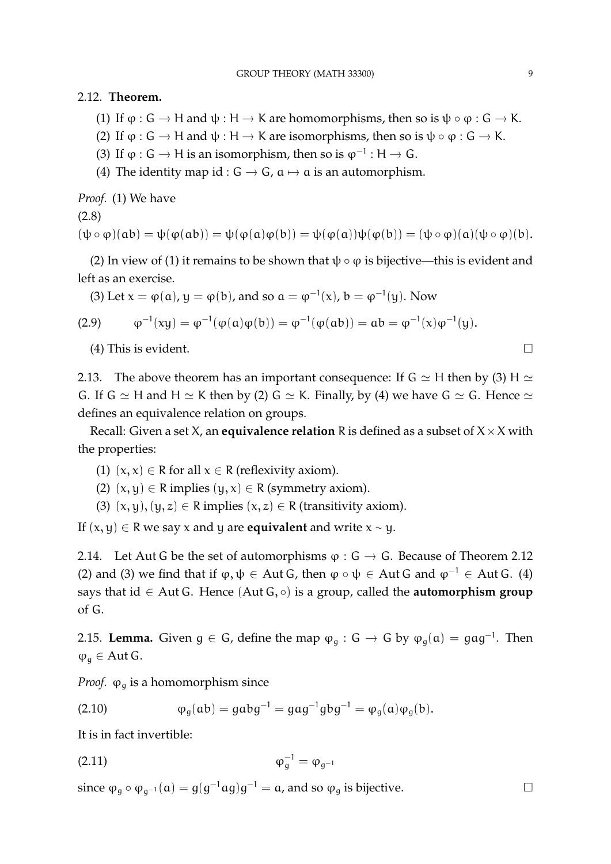2.12. **Theorem.**

- (1) If  $\varphi$ :  $G \to H$  and  $\psi : H \to K$  are homomorphisms, then so is  $\psi \circ \varphi : G \to K$ .
- (2) If  $\varphi$ : G  $\rightarrow$  H and  $\psi$ : H  $\rightarrow$  K are isomorphisms, then so is  $\psi \circ \varphi$ : G  $\rightarrow$  K.
- (3) If  $\varphi$  : G → H is an isomorphism, then so is  $\varphi^{-1}$  : H → G.
- (4) The identity map id :  $G \rightarrow G$ ,  $\alpha \mapsto \alpha$  is an automorphism.

*Proof.* (1) We have

(2.8)

 $(\psi \circ \varphi)(ab) = \psi(\varphi(ab)) = \psi(\varphi(a)\varphi(b)) = \psi(\varphi(a))\psi(\varphi(b)) = (\psi \circ \varphi)(a)(\psi \circ \varphi)(b).$ 

(2) In view of (1) it remains to be shown that  $\psi \circ \varphi$  is bijective—this is evident and left as an exercise.

(3) Let 
$$
x = \varphi(a)
$$
,  $y = \varphi(b)$ , and so  $a = \varphi^{-1}(x)$ ,  $b = \varphi^{-1}(y)$ . Now

(2.9) 
$$
\varphi^{-1}(xy) = \varphi^{-1}(\varphi(a)\varphi(b)) = \varphi^{-1}(\varphi(ab)) = ab = \varphi^{-1}(x)\varphi^{-1}(y).
$$

(4) This is evident.

2.13. The above theorem has an important consequence: If  $G \simeq H$  then by (3) H  $\simeq$ G. If G  $\simeq$  H and H  $\simeq$  K then by (2) G  $\simeq$  K. Finally, by (4) we have G  $\simeq$  G. Hence  $\simeq$ defines an equivalence relation on groups.

Recall: Given a set  $X$ , an **equivalence relation** R is defined as a subset of  $X \times X$  with the properties:

- (1)  $(x, x) \in R$  for all  $x \in R$  (reflexivity axiom).
- (2)  $(x, y) \in R$  implies  $(y, x) \in R$  (symmetry axiom).
- (3)  $(x, y), (y, z) \in R$  implies  $(x, z) \in R$  (transitivity axiom).

If  $(x, y) \in R$  we say x and y are **equivalent** and write  $x \sim y$ .

2.14. Let Aut G be the set of automorphisms  $\varphi : G \to G$ . Because of Theorem 2.12 (2) and (3) we find that if  $\varphi, \psi \in$  Aut G, then  $\varphi \circ \psi \in$  Aut G and  $\varphi^{-1} \in$  Aut G. (4) says that id ∈ Aut G. Hence (Aut G, ◦) is a group, called the **automorphism group** of G.

2.15. **Lemma.** Given  $g \in G$ , define the map  $\varphi_g$  :  $G \to G$  by  $\varphi_g(\mathfrak{a}) = g \mathfrak{a} g^{-1}$ . Then  $\varphi_{\alpha} \in$  Aut G.

*Proof.*  $\varphi_{\alpha}$  is a homomorphism since

(2.10) 
$$
\varphi_g(ab) = gabg^{-1} = gag^{-1}gbg^{-1} = \varphi_g(a)\varphi_g(b).
$$

It is in fact invertible:

(2.11) 
$$
\varphi_g^{-1} = \varphi_{g^{-1}}
$$

since  $\varphi_g \circ \varphi_{g^{-1}}(\mathfrak{a}) = g(g^{-1} \mathfrak{a} g) g^{-1} = \mathfrak{a}$ , and so  $\varphi_g$  is bijective.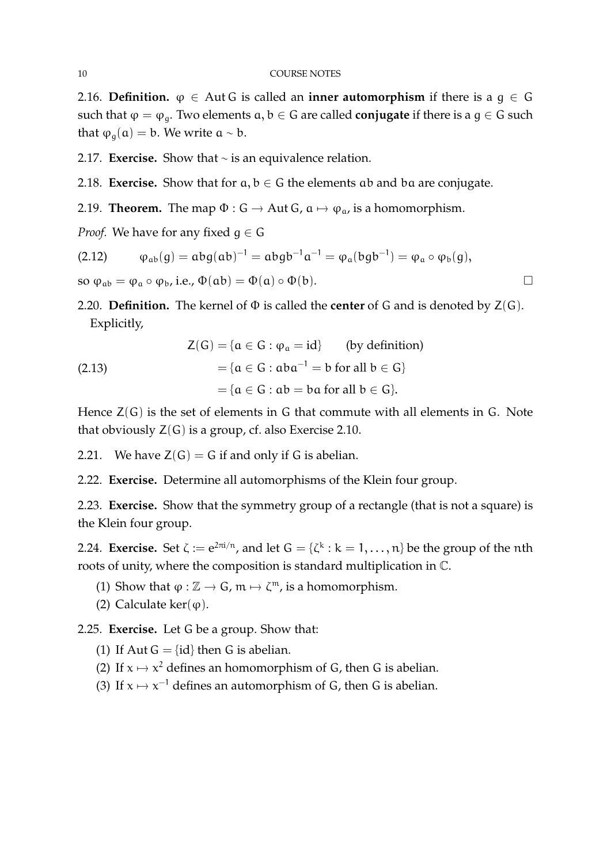2.16. **Definition.**  $\varphi \in$  Aut G is called an **inner automorphism** if there is a  $g \in G$ such that  $\varphi = \varphi_q$ . Two elements  $a, b \in G$  are called **conjugate** if there is a  $g \in G$  such that  $\varphi_{q}(\mathfrak{a}) = \mathfrak{b}$ . We write  $\mathfrak{a} \sim \mathfrak{b}$ .

2.17. **Exercise.** Show that ∼ is an equivalence relation.

2.18. **Exercise.** Show that for  $a, b \in G$  the elements ab and ba are conjugate.

2.19. **Theorem.** The map  $\Phi$  :  $G \rightarrow Aut G$ ,  $\alpha \mapsto \varphi_{\alpha}$ , is a homomorphism.

*Proof.* We have for any fixed  $q \in G$ 

$$
(2.12) \qquad \phi_{ab}(g) = abg(ab)^{-1} = abgb^{-1}a^{-1} = \phi_a(bgb^{-1}) = \phi_a \circ \phi_b(g),
$$

so  $\varphi_{ab} = \varphi_a \circ \varphi_b$ , i.e.,  $\Phi(ab) = \Phi(a) \circ \Phi(b)$ .

2.20. **Definition.** The kernel of Φ is called the **center** of G and is denoted by Z(G). Explicitly,

(2.13)  
\n
$$
Z(G) = \{a \in G : \phi_a = id\} \qquad \text{(by definition)}
$$
\n
$$
= \{a \in G : aba^{-1} = b \text{ for all } b \in G\}
$$
\n
$$
= \{a \in G : ab = ba \text{ for all } b \in G\}.
$$

Hence  $Z(G)$  is the set of elements in G that commute with all elements in G. Note that obviously  $Z(G)$  is a group, cf. also Exercise 2.10.

2.21. We have  $Z(G) = G$  if and only if G is abelian.

2.22. **Exercise.** Determine all automorphisms of the Klein four group.

2.23. **Exercise.** Show that the symmetry group of a rectangle (that is not a square) is the Klein four group.

2.24. **Exercise.** Set  $\zeta := e^{2\pi i/n}$ , and let  $G = {\zeta^k : k = 1, ..., n}$  be the group of the nth roots of unity, where the composition is standard multiplication in C.

- (1) Show that  $\varphi : \mathbb{Z} \to \mathsf{G}$ ,  $\mathfrak{m} \mapsto \zeta^{\mathfrak{m}}$ , is a homomorphism.
- (2) Calculate ker( $\varphi$ ).

2.25. **Exercise.** Let G be a group. Show that:

(1) If Aut  $G = \{id\}$  then G is abelian.

- (2) If  $x \mapsto x^2$  defines an homomorphism of G, then G is abelian.
- (3) If  $x \mapsto x^{-1}$  defines an automorphism of G, then G is abelian.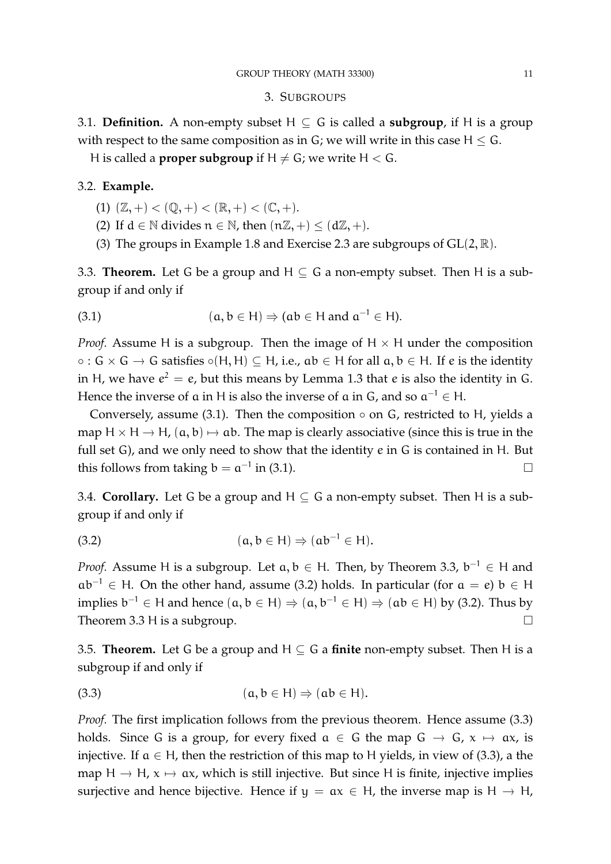### 3. SUBGROUPS

3.1. **Definition.** A non-empty subset  $H \subseteq G$  is called a **subgroup**, if H is a group with respect to the same composition as in  $G$ ; we will write in this case  $H \leq G$ .

H is called a **proper subgroup** if  $H \neq G$ ; we write  $H < G$ .

# 3.2. **Example.**

- (1)  $(\mathbb{Z}, +) < (\mathbb{Q}, +) < (\mathbb{R}, +) < (\mathbb{C}, +).$
- (2) If  $d \in \mathbb{N}$  divides  $n \in \mathbb{N}$ , then  $(n\mathbb{Z}, +) \leq (d\mathbb{Z}, +)$ .
- (3) The groups in Example 1.8 and Exercise 2.3 are subgroups of  $GL(2, \mathbb{R})$ .

3.3. **Theorem.** Let G be a group and  $H \subseteq G$  a non-empty subset. Then H is a subgroup if and only if

(3.1) 
$$
(a, b \in H) \Rightarrow (ab \in H \text{ and } a^{-1} \in H).
$$

*Proof.* Assume H is a subgroup. Then the image of  $H \times H$  under the composition  $\circ$  :  $G \times G \rightarrow G$  satisfies  $\circ(H, H) \subseteq H$ , i.e.,  $ab \in H$  for all  $a, b \in H$ . If e is the identity in H, we have  $e^2 = e$ , but this means by Lemma 1.3 that e is also the identity in G. Hence the inverse of  $a$  in H is also the inverse of  $a$  in  $G$ , and so  $a^{-1} \in H$ .

Conversely, assume (3.1). Then the composition  $\circ$  on G, restricted to H, yields a map H  $\times$  H  $\rightarrow$  H,  $(a, b) \mapsto ab$ . The map is clearly associative (since this is true in the full set G), and we only need to show that the identity e in G is contained in H. But this follows from taking  $b = a^{-1}$  in (3.1).

3.4. **Corollary.** Let G be a group and  $H \subseteq G$  a non-empty subset. Then H is a subgroup if and only if

(3.2) 
$$
(\mathbf{a}, \mathbf{b} \in \mathsf{H}) \Rightarrow (\mathbf{a}\mathbf{b}^{-1} \in \mathsf{H}).
$$

*Proof.* Assume H is a subgroup. Let  $a, b \in H$ . Then, by Theorem 3.3,  $b^{-1} \in H$  and  $ab^{-1} \in H$ . On the other hand, assume (3.2) holds. In particular (for  $a = e$ )  $b \in H$ implies  $b^{-1} \in H$  and hence  $(a, b \in H) \Rightarrow (a, b^{-1} \in H) \Rightarrow (ab \in H)$  by (3.2). Thus by Theorem 3.3 H is a subgroup.

3.5. **Theorem.** Let G be a group and  $H \subseteq G$  a **finite** non-empty subset. Then H is a subgroup if and only if

$$
(3.3) \qquad (a, b \in H) \Rightarrow (ab \in H).
$$

*Proof.* The first implication follows from the previous theorem. Hence assume  $(3.3)$ holds. Since G is a group, for every fixed  $a \in G$  the map  $G \rightarrow G$ ,  $x \mapsto ax$ , is injective. If  $a \in H$ , then the restriction of this map to H yields, in view of (3.3), a the map H  $\rightarrow$  H,  $x \mapsto ax$ , which is still injective. But since H is finite, injective implies surjective and hence bijective. Hence if  $y = ax \in H$ , the inverse map is  $H \to H$ ,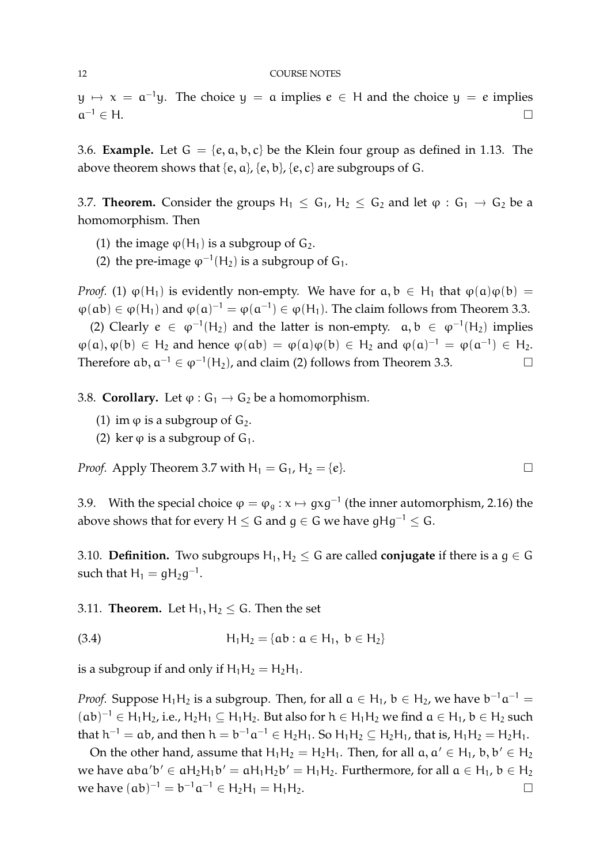$y \mapsto x = a^{-1}y$ . The choice  $y = a$  implies  $e \in H$  and the choice  $y = e$  implies  $a^{-1} \in H$ .  $^{-1} \in H$ .

3.6. **Example.** Let  $G = \{e, a, b, c\}$  be the Klein four group as defined in 1.13. The above theorem shows that  $\{e, a\}$ ,  $\{e, b\}$ ,  $\{e, c\}$  are subgroups of G.

3.7. **Theorem.** Consider the groups  $H_1 \leq G_1$ ,  $H_2 \leq G_2$  and let  $\varphi : G_1 \to G_2$  be a homomorphism. Then

- (1) the image  $\varphi(H_1)$  is a subgroup of  $G_2$ .
- (2) the pre-image  $\varphi^{-1}(H_2)$  is a subgroup of  $G_1$ .

*Proof.* (1)  $\varphi(H_1)$  is evidently non-empty. We have for  $a, b \in H_1$  that  $\varphi(a)\varphi(b) =$  $\varphi(ab) \in \varphi(H_1)$  and  $\varphi(a)^{-1} = \varphi(a^{-1}) \in \varphi(H_1)$ . The claim follows from Theorem 3.3.

(2) Clearly  $e \in \varphi^{-1}(H_2)$  and the latter is non-empty.  $\alpha, b \in \varphi^{-1}(H_2)$  implies  $\varphi(a), \varphi(b) \in H_2$  and hence  $\varphi(ab) = \varphi(a)\varphi(b) \in H_2$  and  $\varphi(a)^{-1} = \varphi(a^{-1}) \in H_2$ . Therefore  $ab, a^{-1} \in \varphi^{-1}(H_2)$ , and claim (2) follows from Theorem 3.3.

3.8. **Corollary.** Let  $\varphi$  :  $G_1 \rightarrow G_2$  be a homomorphism.

- (1) im  $\varphi$  is a subgroup of  $G_2$ .
- (2) ker  $\varphi$  is a subgroup of  $G_1$ .

*Proof.* Apply Theorem 3.7 with  $H_1 = G_1$ ,  $H_2 = \{e\}$ .

3.9. With the special choice  $\varphi = \varphi_g : x \mapsto gxg^{-1}$  (the inner automorphism, 2.16) the above shows that for every H  $\le$  G and  $q \in G$  we have  $qHa^{-1} \leq G$ .

3.10. **Definition.** Two subgroups  $H_1, H_2 \leq G$  are called **conjugate** if there is a  $g \in G$ such that  $H_1 = gH_2g^{-1}$ .

3.11. **Theorem.** Let  $H_1, H_2 \leq G$ . Then the set

(3.4) 
$$
H_1H_2 = \{ab : a \in H_1, b \in H_2\}
$$

is a subgroup if and only if  $H_1H_2 = H_2H_1$ .

*Proof.* Suppose  $H_1H_2$  is a subgroup. Then, for all  $a \in H_1$ ,  $b \in H_2$ , we have  $b^{-1}a^{-1} =$  $(ab)^{-1} \in H_1H_2$ , i.e.,  $H_2H_1 \subseteq H_1H_2$ . But also for  $h \in H_1H_2$  we find  $a \in H_1$ ,  $b \in H_2$  such that  $h^{-1} = ab$ , and then  $h = b^{-1}a^{-1} \in H_2H_1$ . So  $H_1H_2 \subseteq H_2H_1$ , that is,  $H_1H_2 = H_2H_1$ .

On the other hand, assume that  $H_1H_2 = H_2H_1$ . Then, for all  $a, a' \in H_1$ ,  $b, b' \in H_2$ we have  $aba'b' \in aH_2H_1b' = aH_1H_2b' = H_1H_2$ . Furthermore, for all  $a \in H_1$ ,  $b \in H_2$ we have  $(ab)^{-1} = b^{-1}a^{-1} \in H_2H_1 = H_1H_2$ . □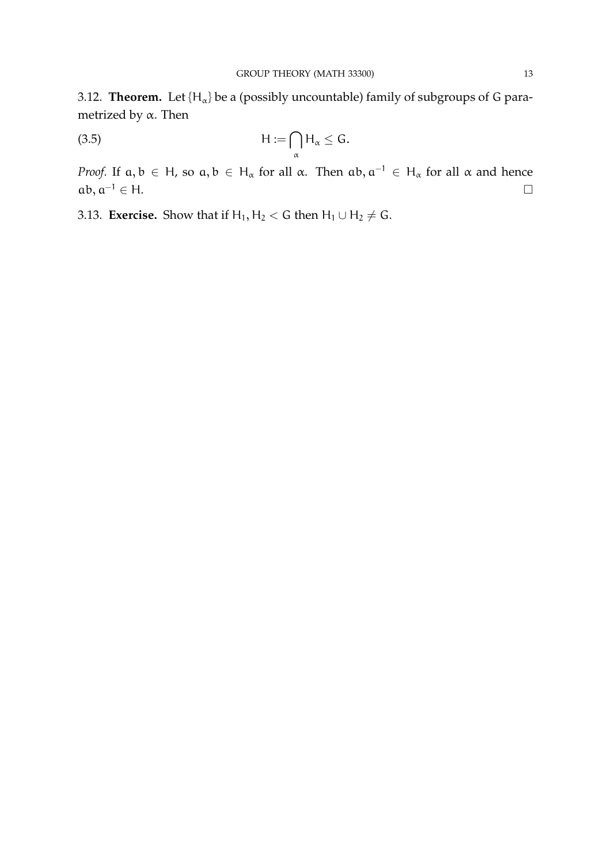3.12. **Theorem.** Let  $\{H_{\alpha}\}$  be a (possibly uncountable) family of subgroups of G parametrized by α. Then

$$
(3.5) \t\t\t H := \bigcap_{\alpha} H_{\alpha} \leq G.
$$

*Proof.* If  $a, b \in H$ , so  $a, b \in H_\alpha$  for all  $\alpha$ . Then  $ab, a^{-1} \in H_\alpha$  for all  $\alpha$  and hence  $ab, a^{-1} \in H$ .

3.13. **Exercise.** Show that if  $H_1, H_2 < G$  then  $H_1 \cup H_2 \neq G$ .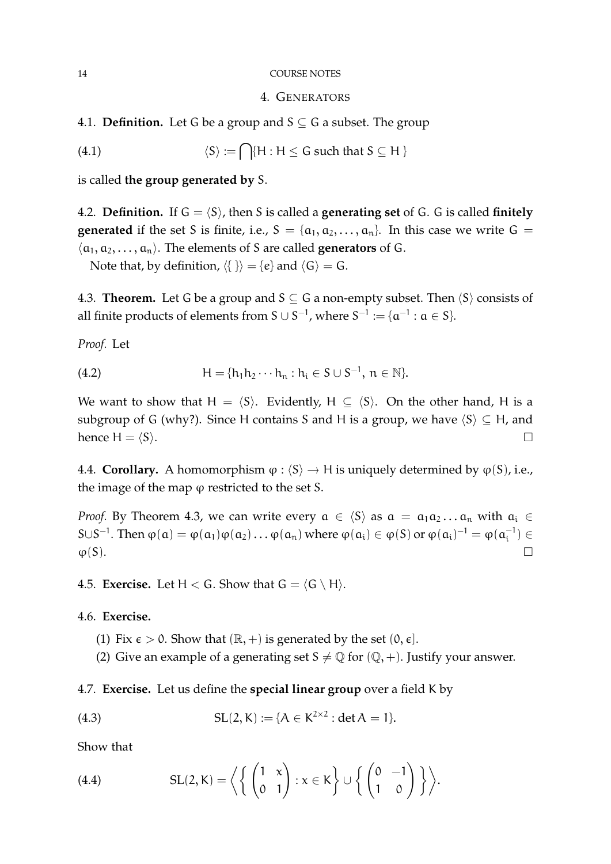#### 14 COURSE NOTES

## 4. GENERATORS

4.1. **Definition.** Let G be a group and  $S \subseteq G$  a subset. The group

(4.1) 
$$
\langle S \rangle := \bigcap \{ H : H \leq G \text{ such that } S \subseteq H \}
$$

is called **the group generated by** S.

4.2. **Definition.** If  $G = \langle S \rangle$ , then S is called a **generating set** of G. G is called **finitely generated** if the set S is finite, i.e.,  $S = \{a_1, a_2, \ldots, a_n\}$ . In this case we write  $G =$  $\langle \alpha_1, \alpha_2, \ldots, \alpha_n \rangle$ . The elements of S are called **generators** of G.

Note that, by definition,  $\langle \{\} \rangle = \{e\}$  and  $\langle G \rangle = G$ .

4.3. **Theorem.** Let G be a group and  $S \subseteq G$  a non-empty subset. Then  $\langle S \rangle$  consists of all finite products of elements from S  $\cup$  S<sup>-1</sup>, where S<sup>-1</sup> := { $\mathfrak{a}^{-1}$  :  $\mathfrak{a} \in \mathcal{S}$ }.

*Proof.* Let

(4.2) 
$$
H = \{h_1 h_2 \cdots h_n : h_i \in S \cup S^{-1}, n \in \mathbb{N}\}.
$$

We want to show that  $H = \langle S \rangle$ . Evidently,  $H \subseteq \langle S \rangle$ . On the other hand, H is a subgroup of G (why?). Since H contains S and H is a group, we have  $\langle S \rangle \subseteq H$ , and hence  $H = \langle S \rangle$ .

4.4. **Corollary.** A homomorphism  $\varphi$  :  $\langle S \rangle \rightarrow H$  is uniquely determined by  $\varphi$ (S), i.e., the image of the map  $\varphi$  restricted to the set S.

*Proof.* By Theorem 4.3, we can write every  $a \in \langle S \rangle$  as  $a = a_1 a_2 ... a_n$  with  $a_i \in$ S∪S<sup>-1</sup>. Then  $\varphi(\mathfrak{a}) = \varphi(\mathfrak{a}_1)\varphi(\mathfrak{a}_2) \dots \varphi(\mathfrak{a}_n)$  where  $\varphi(\mathfrak{a}_i) \in \varphi(S)$  or  $\varphi(\mathfrak{a}_i)^{-1} = \varphi(\mathfrak{a}_i^{-1})$  $\binom{-1}{i} \in$  $\varphi(S)$ .

4.5. **Exercise.** Let  $H < G$ . Show that  $G = \langle G \setminus H \rangle$ .

4.6. **Exercise.**

- (1) Fix  $\epsilon > 0$ . Show that  $(\mathbb{R}, +)$  is generated by the set  $(0, \epsilon]$ .
- (2) Give an example of a generating set  $S \neq \mathbb{Q}$  for  $(\mathbb{Q}, +)$ . Justify your answer.

4.7. **Exercise.** Let us define the **special linear group** over a field K by

(4.3) 
$$
SL(2, K) := \{A \in K^{2 \times 2} : \det A = 1\}.
$$

Show that

(4.4) 
$$
SL(2, K) = \left\langle \left\{ \begin{pmatrix} 1 & x \\ 0 & 1 \end{pmatrix} : x \in K \right\} \cup \left\{ \begin{pmatrix} 0 & -1 \\ 1 & 0 \end{pmatrix} \right\} \right\rangle.
$$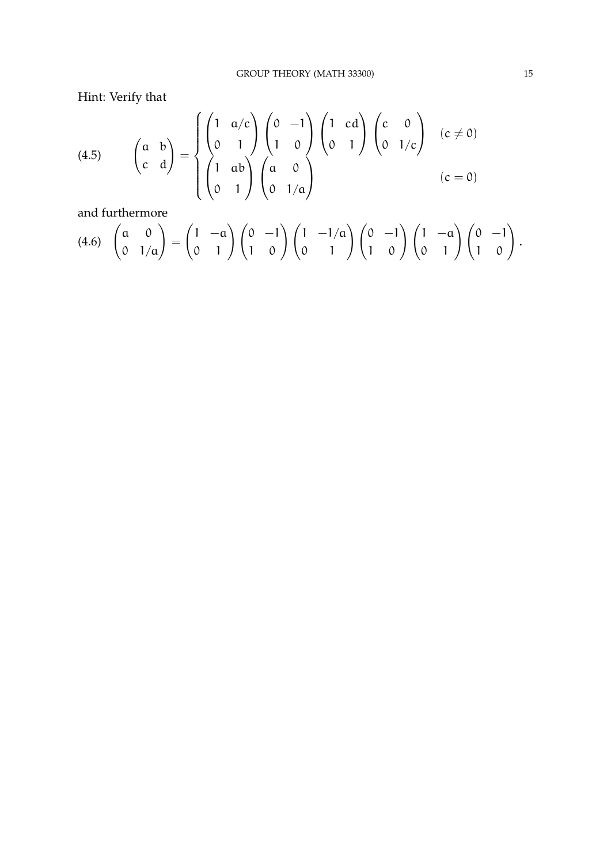Hint: Verify that

(4.5) 
$$
\begin{pmatrix} a & b \ c & d \end{pmatrix} = \begin{cases} \begin{pmatrix} 1 & a/c \ 0 & 1 \end{pmatrix} \begin{pmatrix} 0 & -1 \ 1 & 0 \end{pmatrix} \begin{pmatrix} 1 & cd \ 0 & 1 \end{pmatrix} \begin{pmatrix} c & 0 \ 0 & 1/c \end{pmatrix} \quad (c \neq 0) \\ \begin{pmatrix} 1 & ab \ 0 & 1 \end{pmatrix} \begin{pmatrix} a & 0 \ 0 & 1/a \end{pmatrix} \quad (c = 0)
$$

and furthermore

$$
(4.6)\quad \begin{pmatrix} a & 0 \ 0 & 1/a \end{pmatrix} = \begin{pmatrix} 1 & -a \ 0 & 1 \end{pmatrix} \begin{pmatrix} 0 & -1 \ 1 & 0 \end{pmatrix} \begin{pmatrix} 1 & -1/a \ 0 & 1 \end{pmatrix} \begin{pmatrix} 0 & -1 \ 1 & 0 \end{pmatrix} \begin{pmatrix} 1 & -a \ 0 & 1 \end{pmatrix} \begin{pmatrix} 0 & -1 \ 1 & 0 \end{pmatrix}.
$$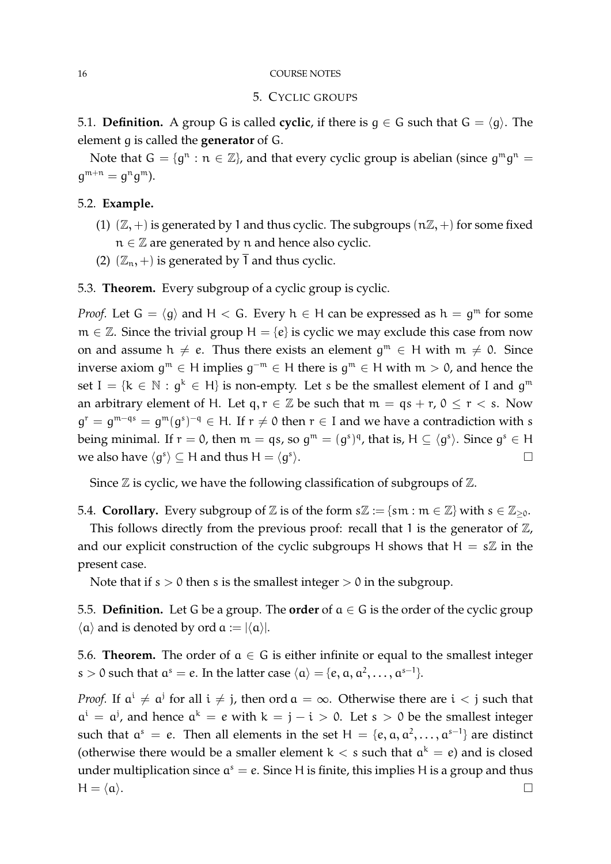#### 16 COURSE NOTES

## 5. CYCLIC GROUPS

5.1. **Definition.** A group G is called **cyclic**, if there is  $g \in G$  such that  $G = \langle g \rangle$ . The element g is called the **generator** of G.

Note that  $G = \{g^n : n \in \mathbb{Z}\}$ , and that every cyclic group is abelian (since  $g^m g^n =$  $g^{m+n} = g^n g^m$ ).

# 5.2. **Example.**

- (1)  $(\mathbb{Z}, +)$  is generated by 1 and thus cyclic. The subgroups  $(n\mathbb{Z}, +)$  for some fixed  $n \in \mathbb{Z}$  are generated by n and hence also cyclic.
- (2)  $(\mathbb{Z}_n, +)$  is generated by  $\overline{1}$  and thus cyclic.

5.3. **Theorem.** Every subgroup of a cyclic group is cyclic.

*Proof.* Let  $G = \langle g \rangle$  and  $H < G$ . Every  $h \in H$  can be expressed as  $h = g^m$  for some  $m \in \mathbb{Z}$ . Since the trivial group  $H = \{e\}$  is cyclic we may exclude this case from now on and assume  $h \neq e$ . Thus there exists an element  $g^m \in H$  with  $m \neq 0$ . Since inverse axiom  $g^m \in H$  implies  $g^{-m} \in H$  there is  $g^m \in H$  with  $m > 0$ , and hence the set  $I = \{k \in \mathbb{N} : g^k \in H\}$  is non-empty. Let s be the smallest element of I and  $g^m$ an arbitrary element of H. Let  $q, r \in \mathbb{Z}$  be such that  $m = qs + r, 0 \le r < s$ . Now  $g^{r} = g^{m-qs} = g^{m}(g^{s})^{-q} \in H$ . If  $r \neq 0$  then  $r \in I$  and we have a contradiction with s being minimal. If  $r = 0$ , then  $m = qs$ , so  $g^m = (g^s)^q$ , that is,  $H \subseteq \langle g^s \rangle$ . Since  $g^s \in H$ we also have  $\langle g^s \rangle \subseteq H$  and thus  $H = \langle g^s \rangle$ ).  $\Box$ 

Since  $\mathbb Z$  is cyclic, we have the following classification of subgroups of  $\mathbb Z$ .

5.4. **Corollary.** Every subgroup of Z is of the form  $s\mathbb{Z} := \{sm : m \in \mathbb{Z}\}\$  with  $s \in \mathbb{Z}_{\geq 0}$ .

This follows directly from the previous proof: recall that 1 is the generator of  $\mathbb{Z}$ , and our explicit construction of the cyclic subgroups H shows that  $H = s\mathbb{Z}$  in the present case.

Note that if  $s > 0$  then s is the smallest integer  $> 0$  in the subgroup.

5.5. **Definition.** Let G be a group. The **order** of a ∈ G is the order of the cyclic group  $\langle \alpha \rangle$  and is denoted by ord  $\alpha := |\langle \alpha \rangle|$ .

5.6. **Theorem.** The order of  $a \in G$  is either infinite or equal to the smallest integer s > 0 such that  $a^s = e$ . In the latter case  $\langle a \rangle = \{e, a, a^2, \dots, a^{s-1}\}.$ 

*Proof.* If  $a^i \neq a^j$  for all  $i \neq j$ , then ord  $a = \infty$ . Otherwise there are  $i < j$  such that  $a^{i} = a^{j}$ , and hence  $a^{k} = e$  with  $k = j - i > 0$ . Let  $s > 0$  be the smallest integer such that  $a^s = e$ . Then all elements in the set  $H = \{e, a, a^2, \dots, a^{s-1}\}\$  are distinct (otherwise there would be a smaller element  $k < s$  such that  $a^k = e$ ) and is closed under multiplication since  $a^s = e$ . Since H is finite, this implies H is a group and thus  $H = \langle \mathfrak{a} \rangle.$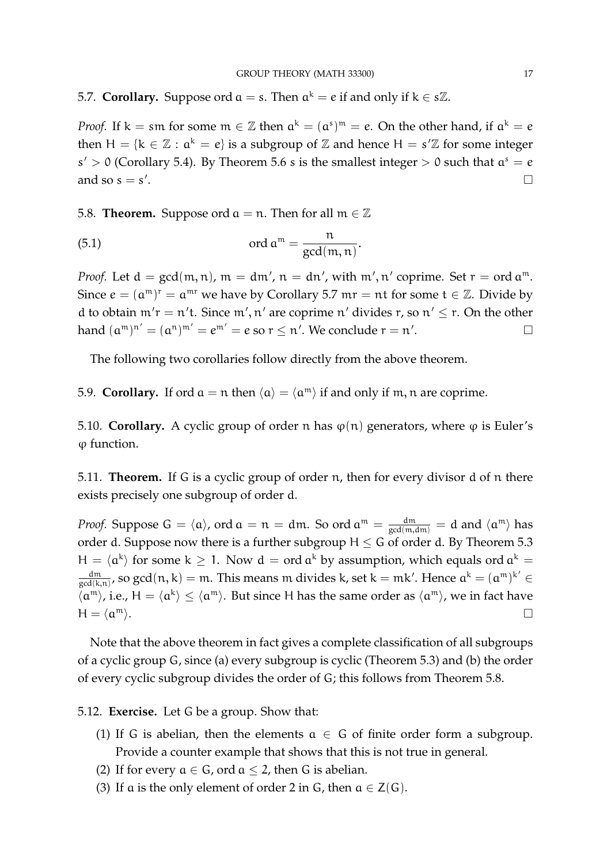5.7. **Corollary.** Suppose ord  $a = s$ . Then  $a^k = e$  if and only if  $k \in s\mathbb{Z}$ .

*Proof.* If  $k =$  sm for some  $m \in \mathbb{Z}$  then  $\alpha^k = (\alpha^s)^m = e$ . On the other hand, if  $\alpha^k = e$ then  $H = \{k \in \mathbb{Z} : a^k = e\}$  is a subgroup of  $\mathbb{Z}$  and hence  $H = s'\mathbb{Z}$  for some integer  $s' > 0$  (Corollary 5.4). By Theorem 5.6 s is the smallest integer  $> 0$  such that  $a<sup>s</sup> = e$ and so  $s = s'$ . The contract of the contract of the contract of the contract of the contract of the contract of the contract<br>The contract of the contract of the contract of the contract of the contract of the contract of the contract o

5.8. **Theorem.** Suppose ord  $a = n$ . Then for all  $m \in \mathbb{Z}$ 

(5.1) 
$$
\qquad \text{ord } \mathfrak{a}^{\mathfrak{m}} = \frac{\mathfrak{n}}{\gcd(\mathfrak{m},\mathfrak{n})}.
$$

*Proof.* Let  $d = \gcd(m, n)$ ,  $m = dm'$ ,  $n = dn'$ , with  $m', n'$  coprime. Set  $r = ord a^m$ . Since  $e = (\mathfrak{a}^{\mathfrak{m}})^{\mathfrak{r}} = \mathfrak{a}^{\mathfrak{m}\mathfrak{r}}$  we have by Corollary 5.7  $\mathfrak{m}\mathfrak{r} = \mathfrak{n}\mathfrak{t}$  for some  $\mathfrak{t} \in \mathbb{Z}$ . Divide by d to obtain  $m'r = n't$ . Since  $m', n'$  are coprime n' divides r, so  $n' \le r$ . On the other hand  $(\mathfrak{a}^{\mathfrak{m}})^{\mathfrak{n}'}=(\mathfrak{a}^{\mathfrak{n}})^{\mathfrak{m}'}=e^{\mathfrak{m}'}=e$  so  $\mathfrak{r}\leq\mathfrak{n}'$ . We conclude  $\mathfrak{r}=\mathfrak{n}'$ .<br><u>.</u>

The following two corollaries follow directly from the above theorem.

5.9. **Corollary.** If ord  $a = n$  then  $\langle a \rangle = \langle a^m \rangle$  if and only if m, n are coprime.

5.10. **Corollary.** A cyclic group of order n has  $\varphi(n)$  generators, where  $\varphi$  is Euler's ϕ function.

5.11. **Theorem.** If G is a cyclic group of order n, then for every divisor d of n there exists precisely one subgroup of order d.

*Proof.* Suppose  $G = \langle a \rangle$ , ord  $a = n = dm$ . So ord  $a^m = \frac{dm}{gcd(m, dm)} = d$  and  $\langle a^m \rangle$  has order d. Suppose now there is a further subgroup  $H \leq G$  of order d. By Theorem 5.3  $H = \langle \alpha^k \rangle$  for some  $k \geq 1$ . Now  $d = \text{ord } \alpha^k$  by assumption, which equals ord  $\alpha^k =$ dm  $\frac{dm}{\gcd(k,n)}$ , so gcd $(n,k) = m$ . This means  $m$  divides k, set k =  $mk'$ . Hence  $a^k = (a^m)^{k'} \in$  $\langle \alpha^m \rangle$ , i.e.,  $H = \langle \alpha^k \rangle \leq \langle \alpha^m \rangle$ . But since H has the same order as  $\langle \alpha^m \rangle$ , we in fact have  $H = \langle \alpha^m \rangle$ .  $\mathbb{m}$ .

Note that the above theorem in fact gives a complete classification of all subgroups of a cyclic group G, since (a) every subgroup is cyclic (Theorem 5.3) and (b) the order of every cyclic subgroup divides the order of G; this follows from Theorem 5.8.

5.12. **Exercise.** Let G be a group. Show that:

- (1) If G is abelian, then the elements  $a \in G$  of finite order form a subgroup. Provide a counter example that shows that this is not true in general.
- (2) If for every  $a \in G$ , ord  $a \le 2$ , then G is abelian.
- (3) If a is the only element of order 2 in G, then  $a \in Z(G)$ .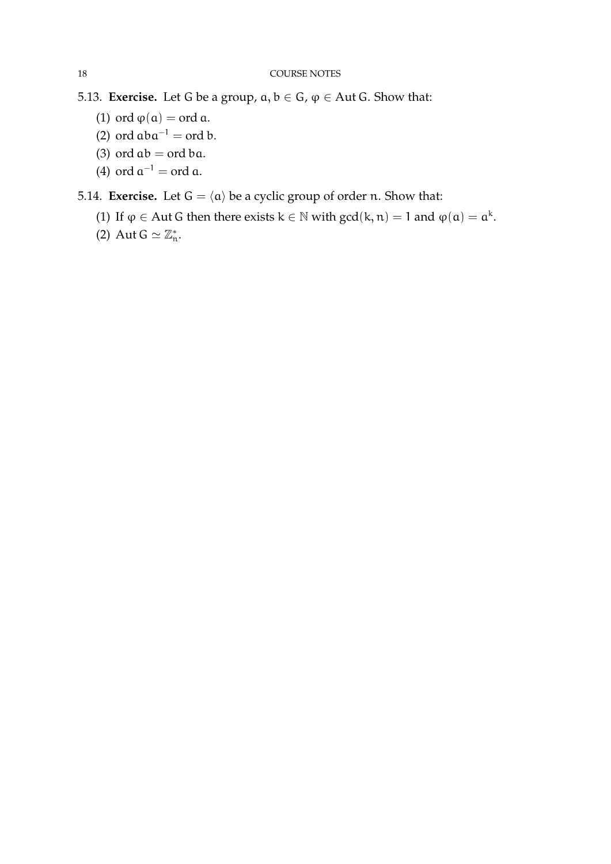- 5.13. **Exercise.** Let G be a group,  $a, b \in G$ ,  $\varphi \in$  Aut G. Show that:
	- (1) ord  $\varphi(\mathfrak{a}) = \text{ord } \mathfrak{a}.$
	- (2) ord  $aba^{-1} = ord b$ .
	- (3) ord  $ab = ord ba$ .
	- (4) ord  $a^{-1} = \text{ord } a$ .

5.14. **Exercise.** Let  $G = \langle \alpha \rangle$  be a cyclic group of order n. Show that:

- (1) If  $\varphi \in$  Aut G then there exists  $k \in \mathbb{N}$  with  $gcd(k, n) = 1$  and  $\varphi(\mathfrak{a}) = \mathfrak{a}^k$ .
- (2) Aut  $G \simeq \mathbb{Z}_n^*$ .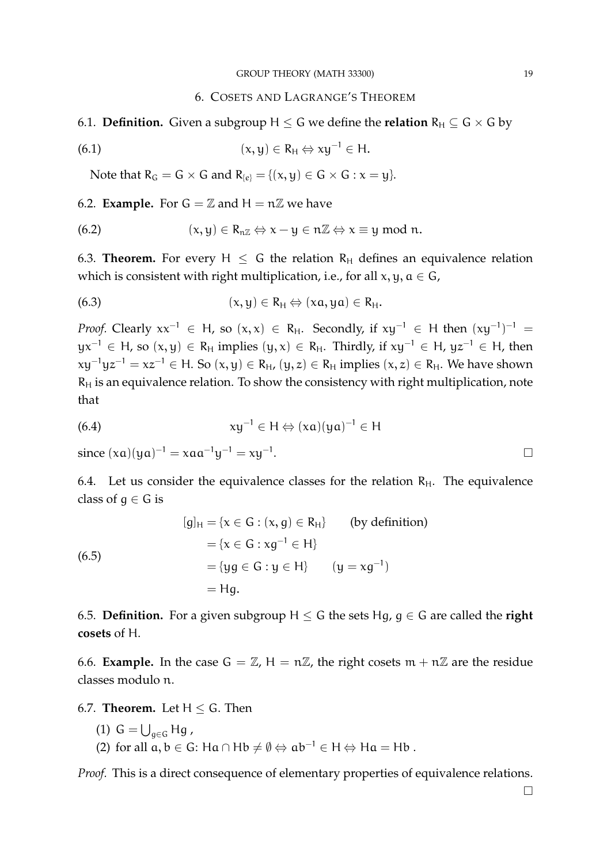# 6. COSETS AND LAGRANGE'S THEOREM

6.1. **Definition.** Given a subgroup  $H \le G$  we define the **relation**  $R_H \subseteq G \times G$  by

(6.1) 
$$
(x, y) \in R_H \Leftrightarrow xy^{-1} \in H.
$$

Note that  $R_G = G \times G$  and  $R_{\{e\}} = \{(x, y) \in G \times G : x = y\}.$ 

## 6.2. **Example.** For  $G = \mathbb{Z}$  and  $H = n\mathbb{Z}$  we have

(6.2) 
$$
(x, y) \in R_{n\mathbb{Z}} \Leftrightarrow x - y \in n\mathbb{Z} \Leftrightarrow x \equiv y \mod n.
$$

6.3. **Theorem.** For every  $H \leq G$  the relation  $R_H$  defines an equivalence relation which is consistent with right multiplication, i.e., for all  $x, y, a \in G$ ,

(6.3) 
$$
(x,y) \in R_H \Leftrightarrow (xa,ya) \in R_H.
$$

*Proof.* Clearly  $xx^{-1} \in H$ , so  $(x, x) \in R_H$ . Secondly, if  $xy^{-1} \in H$  then  $(xy^{-1})^{-1} =$  $yx^{-1} \in H$ , so  $(x, y) \in R_H$  implies  $(y, x) \in R_H$ . Thirdly, if  $xy^{-1} \in H$ ,  $yz^{-1} \in H$ , then  $xy^{-1}yz^{-1} = xz^{-1} \in H$ . So  $(x, y) \in R_H$ ,  $(y, z) \in R_H$  implies  $(x, z) \in R_H$ . We have shown  $R_H$  is an equivalence relation. To show the consistency with right multiplication, note that

(6.4) 
$$
xy^{-1} \in H \Leftrightarrow (xa)(ya)^{-1} \in H
$$

since  $(xa)(ya)^{-1} = xaa^{-1}y^{-1} = xy^{-1}$ 

6.4. Let us consider the equivalence classes for the relation  $R_H$ . The equivalence class of  $q \in G$  is

(6.5)  
\n
$$
[g]_H = \{x \in G : (x, g) \in R_H\} \qquad \text{(by definition)}
$$
\n
$$
= \{x \in G : xg^{-1} \in H\}
$$
\n
$$
= \{yg \in G : y \in H\} \qquad (y = xg^{-1})
$$
\n
$$
= Hg.
$$

6.5. **Definition.** For a given subgroup  $H \leq G$  the sets Hg,  $g \in G$  are called the **right cosets** of H.

6.6. **Example.** In the case  $G = \mathbb{Z}$ ,  $H = n\mathbb{Z}$ , the right cosets  $m + n\mathbb{Z}$  are the residue classes modulo n.

6.7. **Theorem.** Let  $H \leq G$ . Then

(1) 
$$
G = \bigcup_{g \in G} Hg
$$

(2) for all  $a, b \in G$ : Ha ∩ Hb  $\neq \emptyset \Leftrightarrow ab^{-1} \in H \Leftrightarrow Ha = Hb$ .

*Proof.* This is a direct consequence of elementary properties of equivalence relations.

 $\Box$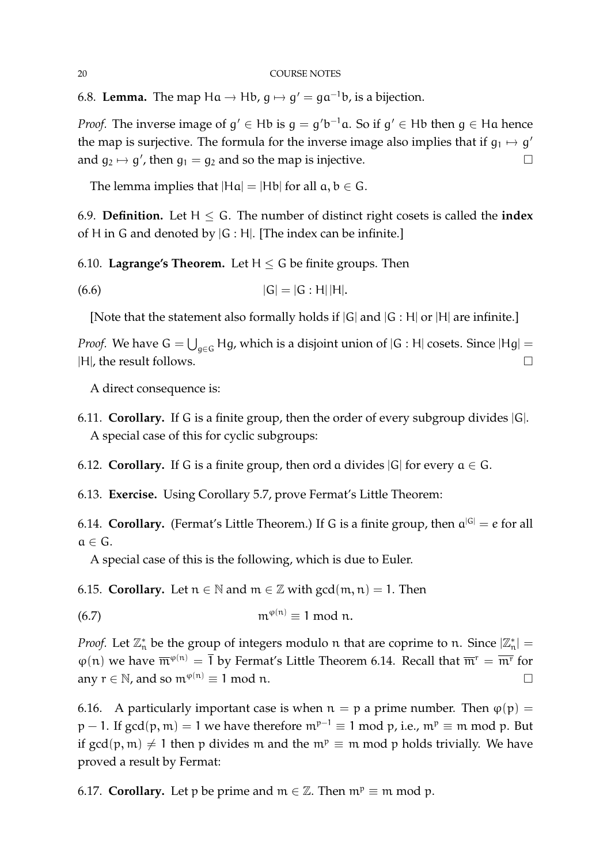6.8. **Lemma.** The map  $Ha \rightarrow Hb$ ,  $g \mapsto g' = ga^{-1}b$ , is a bijection.

*Proof.* The inverse image of  $g' \in Hb$  is  $g = g'b^{-1}a$ . So if  $g' \in Hb$  then  $g \in Ha$  hence the map is surjective. The formula for the inverse image also implies that if  $g_1 \mapsto g'$ and  $g_2 \mapsto g'$ , then  $g_1 = g_2$  and so the map is injective.

The lemma implies that  $|Ha| = |Hb|$  for all  $a, b \in G$ .

6.9. **Definition.** Let  $H \leq G$ . The number of distinct right cosets is called the **index** of H in G and denoted by  $|G : H|$ . [The index can be infinite.]

6.10. **Lagrange's Theorem.** Let  $H \le G$  be finite groups. Then

(6.6) 
$$
|G| = |G : H||H|
$$
.

[Note that the statement also formally holds if  $|G|$  and  $|G : H|$  or  $|H|$  are infinite.]

*Proof.* We have  $G = \bigcup_{g \in G} Hg$ , which is a disjoint union of  $|G : H|$  cosets. Since  $|Hg| =$ |H|, the result follows.

A direct consequence is:

- 6.11. **Corollary.** If G is a finite group, then the order of every subgroup divides |G|. A special case of this for cyclic subgroups:
- 6.12. **Corollary.** If G is a finite group, then ord a divides  $|G|$  for every  $a \in G$ .
- 6.13. **Exercise.** Using Corollary 5.7, prove Fermat's Little Theorem:

6.14. **Corollary.** (Fermat's Little Theorem.) If G is a finite group, then  $a^{|G|} = e$  for all  $a \in G$ .

A special case of this is the following, which is due to Euler.

6.15. **Corollary.** Let  $n \in \mathbb{N}$  and  $m \in \mathbb{Z}$  with  $gcd(m, n) = 1$ . Then

$$
(6.7) \t m^{\varphi(n)} \equiv 1 \bmod n.
$$

*Proof.* Let  $\mathbb{Z}_n^*$  be the group of integers modulo n that are coprime to n. Since  $|\mathbb{Z}_n^*|$  =  $\varphi(n)$  we have  $\overline{m}^{\varphi(n)} = \overline{1}$  by Fermat's Little Theorem 6.14. Recall that  $\overline{m}^r = \overline{m}^r$  for any  $r \in \mathbb{N}$ , and so  $\mathfrak{m}^{\varphi(n)} \equiv 1 \mod n$ .

6.16. A particularly important case is when  $n = p$  a prime number. Then  $\varphi(p) =$  $p - 1$ . If gcd(p, m) = 1 we have therefore  $m^{p-1} \equiv 1 \mod p$ , i.e.,  $m^p \equiv m \mod p$ . But if gcd(p, m)  $\neq$  1 then p divides m and the m<sup>p</sup>  $\equiv$  m mod p holds trivially. We have proved a result by Fermat:

6.17. **Corollary.** Let p be prime and  $m \in \mathbb{Z}$ . Then  $m^p \equiv m \mod p$ .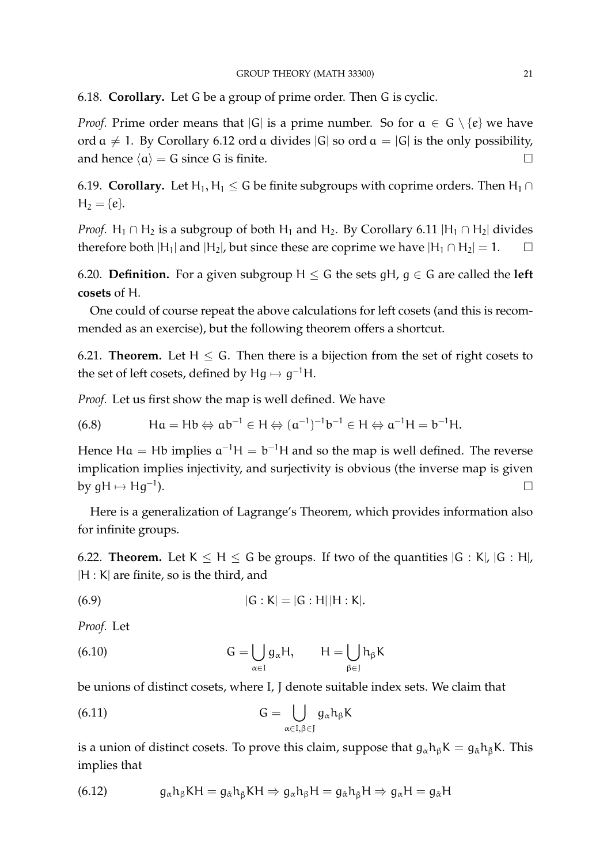6.18. **Corollary.** Let G be a group of prime order. Then G is cyclic.

*Proof.* Prime order means that  $|G|$  is a prime number. So for  $a \in G \setminus \{e\}$  we have ord  $\alpha \neq 1$ . By Corollary 6.12 ord a divides  $|G|$  so ord  $\alpha = |G|$  is the only possibility, and hence  $\langle \alpha \rangle = G$  since G is finite.

6.19. **Corollary.** Let H<sub>1</sub>, H<sub>1</sub> < G be finite subgroups with coprime orders. Then H<sub>1</sub> ∩  $H_2 = \{e\}.$ 

*Proof.* H<sub>1</sub> ∩ H<sub>2</sub> is a subgroup of both H<sub>1</sub> and H<sub>2</sub>. By Corollary 6.11 |H<sub>1</sub> ∩ H<sub>2</sub>| divides therefore both  $|H_1|$  and  $|H_2|$ , but since these are coprime we have  $|H_1 \cap H_2| = 1$ .

6.20. **Definition.** For a given subgroup  $H \leq G$  the sets qH, q  $\in G$  are called the **left cosets** of H.

One could of course repeat the above calculations for left cosets (and this is recommended as an exercise), but the following theorem offers a shortcut.

6.21. **Theorem.** Let  $H < G$ . Then there is a bijection from the set of right cosets to the set of left cosets, defined by  $Hg \mapsto g^{-1}H$ .

*Proof.* Let us first show the map is well defined. We have

(6.8)  $\mathsf{Ha} = \mathsf{Hb} \Leftrightarrow \mathsf{ab}^{-1} \in \mathsf{H} \Leftrightarrow (\mathsf{a}^{-1})^{-1} \mathsf{b}^{-1} \in \mathsf{H} \Leftrightarrow \mathsf{a}^{-1} \mathsf{H} = \mathsf{b}^{-1} \mathsf{H}.$ 

Hence Ha = Hb implies  $a^{-1}H = b^{-1}H$  and so the map is well defined. The reverse implication implies injectivity, and surjectivity is obvious (the inverse map is given by  $qH \mapsto Hq^{-1}$ ). ).

Here is a generalization of Lagrange's Theorem, which provides information also for infinite groups.

6.22. **Theorem.** Let  $K < H < G$  be groups. If two of the quantities  $|G : K|$ ,  $|G : H|$ , |H : K| are finite, so is the third, and

(6.9) 
$$
|G : K| = |G : H| |H : K|
$$
.

*Proof.* Let

(6.10) 
$$
G = \bigcup_{\alpha \in I} g_{\alpha} H, \qquad H = \bigcup_{\beta \in J} h_{\beta} K
$$

be unions of distinct cosets, where I, J denote suitable index sets. We claim that

(6.11) 
$$
G = \bigcup_{\alpha \in I, \beta \in J} g_{\alpha} h_{\beta} K
$$

is a union of distinct cosets. To prove this claim, suppose that  $g_{\alpha}h_{\beta}K = g_{\alpha}h_{\beta}K$ . This implies that

(6.12) 
$$
g_{\alpha}h_{\beta}KH = g_{\tilde{\alpha}}h_{\tilde{\beta}}KH \Rightarrow g_{\alpha}h_{\beta}H = g_{\tilde{\alpha}}h_{\tilde{\beta}}H \Rightarrow g_{\alpha}H = g_{\tilde{\alpha}}H
$$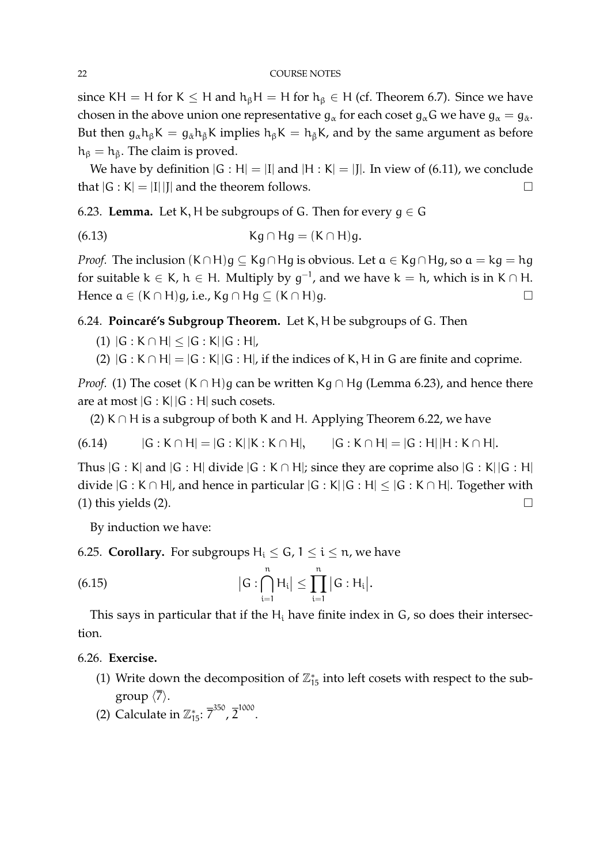since KH = H for K  $\leq$  H and h<sub>β</sub>H = H for h<sub>β</sub>  $\in$  H (cf. Theorem 6.7). Since we have chosen in the above union one representative  $\mathsf{g}_\alpha$  for each coset  $\mathsf{g}_\alpha\mathsf{G}$  we have  $\mathsf{g}_\alpha=\mathsf{g}_{\check{\alpha}}.$ But then  $g_{\alpha}h_{\beta}K = g_{\alpha}h_{\beta}K$  implies  $h_{\beta}K = h_{\beta}K$ , and by the same argument as before  $h_\beta = h_{\tilde{\beta}}$ . The claim is proved.

We have by definition  $|G : H| = |I|$  and  $|H : K| = |J|$ . In view of (6.11), we conclude that  $|G : K| = |I| |I|$  and the theorem follows.

6.23. **Lemma.** Let K, H be subgroups of G. Then for every  $q \in G$ 

$$
(6.13) \t\t\t \tKg \cap Hg = (K \cap H)g.
$$

*Proof.* The inclusion  $(K \cap H)g \subseteq Kg \cap Hg$  is obvious. Let  $a \in Kg \cap Hg$ , so  $a = kg = hg$ for suitable  $k \in K$ ,  $h \in H$ . Multiply by  $g^{-1}$ , and we have  $k = h$ , which is in  $K \cap H$ . Hence  $a \in (K \cap H)$ g, i.e., Kg ∩ Hg  $\subseteq (K \cap H)$ g.

6.24. **Poincaré's Subgroup Theorem.** Let K, H be subgroups of G. Then

- (1)  $|G : K \cap H| < |G : K||G : H|$ ,
- (2)  $|G : K \cap H| = |G : K||G : H|$ , if the indices of K, H in G are finite and coprime.

*Proof.* (1) The coset  $(K \cap H)$ g can be written Kg ∩ Hg (Lemma 6.23), and hence there are at most  $|G : K||G : H|$  such cosets.

(2) K  $\cap$  H is a subgroup of both K and H. Applying Theorem 6.22, we have

 $(6.14)$  |G : K ∩ H| = |G : K| |K : K ∩ H|, |G : K ∩ H| = |G : H| |H : K ∩ H|.

Thus  $|G : K|$  and  $|G : H|$  divide  $|G : K \cap H|$ ; since they are coprime also  $|G : K| |G : H|$ divide  $|G : K \cap H|$ , and hence in particular  $|G : K| |G : H| \leq |G : K \cap H|$ . Together with (1) this yields (2).  $\Box$ 

By induction we have:

6.25. **Corollary.** For subgroups  $H_i \le G$ ,  $1 \le i \le n$ , we have

(6.15) 
$$
|G:\bigcap_{i=1}^n H_i| \leq \prod_{i=1}^n |G:H_i|.
$$

This says in particular that if the  $H_i$  have finite index in  $G_i$ , so does their intersection.

# 6.26. **Exercise.**

- (1) Write down the decomposition of  $\mathbb{Z}_{15}^*$  into left cosets with respect to the subgroup  $\langle \overline{7} \rangle$ .
- (2) Calculate in  $\mathbb{Z}_{15}^*$ :  $\overline{7}^{350}$ ,  $\overline{2}^{1000}$ .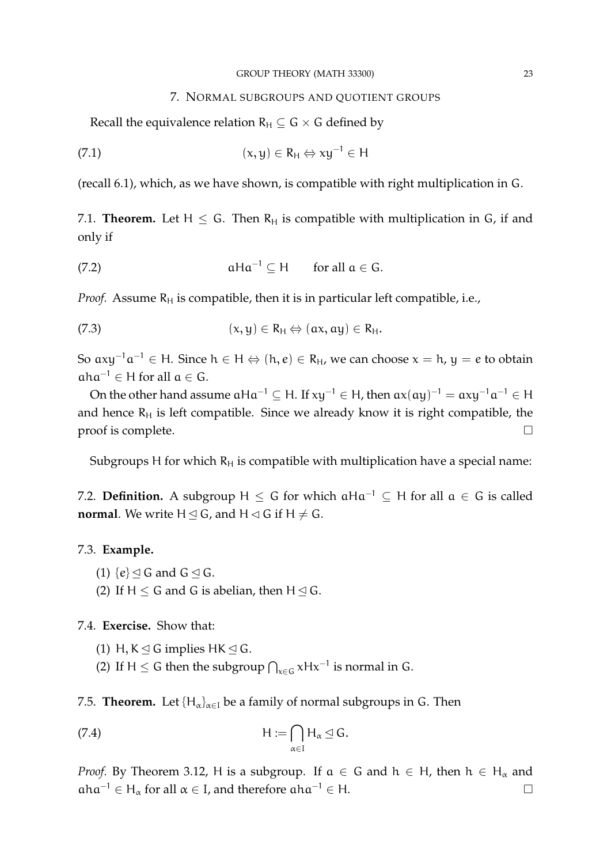#### GROUP THEORY (MATH 33300) 23

### 7. NORMAL SUBGROUPS AND QUOTIENT GROUPS

Recall the equivalence relation  $R_H \subseteq G \times G$  defined by

(7.1) 
$$
(x, y) \in R_H \Leftrightarrow xy^{-1} \in H
$$

(recall 6.1), which, as we have shown, is compatible with right multiplication in G.

7.1. **Theorem.** Let  $H \leq G$ . Then  $R_H$  is compatible with multiplication in G, if and only if

(7.2) 
$$
aHa^{-1} \subseteq H \quad \text{for all } a \in G.
$$

*Proof.* Assume  $R_H$  is compatible, then it is in particular left compatible, i.e.,

(7.3) 
$$
(x, y) \in R_H \Leftrightarrow (ax, ay) \in R_H.
$$

So  $axy^{-1}a^{-1} ∈ H$ . Since  $h ∈ H ⇔ (h, e) ∈ R_H$ , we can choose  $x = h$ ,  $y = e$  to obtain  $aha^{-1} \in H$  for all  $a \in G$ .

On the other hand assume  $aHa^{-1} \subseteq H$ . If  $xy^{-1} \in H$ , then  $ax(ay)^{-1} = axy^{-1}a^{-1} \in H$ and hence  $R_H$  is left compatible. Since we already know it is right compatible, the  $\Box$  proof is complete.

Subgroups H for which  $R_H$  is compatible with multiplication have a special name:

7.2. **Definition.** A subgroup H  $\leq G$  for which  $aHa^{-1} \subseteq H$  for all  $a \in G$  is called **normal**. We write  $H \le G$ , and  $H \le G$  if  $H \ne G$ .

# 7.3. **Example.**

- (1)  $\{e\} \leq G$  and  $G \leq G$ .
- (2) If  $H < G$  and G is abelian, then  $H \lhd G$ .

# 7.4. **Exercise.** Show that:

- (1) H,  $K \leq G$  implies HK  $\leq G$ .
- (2) If H  $\leq$  G then the subgroup  $\bigcap_{x\in G} xHx^{-1}$  is normal in G.

7.5. **Theorem.** Let  $\{H_{\alpha}\}_{{\alpha}\in I}$  be a family of normal subgroups in G. Then

(7.4) 
$$
H := \bigcap_{\alpha \in I} H_{\alpha} \leq G.
$$

*Proof.* By Theorem 3.12, H is a subgroup. If  $a \in G$  and  $h \in H$ , then  $h \in H_\alpha$  and  $aha^{-1} \in H_\alpha$  for all  $\alpha \in I$ , and therefore  $aha^{-1} \in H$ .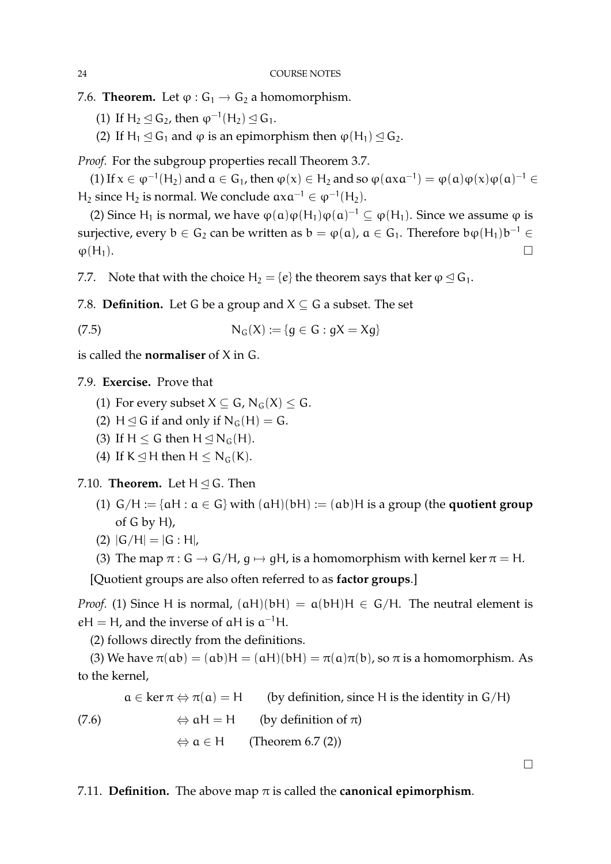- 7.6. **Theorem.** Let  $\varphi$  :  $G_1 \rightarrow G_2$  a homomorphism.
	- (1) If  $H_2 \trianglelefteq G_2$ , then  $\varphi^{-1}(H_2) \trianglelefteq G_1$ .
	- (2) If H<sub>1</sub>  $\leq$  G<sub>1</sub> and  $\varphi$  is an epimorphism then  $\varphi$ (H<sub>1</sub>)  $\leq$  G<sub>2</sub>.

*Proof.* For the subgroup properties recall Theorem 3.7.

(1) If  $x \in \varphi^{-1}(H_2)$  and  $a \in G_1$ , then  $\varphi(x) \in H_2$  and so  $\varphi(\alpha x a^{-1}) = \varphi(\alpha) \varphi(x) \varphi(\alpha)^{-1} \in$ H<sub>2</sub> since H<sub>2</sub> is normal. We conclude  $axa^{-1} \in \varphi^{-1}(H_2)$ .

(2) Since H<sub>1</sub> is normal, we have  $\varphi(\alpha)\varphi(H_1)\varphi(\alpha)^{-1} \subseteq \varphi(H_1)$ . Since we assume  $\varphi$  is surjective, every  $b \in G_2$  can be written as  $b = \varphi(a)$ ,  $a \in G_1$ . Therefore  $b\varphi(H_1)b^{-1} \in$  $\varphi(H_1)$ .

7.7. Note that with the choice  $H_2 = \{e\}$  the theorem says that ker  $\varphi \triangleleft G_1$ .

7.8. **Definition.** Let G be a group and  $X \subseteq G$  a subset. The set

(7.5) 
$$
N_G(X) := \{g \in G : gX = Xg\}
$$

is called the **normaliser** of X in G.

7.9. **Exercise.** Prove that

- (1) For every subset  $X \subseteq G$ ,  $N_G(X) \leq G$ .
- (2) H  $\triangleleft$  G if and only if N<sub>G</sub>(H) = G.
- (3) If H  $\leq$  G then H  $\leq$  N<sub>G</sub>(H).
- (4) If  $K \leq H$  then  $H \leq N_G(K)$ .

7.10. **Theorem.** Let  $H \triangleleft G$ . Then

- (1)  $G/H := \{aH : a \in G\}$  with  $(aH)(bH) := (ab)H$  is a group (the **quotient group** of G by H),
- (2)  $|G/H| = |G:H|$ ,

(3) The map  $\pi$  : G  $\rightarrow$  G/H, g  $\mapsto$  gH, is a homomorphism with kernel ker  $\pi$  = H.

[Quotient groups are also often referred to as **factor groups**.]

*Proof.* (1) Since H is normal,  $(aH)(bH) = a(bH)H \in G/H$ . The neutral element is  $eH = H$ , and the inverse of  $aH$  is  $a^{-1}H$ .

(2) follows directly from the definitions.

(3) We have  $\pi(ab) = (ab)H = (aH)(bH) = \pi(a)\pi(b)$ , so  $\pi$  is a homomorphism. As to the kernel,

 $a \in \ker \pi \Leftrightarrow \pi(a) = H$  (by definition, since H is the identity in G/H)

 $\Leftrightarrow$  aH = H (by definition of  $\pi$ ) (7.6)

 $\Leftrightarrow$  a  $\in$  H (Theorem 6.7 (2))

7.11. **Definition.** The above map  $\pi$  is called the **canonical epimorphism**.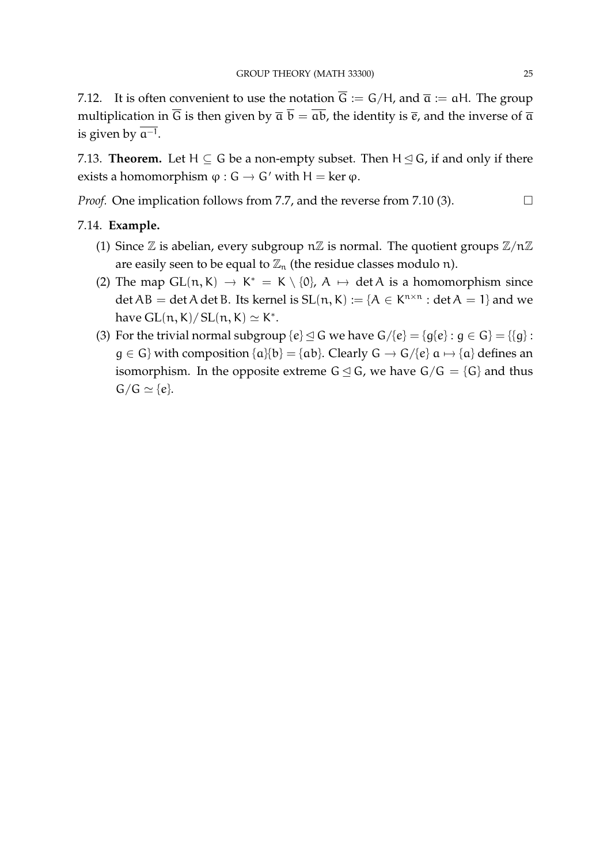7.12. It is often convenient to use the notation  $\overline{G} := G/H$ , and  $\overline{a} := aH$ . The group multiplication in  $\overline{G}$  is then given by  $\overline{a} \overline{b} = \overline{ab}$ , the identity is  $\overline{e}$ , and the inverse of  $\overline{a}$ is given by a<sup>−</sup><sup>1</sup> .

7.13. **Theorem.** Let  $H \subseteq G$  be a non-empty subset. Then  $H \subseteq G$ , if and only if there exists a homomorphism  $\varphi$  :  $G \rightarrow G'$  with  $H = \ker \varphi$ .

*Proof.* One implication follows from 7.7, and the reverse from 7.10 (3). □

# 7.14. **Example.**

- (1) Since  $\mathbb Z$  is abelian, every subgroup  $n\mathbb Z$  is normal. The quotient groups  $\mathbb Z/n\mathbb Z$ are easily seen to be equal to  $\mathbb{Z}_n$  (the residue classes modulo n).
- (2) The map  $GL(n, K) \rightarrow K^* = K \setminus \{0\}$ ,  $A \mapsto \det A$  is a homomorphism since det  $AB = \det A$  det B. Its kernel is  $SL(n, K) := \{A \in K^{n \times n} : \det A = 1\}$  and we have  $GL(n, K)/$   $SL(n, K) \simeq K^*$ .
- (3) For the trivial normal subgroup  $\{e\} \leq G$  we have  $G/\{e\} = \{q\{e\} : q \in G\} = \{\{q\}$ :  $g \in G$ } with composition  $\{a\}$ {b} = {ab}. Clearly  $G \to G$ /{e}  $a \mapsto \{a\}$  defines an isomorphism. In the opposite extreme  $G \leq G$ , we have  $G/G = {G}$  and thus  $G/G \simeq \{e\}.$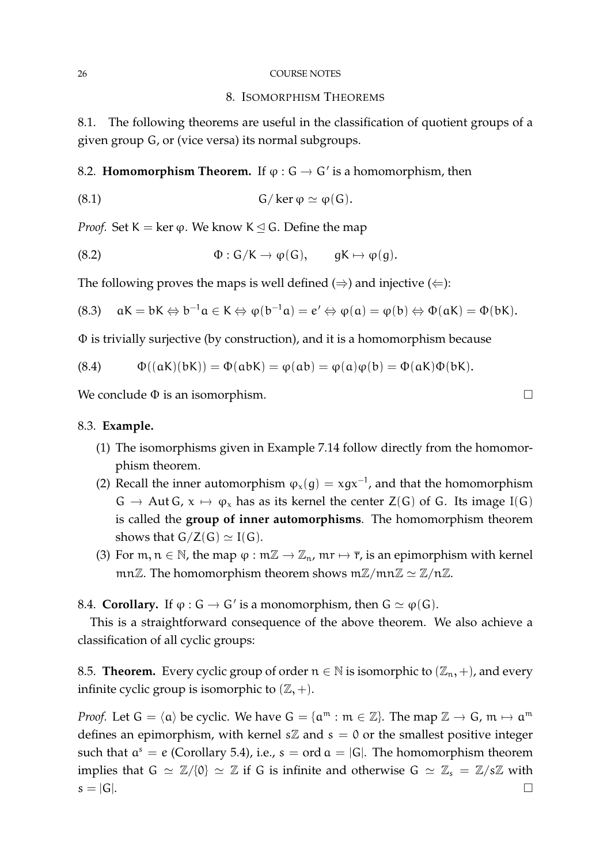#### 26 COURSE NOTES

### 8. ISOMORPHISM THEOREMS

8.1. The following theorems are useful in the classification of quotient groups of a given group G, or (vice versa) its normal subgroups.

8.2. **Homomorphism Theorem.** If  $\varphi$  :  $G \to G'$  is a homomorphism, then

(8.1) 
$$
G/\ker \varphi \simeq \varphi(G).
$$

*Proof.* Set K = ker  $\varphi$ . We know K  $\leq$  G. Define the map

(8.2) 
$$
\Phi: G/K \to \varphi(G), \qquad gK \mapsto \varphi(g).
$$

The following proves the maps is well defined  $(\Rightarrow)$  and injective  $(\Leftarrow)$ :

(8.3) 
$$
aK = bK \Leftrightarrow b^{-1}a \in K \Leftrightarrow \varphi(b^{-1}a) = e' \Leftrightarrow \varphi(a) = \varphi(b) \Leftrightarrow \Phi(aK) = \Phi(bK).
$$

Φ is trivially surjective (by construction), and it is a homomorphism because

(8.4) 
$$
\Phi((aK)(bK)) = \Phi(abK) = \phi(ab) = \phi(a)\phi(b) = \Phi(aK)\Phi(bK).
$$

We conclude  $\Phi$  is an isomorphism.

# 8.3. **Example.**

- (1) The isomorphisms given in Example 7.14 follow directly from the homomorphism theorem.
- (2) Recall the inner automorphism  $\varphi_x(g) = xgx^{-1}$ , and that the homomorphism  $G \rightarrow$  Aut G,  $x \mapsto \varphi_x$  has as its kernel the center  $Z(G)$  of G. Its image I(G) is called the **group of inner automorphisms**. The homomorphism theorem shows that  $G/Z(G) \simeq I(G)$ .
- (3) For  $m, n \in \mathbb{N}$ , the map  $\varphi : m\mathbb{Z} \to \mathbb{Z}_n$ ,  $mr \mapsto \overline{r}$ , is an epimorphism with kernel mnZ. The homomorphism theorem shows  $m\mathbb{Z}/mn\mathbb{Z} \simeq \mathbb{Z}/n\mathbb{Z}$ .

8.4. **Corollary.** If  $\varphi$  :  $G \to G'$  is a monomorphism, then  $G \simeq \varphi(G)$ .

This is a straightforward consequence of the above theorem. We also achieve a classification of all cyclic groups:

8.5. **Theorem.** Every cyclic group of order  $n \in \mathbb{N}$  is isomorphic to  $(\mathbb{Z}_n, +)$ , and every infinite cyclic group is isomorphic to  $(\mathbb{Z}, +)$ .

*Proof.* Let  $G = \langle \mathfrak{a} \rangle$  be cyclic. We have  $G = \{ \mathfrak{a}^{\mathfrak{m}} : \mathfrak{m} \in \mathbb{Z} \}$ . The map  $\mathbb{Z} \to G$ ,  $\mathfrak{m} \mapsto \mathfrak{a}^{\mathfrak{m}}$ defines an epimorphism, with kernel  $s\mathbb{Z}$  and  $s = 0$  or the smallest positive integer such that  $a^s = e$  (Corollary 5.4), i.e.,  $s = ord a = |G|$ . The homomorphism theorem implies that  $G \simeq \mathbb{Z}/\{0\} \simeq \mathbb{Z}$  if G is infinite and otherwise  $G \simeq \mathbb{Z}_s = \mathbb{Z}/s\mathbb{Z}$  with  $s = |G|$ .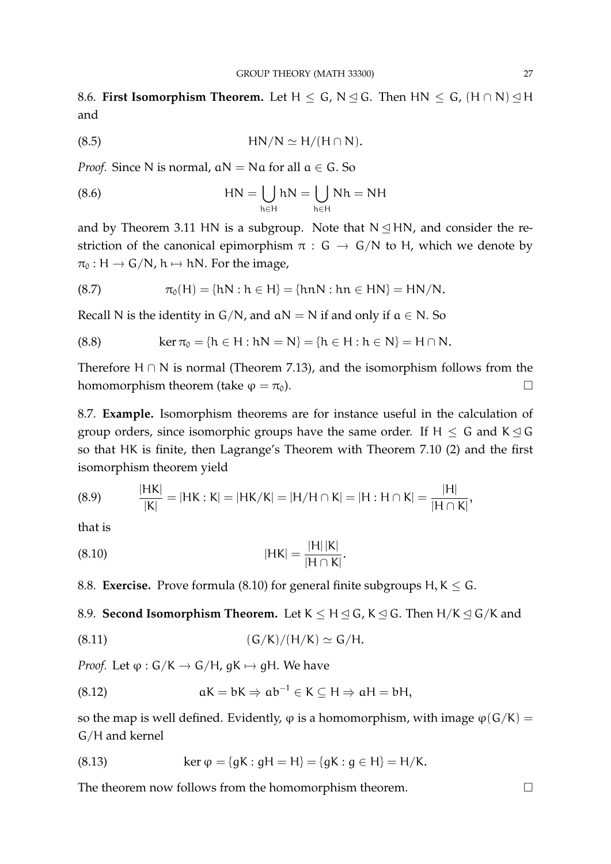8.6. **First Isomorphism Theorem.** Let  $H \leq G$ , N  $\trianglelefteq G$ . Then HN  $\leq G$ ,  $(H \cap N) \trianglelefteq H$ and

$$
(8.5) \t\t\t HN/N \simeq H/(H \cap N).
$$

*Proof.* Since N is normal,  $aN = Na$  for all  $a \in G$ . So

(8.6) 
$$
HN = \bigcup_{h \in H} hN = \bigcup_{h \in H} Nh = NH
$$

and by Theorem 3.11 HN is a subgroup. Note that  $N \leq HN$ , and consider the restriction of the canonical epimorphism  $\pi : G \to G/N$  to H, which we denote by  $\pi_0 : H \to G/N$ ,  $h \mapsto hN$ . For the image,

(8.7) 
$$
\pi_0(H) = \{hN : h \in H\} = \{hnN : hn \in HN\} = HN/N.
$$

Recall N is the identity in  $G/N$ , and  $aN = N$  if and only if  $a \in N$ . So

(8.8) 
$$
\ker \pi_0 = \{h \in H : hN = N\} = \{h \in H : h \in N\} = H \cap N.
$$

Therefore H  $\cap$  N is normal (Theorem 7.13), and the isomorphism follows from the homomorphism theorem (take  $\varphi = \pi_0$ ).

8.7. **Example.** Isomorphism theorems are for instance useful in the calculation of group orders, since isomorphic groups have the same order. If  $H \leq G$  and  $K \leq G$ so that HK is finite, then Lagrange's Theorem with Theorem 7.10 (2) and the first isomorphism theorem yield

|H| |K|

(8.9) 
$$
\frac{|HK|}{|K|} = |HK : K| = |HK/K| = |H/H \cap K| = |H : H \cap K| = \frac{|H|}{|H \cap K|},
$$

that is

(8.10) 
$$
|HK| = \frac{|H||K|}{|H \cap K|}.
$$

8.8. **Exercise.** Prove formula (8.10) for general finite subgroups H,  $K \leq G$ .

8.9. **Second Isomorphism Theorem.** Let  $K \leq H \leq G$ ,  $K \leq G$ . Then  $H/K \leq G/K$  and

$$
(8.11) \t(G/K)/(H/K) \simeq G/H.
$$

*Proof.* Let  $\varphi$  :  $G/K \to G/H$ ,  $gK \mapsto gH$ . We have

(8.12) 
$$
aK = bK \Rightarrow ab^{-1} \in K \subseteq H \Rightarrow aH = bH,
$$

so the map is well defined. Evidently,  $\varphi$  is a homomorphism, with image  $\varphi(G/K)$  = G/H and kernel

(8.13) 
$$
\ker \varphi = \{ gK : gH = H \} = \{ gK : g \in H \} = H/K.
$$

The theorem now follows from the homomorphism theorem.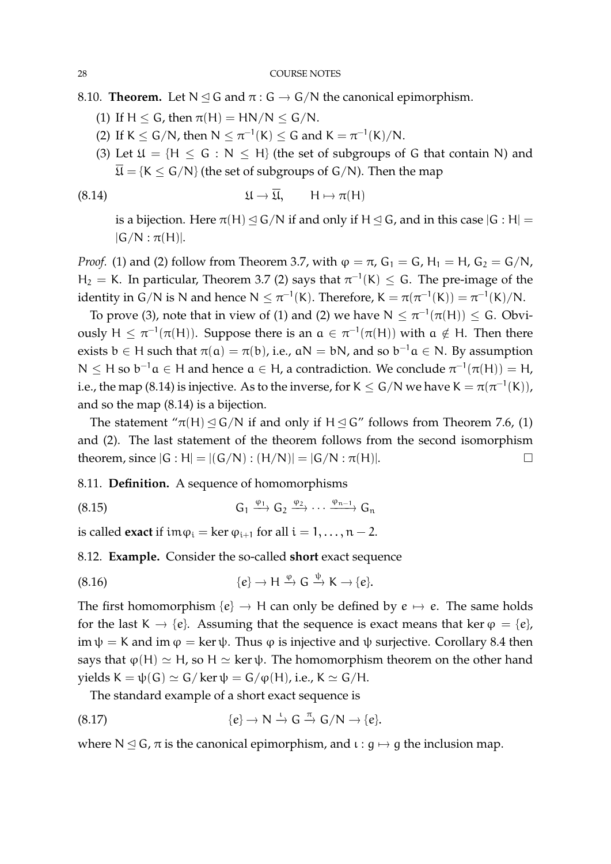8.10. **Theorem.** Let  $N \leq G$  and  $\pi : G \to G/N$  the canonical epimorphism.

- (1) If  $H < G$ , then  $\pi(H) = HN/N \leq G/N$ .
- (2) If  $K \le G/N$ , then  $N \le \pi^{-1}(K) \le G$  and  $K = \pi^{-1}(K)/N$ .
- (3) Let  $\mathfrak{U} = \{H \le G : N \le H\}$  (the set of subgroups of G that contain N) and  $\overline{\mathfrak{U}} = \{K \leq G/N\}$  (the set of subgroups of  $G/N$ ). Then the map

(8.14) 
$$
\mathfrak{U} \to \overline{\mathfrak{U}}, \qquad \mathsf{H} \mapsto \pi(\mathsf{H})
$$

is a bijection. Here  $\pi(H) \leq G/N$  if and only if  $H \leq G$ , and in this case  $|G : H|$  =  $|G/N : \pi(H)|$ .

*Proof.* (1) and (2) follow from Theorem 3.7, with  $\varphi = \pi$ ,  $G_1 = G$ ,  $H_1 = H$ ,  $G_2 = G/N$ ,  $H_2 = K$ . In particular, Theorem 3.7 (2) says that  $\pi^{-1}(K) \leq G$ . The pre-image of the identity in G/N is N and hence  $N \leq \pi^{-1}(K)$ . Therefore,  $K = \pi(\pi^{-1}(K)) = \pi^{-1}(K)/N$ .

To prove (3), note that in view of (1) and (2) we have  $N \leq \pi^{-1}(\pi(H)) \leq G$ . Obviously  $H \leq \pi^{-1}(\pi(H))$ . Suppose there is an  $\alpha \in \pi^{-1}(\pi(H))$  with  $\alpha \notin H$ . Then there exists  $b \in H$  such that  $\pi(a) = \pi(b)$ , i.e.,  $aN = bN$ , and so  $b^{-1}a \in N$ . By assumption  $N \leq H$  so  $b^{-1}a \in H$  and hence  $a \in H$ , a contradiction. We conclude  $\pi^{-1}(\pi(H)) = H$ , i.e., the map (8.14) is injective. As to the inverse, for K  $\leq$  G/N we have K  $=\pi(\pi^{-1}({\sf K})),$ and so the map (8.14) is a bijection.

The statement " $\pi(H) \leq G/N$  if and only if  $H \leq G''$  follows from Theorem 7.6, (1) and (2). The last statement of the theorem follows from the second isomorphism theorem, since  $|G : H| = |(G/N) : (H/N)| = |G/N : \pi(H)|$ .

8.11. **Definition.** A sequence of homomorphisms

(8.15) 
$$
G_1 \xrightarrow{\varphi_1} G_2 \xrightarrow{\varphi_2} \cdots \xrightarrow{\varphi_{n-1}} G_n
$$

is called **exact** if  $\text{im}\varphi_i = \text{ker}\varphi_{i+1}$  for all  $i = 1, ..., n - 2$ .

8.12. **Example.** Consider the so-called **short** exact sequence

(8.16) 
$$
\{e\} \to H \xrightarrow{\phi} G \xrightarrow{\psi} K \to \{e\}.
$$

The first homomorphism  $\{e\} \rightarrow H$  can only be defined by  $e \mapsto e$ . The same holds for the last K  $\rightarrow$  {e}. Assuming that the sequence is exact means that ker  $\varphi = \{e\}$ , im  $\psi = K$  and im  $\varphi = \ker \psi$ . Thus  $\varphi$  is injective and  $\psi$  surjective. Corollary 8.4 then says that  $\varphi(H) \simeq H$ , so  $H \simeq \ker \psi$ . The homomorphism theorem on the other hand yields  $K = \psi(G) \simeq G/\ker \psi = G/\phi(H)$ , i.e.,  $K \simeq G/H$ .

The standard example of a short exact sequence is

(8.17) 
$$
\{e\} \to N \stackrel{\iota}{\to} G \stackrel{\pi}{\to} G/N \to \{e\}.
$$

where N  $\leq$  G,  $\pi$  is the canonical epimorphism, and  $\iota$  :  $g \mapsto g$  the inclusion map.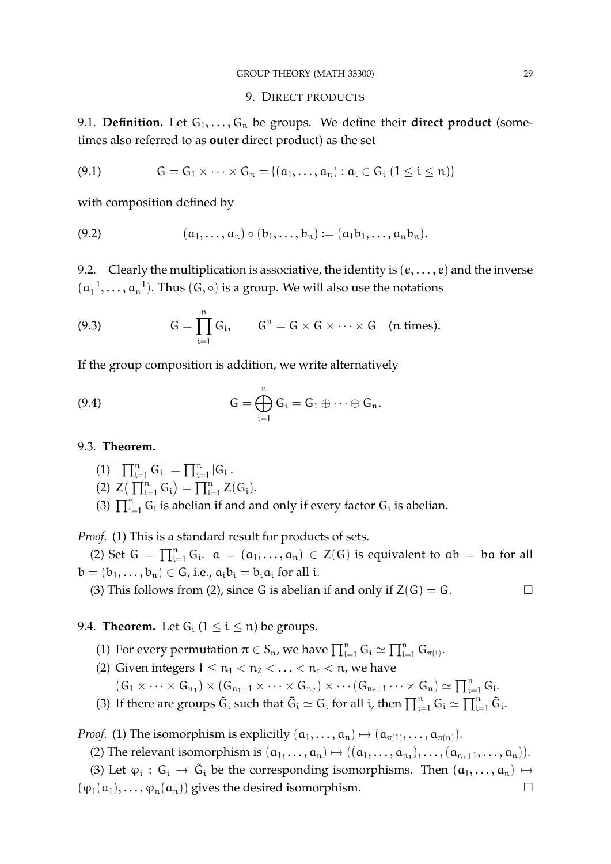# 9. DIRECT PRODUCTS

9.1. **Definition.** Let  $G_1, \ldots, G_n$  be groups. We define their **direct product** (sometimes also referred to as **outer** direct product) as the set

(9.1) 
$$
G = G_1 \times \cdots \times G_n = \{(\alpha_1, \ldots, \alpha_n) : \alpha_i \in G_i \ (1 \leq i \leq n)\}
$$

with composition defined by

(9.2) 
$$
(a_1, ..., a_n) \circ (b_1, ..., b_n) := (a_1b_1, ..., a_nb_n).
$$

9.2. Clearly the multiplication is associative, the identity is  $(e, \ldots, e)$  and the inverse  $(a_1^{-1}$  $\{\mathfrak{a}_1^{-1},\ldots,\mathfrak{a}_n^{-1}\}.$  Thus  $(\mathsf{G},\circ)$  is a group. We will also use the notations

(9.3) 
$$
G = \prod_{i=1}^{n} G_i, \qquad G^{n} = G \times G \times \cdots \times G \quad (n \text{ times}).
$$

If the group composition is addition, we write alternatively

(9.4) 
$$
G = \bigoplus_{i=1}^{n} G_i = G_1 \oplus \cdots \oplus G_n.
$$

# 9.3. **Theorem.**

- (1)  $\left| \prod_{i=1}^{n} G_i \right| = \prod_{i=1}^{n} |G_i|$ .
- (2)  $Z\left(\prod_{i=1}^n G_i\right) = \prod_{i=1}^n Z(G_i).$
- (3)  $\prod_{i=1}^{n} G_i$  is abelian if and and only if every factor  $G_i$  is abelian.

*Proof.* (1) This is a standard result for products of sets.

(2) Set  $G = \prod_{i=1}^n G_i$ .  $\alpha = (\alpha_1, \ldots, \alpha_n) \in Z(G)$  is equivalent to  $\alpha b = \alpha$  for all  $b = (b_1, \ldots, b_n) \in G$ , i.e.,  $a_i b_i = b_i a_i$  for all i.

(3) This follows from (2), since G is abelian if and only if  $Z(G) = G$ .

# 9.4. **Theorem.** Let  $G_i$  ( $1 \le i \le n$ ) be groups.

- (1) For every permutation  $\pi \in S_n$ , we have  $\prod_{i=1}^n G_i \simeq \prod_{i=1}^n G_{\pi(i)}$ .
- (2) Given integers  $1 \le n_1 < n_2 < \ldots < n_r < n$ , we have

 $(G_1 \times \cdots \times G_{n_1}) \times (G_{n_1+1} \times \cdots \times G_{n_2}) \times \cdots (G_{n_r+1} \cdots \times G_n) \simeq \prod_{i=1}^n G_i.$ 

(3) If there are groups  $\tilde{G}_i$  such that  $\tilde{G}_i \simeq G_i$  for all i, then  $\prod_{i=1}^n G_i \simeq \prod_{i=1}^n \tilde{G}_i$ .

*Proof.* (1) The isomorphism is explicitly  $(a_1, ..., a_n) \mapsto (a_{\pi(1)}, ..., a_{\pi(n)})$ .

(2) The relevant isomorphism is  $(a_1, \ldots, a_n) \mapsto ((a_1, \ldots, a_{n_1}), \ldots, (a_{n_r+1}, \ldots, a_n)).$ 

(3) Let  $\varphi_i : G_i \to \tilde{G}_i$  be the corresponding isomorphisms. Then  $(a_1, \ldots, a_n) \mapsto$  $(\varphi_1(\alpha_1), \ldots, \varphi_n(\alpha_n))$  gives the desired isomorphism.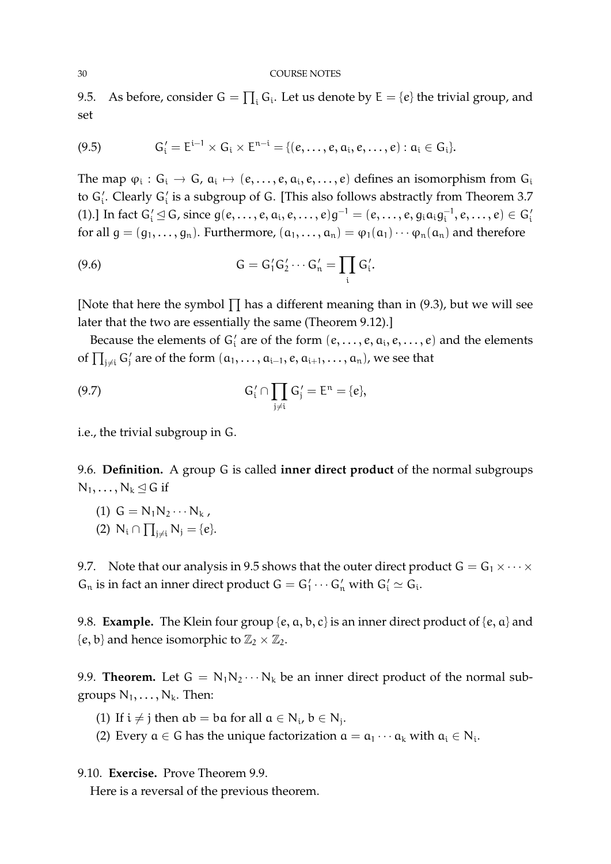9.5. As before, consider  $G = \prod_i G_i$ . Let us denote by  $E = \{e\}$  the trivial group, and set

(9.5) 
$$
G'_i = E^{i-1} \times G_i \times E^{n-i} = \{(e, \ldots, e, a_i, e, \ldots, e) : a_i \in G_i\}.
$$

The map  $\varphi_i: G_i \to G$ ,  $\alpha_i \mapsto (e, \ldots, e, \alpha_i, e, \ldots, e)$  defines an isomorphism from  $G_i$ to  $G_i'$ . Clearly  $G_i'$  is a subgroup of G. [This also follows abstractly from Theorem 3.7 (1).] In fact  $G_i' \trianglelefteq G$ , since  $g(e, \ldots, e, a_i, e, \ldots, e)g^{-1} = (e, \ldots, e, g_i a_i g_i^{-1})$  $\epsilon_i^{-1},e,\ldots,e)\in\mathsf{G}_i'$ for all  $g = (g_1, \ldots, g_n)$ . Furthermore,  $(a_1, \ldots, a_n) = \varphi_1(a_1) \cdots \varphi_n(a_n)$  and therefore

$$
(9.6) \tG = G_1'G_2' \cdots G_n' = \prod_i G_i'.
$$

[Note that here the symbol  $\prod$  has a different meaning than in (9.3), but we will see later that the two are essentially the same (Theorem 9.12).]

Because the elements of  $G_i'$  are of the form  $(e, \ldots, e, a_i, e, \ldots, e)$  and the elements of  $\prod_{j\neq i} G'_j$  are of the form  $(a_1, \ldots, a_{i-1}, e, a_{i+1}, \ldots, a_n)$ , we see that

(9.7) 
$$
G'_{i} \cap \prod_{j \neq i} G'_{j} = E^{n} = \{e\},
$$

i.e., the trivial subgroup in G.

9.6. **Definition.** A group G is called **inner direct product** of the normal subgroups  $N_1, \ldots, N_k \triangleleft G$  if

(1)  $G = N_1N_2 \cdots N_k$ , (2)  $N_i \cap \prod_{j \neq i} N_j = \{e\}.$ 

9.7. Note that our analysis in 9.5 shows that the outer direct product  $G = G_1 \times \cdots \times$  $G_n$  is in fact an inner direct product  $G = G'_1 \cdots G'_n$  with  $G'_i \simeq G_i$ .

9.8. **Example.** The Klein four group  $\{e, a, b, c\}$  is an inner direct product of  $\{e, a\}$  and  ${e, b}$  and hence isomorphic to  $\mathbb{Z}_2 \times \mathbb{Z}_2$ .

9.9. **Theorem.** Let  $G = N_1N_2 \cdots N_k$  be an inner direct product of the normal subgroups  $N_1, \ldots, N_k$ . Then:

(1) If  $i \neq j$  then  $ab = ba$  for all  $a \in N_i$ ,  $b \in N_j$ .

(2) Every  $a \in G$  has the unique factorization  $a = a_1 \cdots a_k$  with  $a_i \in N_i$ .

9.10. **Exercise.** Prove Theorem 9.9. Here is a reversal of the previous theorem.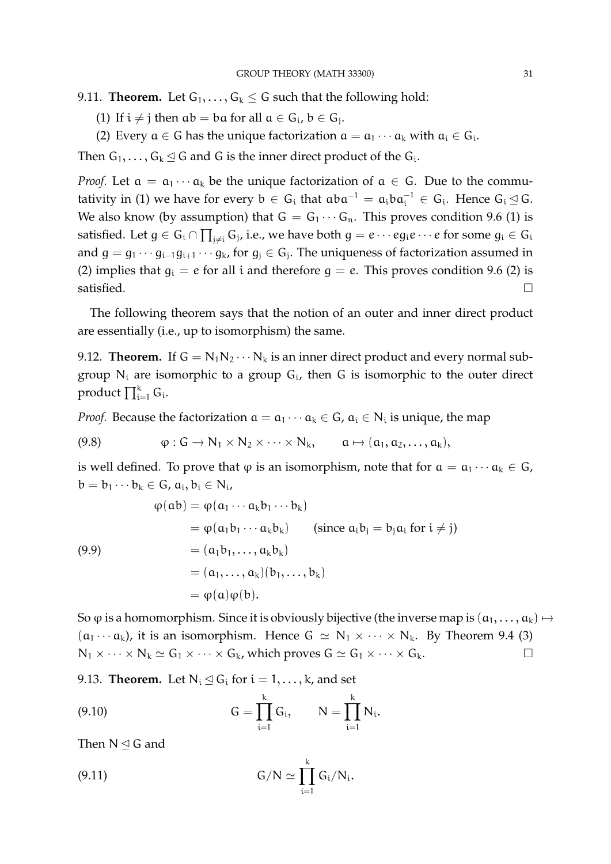9.11. **Theorem.** Let  $G_1, \ldots, G_k \leq G$  such that the following hold:

- (1) If  $i \neq j$  then  $ab = ba$  for all  $a \in G_i$ ,  $b \in G_j$ .
- (2) Every  $a \in G$  has the unique factorization  $a = a_1 \cdots a_k$  with  $a_i \in G_i$ .

Then  $G_1, \ldots, G_k \trianglelefteq G$  and G is the inner direct product of the  $G_i$ .

*Proof.* Let  $a = a_1 \cdots a_k$  be the unique factorization of  $a \in G$ . Due to the commutativity in (1) we have for every  $b \in G_i$  that  $aba^{-1} = a_i ba_i^{-1} \in G_i$ . Hence  $G_i \trianglelefteq G$ . We also know (by assumption) that  $G = G_1 \cdots G_n$ . This proves condition 9.6 (1) is satisfied. Let  $g\in G_i\cap\prod_{j\neq i}G_j$ , i.e., we have both  $g=e\cdots eg_ie\cdots e$  for some  $g_i\in G_i$ and  $g = g_1 \cdots g_{i-1} g_{i+1} \cdots g_k$ , for  $g_j \in G_j$ . The uniqueness of factorization assumed in (2) implies that  $g_i = e$  for all i and therefore  $g = e$ . This proves condition 9.6 (2) is  $\Box$  satisfied.  $\Box$ 

The following theorem says that the notion of an outer and inner direct product are essentially (i.e., up to isomorphism) the same.

9.12. **Theorem.** If  $G = N_1N_2 \cdots N_k$  is an inner direct product and every normal subgroup  $N_i$  are isomorphic to a group  $G_i$ , then G is isomorphic to the outer direct product  $\prod_{\mathfrak{i}=1}^{\mathfrak{k}}\mathsf{G}_{\mathfrak{i}}.$ 

*Proof.* Because the factorization  $a = a_1 \cdots a_k \in G$ ,  $a_i \in N_i$  is unique, the map

(9.8) 
$$
\varphi: G \to N_1 \times N_2 \times \cdots \times N_k, \quad a \mapsto (a_1, a_2, \ldots, a_k),
$$

is well defined. To prove that  $\varphi$  is an isomorphism, note that for  $\alpha = \alpha_1 \cdots \alpha_k \in G$ ,  $b = b_1 \cdots b_k \in G$ ,  $a_i, b_i \in N_i$ ,

(9.9)  
\n
$$
\varphi(ab) = \varphi(a_1 \cdots a_k b_1 \cdots b_k)
$$
\n
$$
= \varphi(a_1 b_1 \cdots a_k b_k) \qquad \text{(since } a_i b_j = b_j a_i \text{ for } i \neq j\text{)}
$$
\n
$$
= (a_1 b_1, \dots, a_k b_k)
$$
\n
$$
= (a_1, \dots, a_k)(b_1, \dots, b_k)
$$
\n
$$
= \varphi(a)\varphi(b).
$$

So  $\varphi$  is a homomorphism. Since it is obviously bijective (the inverse map is  $(a_1, \ldots, a_k) \mapsto$  $(a_1 \cdots a_k)$ , it is an isomorphism. Hence  $G \simeq N_1 \times \cdots \times N_k$ . By Theorem 9.4 (3)  $N_1 \times \cdots \times N_k \simeq G_1 \times \cdots \times G_k$ , which proves  $G \simeq G_1 \times \cdots \times G_k$ .

9.13. **Theorem.** Let  $N_i \leq G_i$  for  $i = 1, ..., k$ , and set

(9.10) 
$$
G = \prod_{i=1}^{k} G_i, \qquad N = \prod_{i=1}^{k} N_i.
$$

Then  $N \leq G$  and

(9.11) 
$$
G/N \simeq \prod_{i=1}^{k} G_i/N_i.
$$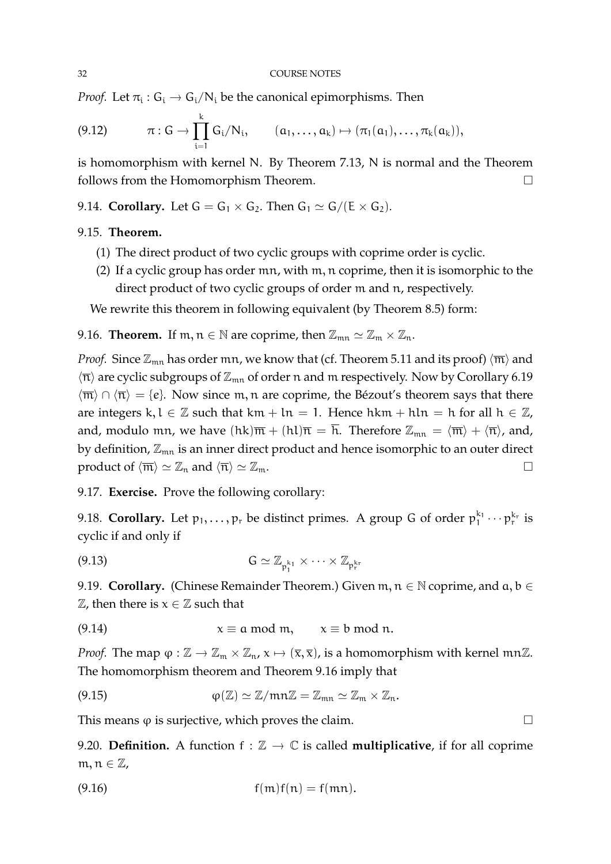*Proof.* Let  $\pi_i$  :  $G_i \rightarrow G_i/N_i$  be the canonical epimorphisms. Then

$$
(9.12) \t\t \pi: G \to \prod_{i=1}^k G_i/N_i, \t (a_1,\ldots,a_k) \mapsto (\pi_1(a_1),\ldots,\pi_k(a_k)),
$$

is homomorphism with kernel N. By Theorem 7.13, N is normal and the Theorem follows from the Homomorphism Theorem.

9.14. **Corollary.** Let  $G = G_1 \times G_2$ . Then  $G_1 \simeq G/(E \times G_2)$ .

# 9.15. **Theorem.**

- (1) The direct product of two cyclic groups with coprime order is cyclic.
- (2) If a cyclic group has order mn, with m, n coprime, then it is isomorphic to the direct product of two cyclic groups of order m and n, respectively.

We rewrite this theorem in following equivalent (by Theorem 8.5) form:

9.16. **Theorem.** If  $m, n \in \mathbb{N}$  are coprime, then  $\mathbb{Z}_{mn} \simeq \mathbb{Z}_m \times \mathbb{Z}_n$ .

*Proof.* Since  $\mathbb{Z}_{mn}$  has order  $mn$ , we know that (cf. Theorem 5.11 and its proof)  $\langle \overline{m} \rangle$  and  $\langle \overline{n} \rangle$  are cyclic subgroups of  $\mathbb{Z}_{mn}$  of order n and m respectively. Now by Corollary 6.19  $\langle \overline{m} \rangle \cap \langle \overline{n} \rangle = \{e\}.$  Now since m, n are coprime, the Bézout's theorem says that there are integers k, l  $\in \mathbb{Z}$  such that km + ln = 1. Hence hkm + hln = h for all h  $\in \mathbb{Z}$ , and, modulo mn, we have  $(hk)\overline{m} + (hl)\overline{n} = \overline{h}$ . Therefore  $\mathbb{Z}_{mn} = \langle \overline{m} \rangle + \langle \overline{n} \rangle$ , and, by definition,  $\mathbb{Z}_{mn}$  is an inner direct product and hence isomorphic to an outer direct product of  $\langle \overline{m} \rangle \simeq \mathbb{Z}_n$  and  $\langle \overline{n} \rangle \simeq \mathbb{Z}_m$ .

9.17. **Exercise.** Prove the following corollary:

9.18. Corollary. Let  $p_1, \ldots, p_r$  be distinct primes. A group G of order  $p_1^{k_1} \cdots p_r^{k_r}$  is cyclic if and only if

$$
(9.13) \tG \simeq \mathbb{Z}_{p_1^{k_1}} \times \cdots \times \mathbb{Z}_{p_r^{k_r}}
$$

9.19. **Corollary.** (Chinese Remainder Theorem.) Given  $m, n \in \mathbb{N}$  coprime, and  $a, b \in \mathbb{N}$  $\mathbb Z$ , then there is  $x \in \mathbb Z$  such that

(9.14) 
$$
x \equiv a \mod m, \qquad x \equiv b \mod n.
$$

*Proof.* The map  $\varphi : \mathbb{Z} \to \mathbb{Z}_m \times \mathbb{Z}_n$ ,  $x \mapsto (\overline{x}, \overline{x})$ , is a homomorphism with kernel mn $\mathbb{Z}$ . The homomorphism theorem and Theorem 9.16 imply that

(9.15) 
$$
\varphi(\mathbb{Z}) \simeq \mathbb{Z}/mn\mathbb{Z} = \mathbb{Z}_{mn} \simeq \mathbb{Z}_m \times \mathbb{Z}_n.
$$

This means  $\varphi$  is surjective, which proves the claim.

9.20. **Definition.** A function  $f : \mathbb{Z} \to \mathbb{C}$  is called **multiplicative**, if for all coprime  $m, n \in \mathbb{Z}$ ,

$$
f(m)f(n) = f(mn).
$$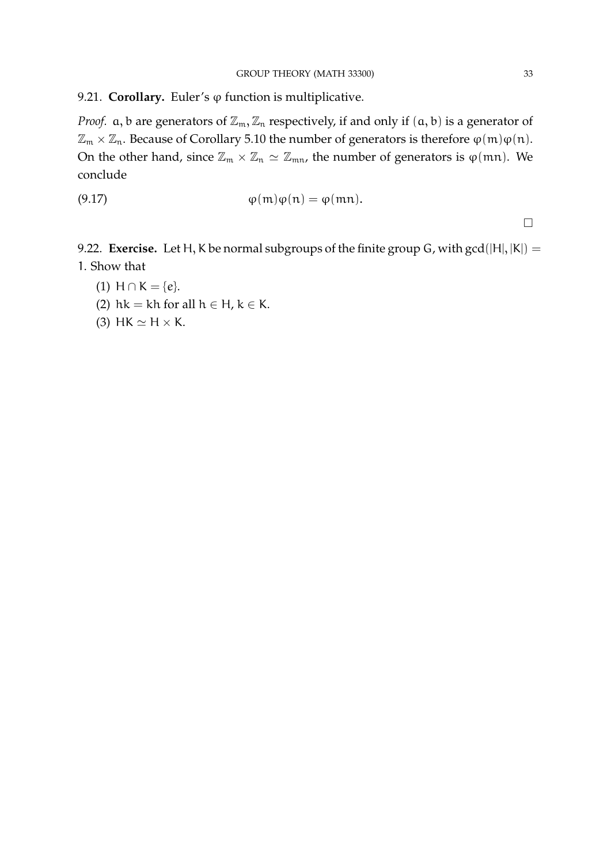9.21. **Corollary.** Euler's  $\varphi$  function is multiplicative.

*Proof.*  $a, b$  are generators of  $\mathbb{Z}_m$ ,  $\mathbb{Z}_n$  respectively, if and only if  $(a, b)$  is a generator of  $\mathbb{Z}_m \times \mathbb{Z}_n$ . Because of Corollary 5.10 the number of generators is therefore  $\varphi(m)\varphi(n)$ . On the other hand, since  $\mathbb{Z}_m \times \mathbb{Z}_n \simeq \mathbb{Z}_{mn}$ , the number of generators is  $\varphi(mn)$ . We conclude

$$
\varphi(m)\varphi(n) = \varphi(mn).
$$

 $\Box$ 

9.22. **Exercise.** Let H, K be normal subgroups of the finite group G, with  $gcd(|H|, |K|) =$ 1. Show that

(1) 
$$
H \cap K = \{e\}.
$$

- (2) hk = kh for all  $h \in H$ ,  $k \in K$ .
- (3) HK  $\simeq$  H  $\times$  K.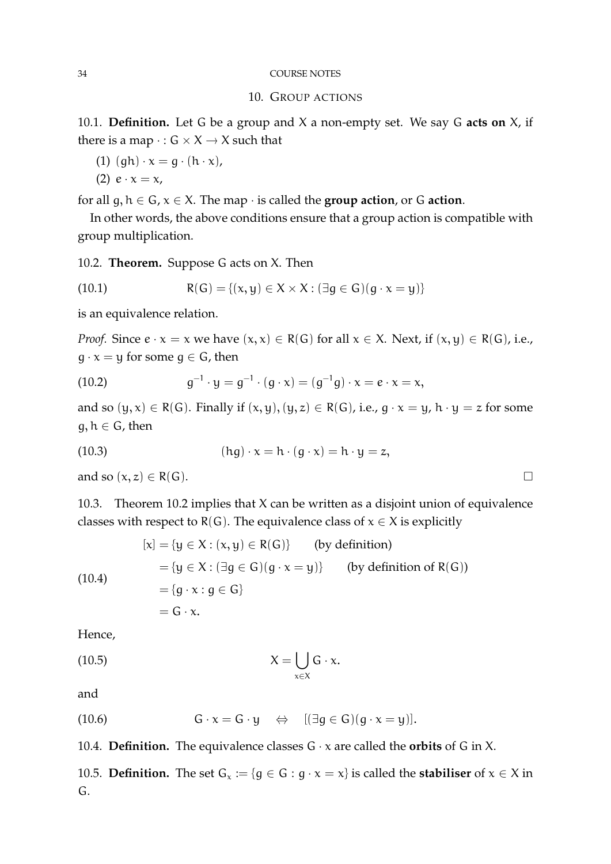# 34 COURSE NOTES

# 10. GROUP ACTIONS

10.1. **Definition.** Let G be a group and X a non-empty set. We say G **acts on** X, if there is a map  $\cdot$  :  $G \times X \rightarrow X$  such that

- (1)  $(gh) \cdot x = g \cdot (h \cdot x)$ ,
- (2)  $e \cdot x = x$ ,

for all  $g, h \in G$ ,  $x \in X$ . The map  $\cdot$  is called the **group action**, or G **action**.

In other words, the above conditions ensure that a group action is compatible with group multiplication.

10.2. **Theorem.** Suppose G acts on X. Then

(10.1) 
$$
R(G) = \{(x, y) \in X \times X : (\exists g \in G)(g \cdot x = y)\}
$$

is an equivalence relation.

*Proof.* Since  $e \cdot x = x$  we have  $(x, x) \in R(G)$  for all  $x \in X$ . Next, if  $(x, y) \in R(G)$ , i.e.,  $g \cdot x = y$  for some  $g \in G$ , then

(10.2) 
$$
g^{-1} \cdot y = g^{-1} \cdot (g \cdot x) = (g^{-1}g) \cdot x = e \cdot x = x,
$$

and so  $(y, x) \in R(G)$ . Finally if  $(x, y), (y, z) \in R(G)$ , i.e.,  $g \cdot x = y$ ,  $h \cdot y = z$  for some  $g, h \in G$ , then

(10.3) 
$$
(hg) \cdot x = h \cdot (g \cdot x) = h \cdot y = z,
$$

and so  $(x, z) \in R(G)$ .

10.3. Theorem 10.2 implies that X can be written as a disjoint union of equivalence classes with respect to R(G). The equivalence class of  $x \in X$  is explicitly

(10.4)  
\n
$$
[\mathbf{x}] = {\mathbf{y} \in X : (x, y) \in R(G)} \text{ (by definition)}
$$
\n
$$
= {\mathbf{y} \in X : (\exists g \in G)(g \cdot x = y)} \text{ (by definition of } R(G))
$$
\n
$$
= {\mathbf{g} \cdot x : g \in G}
$$
\n
$$
= G \cdot x.
$$

Hence,

$$
X = \bigcup_{x \in X} G \cdot x.
$$

and

(10.6) 
$$
G \cdot x = G \cdot y \quad \Leftrightarrow \quad [(\exists g \in G)(g \cdot x = y)].
$$

10.4. **Definition.** The equivalence classes  $G \cdot x$  are called the **orbits** of G in X.

10.5. **Definition.** The set  $G_x := \{g \in G : g \cdot x = x\}$  is called the **stabiliser** of  $x \in X$  in G.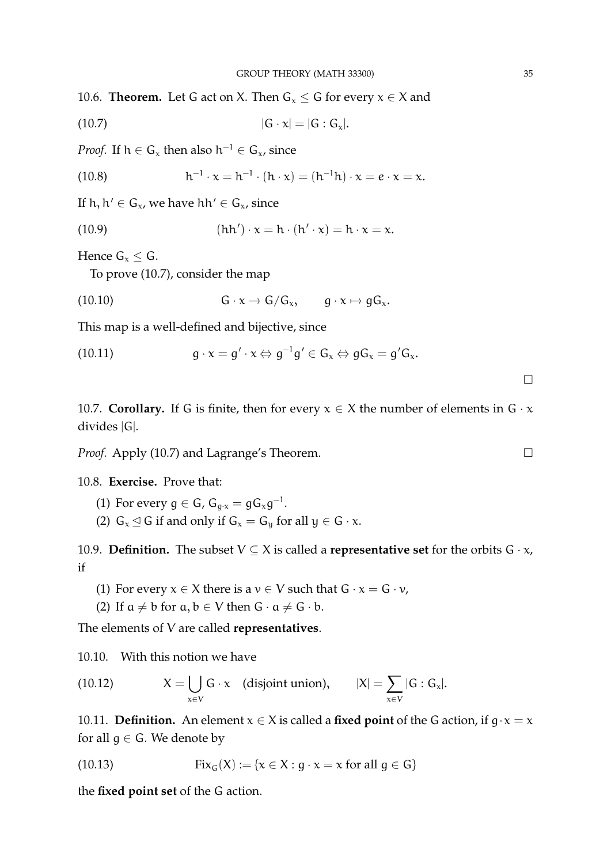10.6. **Theorem.** Let G act on X. Then  $G_x \leq G$  for every  $x \in X$  and

$$
|G \cdot x| = |G : G_x|.
$$

*Proof.* If  $h \in G_x$  then also  $h^{-1} \in G_x$ , since

(10.8) 
$$
h^{-1} \cdot x = h^{-1} \cdot (h \cdot x) = (h^{-1}h) \cdot x = e \cdot x = x.
$$

If h,  $h' \in G_{x}$ , we have hh'  $\in G_{x}$ , since

(10.9) 
$$
(hh') \cdot x = h \cdot (h' \cdot x) = h \cdot x = x.
$$

Hence  $G_x \leq G$ .

To prove (10.7), consider the map

(10.10) 
$$
G \cdot x \to G/G_x, \qquad g \cdot x \mapsto gG_x.
$$

This map is a well-defined and bijective, since

(10.11) 
$$
g \cdot x = g' \cdot x \Leftrightarrow g^{-1}g' \in G_x \Leftrightarrow gG_x = g'G_x.
$$

10.7. **Corollary.** If G is finite, then for every  $x \in X$  the number of elements in  $G \cdot x$ divides |G|.

*Proof.* Apply (10.7) and Lagrange's Theorem. □

10.8. **Exercise.** Prove that:

- (1) For every  $g \in G$ ,  $G_{g \cdot x} = g G_x g^{-1}$ .
- (2)  $G_x \trianglelefteq G$  if and only if  $G_x = G_y$  for all  $y \in G \cdot x$ .

10.9. **Definition.** The subset  $V \subseteq X$  is called a **representative set** for the orbits  $G \cdot x$ , if

- (1) For every  $x \in X$  there is a  $v \in V$  such that  $G \cdot x = G \cdot v$ ,
- (2) If  $a \neq b$  for  $a, b \in V$  then  $G \cdot a \neq G \cdot b$ .

The elements of V are called **representatives**.

10.10. With this notion we have

(10.12) 
$$
X = \bigcup_{x \in V} G \cdot x \quad \text{(disjoint union)}, \qquad |X| = \sum_{x \in V} |G : G_x|.
$$

10.11. **Definition.** An element  $x \in X$  is called a **fixed point** of the G action, if  $g \cdot x = x$ for all  $g \in G$ . We denote by

(10.13) 
$$
Fix_G(X) := \{x \in X : g \cdot x = x \text{ for all } g \in G\}
$$

the **fixed point set** of the G action.

 $\Box$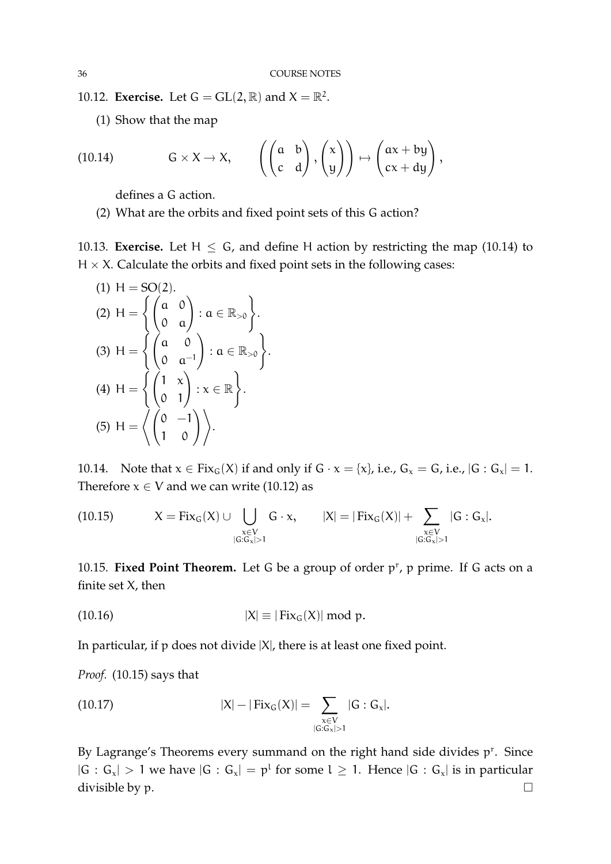10.12. **Exercise.** Let  $G = GL(2, \mathbb{R})$  and  $X = \mathbb{R}^2$ .

(1) Show that the map

(10.14) 
$$
G \times X \to X
$$
,  $\left( \begin{pmatrix} a & b \\ c & d \end{pmatrix}, \begin{pmatrix} x \\ y \end{pmatrix} \right) \mapsto \begin{pmatrix} ax + by \\ cx + dy \end{pmatrix}$ ,

defines a G action.

(2) What are the orbits and fixed point sets of this G action?

10.13. **Exercise.** Let  $H \leq G$ , and define H action by restricting the map (10.14) to  $H \times X$ . Calculate the orbits and fixed point sets in the following cases:

(1) 
$$
H = SO(2)
$$
.  
\n(2)  $H = \left\{ \begin{pmatrix} a & 0 \\ 0 & a \end{pmatrix} : a \in \mathbb{R}_{>0} \right\}$ .  
\n(3)  $H = \left\{ \begin{pmatrix} a & 0 \\ 0 & a^{-1} \end{pmatrix} : a \in \mathbb{R}_{>0} \right\}$ .  
\n(4)  $H = \left\{ \begin{pmatrix} 1 & x \\ 0 & 1 \end{pmatrix} : x \in \mathbb{R} \right\}$ .  
\n(5)  $H = \left\{ \begin{pmatrix} 0 & -1 \\ 1 & 0 \end{pmatrix} \right\}$ .

10.14. Note that  $x \in Fix_G(X)$  if and only if  $G \cdot x = \{x\}$ , i.e.,  $G_x = G$ , i.e.,  $|G : G_x| = 1$ . Therefore  $x \in V$  and we can write (10.12) as

(10.15) 
$$
X = Fix_G(X) \cup \bigcup_{\substack{x \in V \\ |G:G_x| > 1}} G \cdot x, \qquad |X| = |Fix_G(X)| + \sum_{\substack{x \in V \\ |G:G_x| > 1}} |G:G_x|.
$$

10.15. Fixed Point Theorem. Let G be a group of order p<sup>r</sup>, p prime. If G acts on a finite set X, then

(10.16) 
$$
|X| \equiv |\text{Fix}_G(X)| \bmod p.
$$

In particular, if  $p$  does not divide  $|X|$ , there is at least one fixed point.

*Proof.* (10.15) says that

(10.17) 
$$
|X| - |Fix_G(X)| = \sum_{\substack{x \in V \\ |G:G_x| > 1}} |G:G_x|.
$$

By Lagrange's Theorems every summand on the right hand side divides  $p<sup>r</sup>$ . Since  $|G : G_x| > 1$  we have  $|G : G_x| = p^1$  for some  $l \ge 1$ . Hence  $|G : G_x|$  is in particular divisible by p.  $\Box$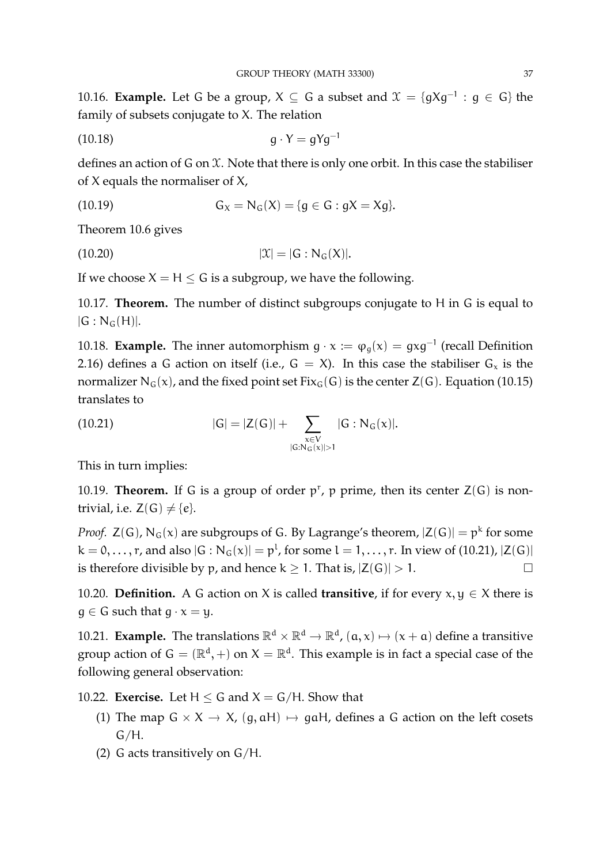10.16. **Example.** Let G be a group,  $X \subseteq G$  a subset and  $\mathcal{X} = \{gXg^{-1} : g \in G\}$  the family of subsets conjugate to X. The relation

$$
(10.18) \t\t\t g \cdot Y = gYg^{-1}
$$

defines an action of G on X. Note that there is only one orbit. In this case the stabiliser of X equals the normaliser of X,

(10.19) 
$$
G_X = N_G(X) = \{g \in G : gX = Xg\}.
$$

Theorem 10.6 gives

(10.20) 
$$
|\mathcal{X}| = |G : N_G(X)|
$$
.

If we choose  $X = H \le G$  is a subgroup, we have the following.

10.17. **Theorem.** The number of distinct subgroups conjugate to H in G is equal to  $|G : N_G(H)|$ .

10.18. **Example.** The inner automorphism  $g \cdot x := \varphi_g(x) = gxg^{-1}$  (recall Definition 2.16) defines a G action on itself (i.e.,  $G = X$ ). In this case the stabiliser  $G_x$  is the normalizer N<sub>G</sub>(x), and the fixed point set Fix<sub>G</sub>(G) is the center Z(G). Equation (10.15) translates to

(10.21) 
$$
|G| = |Z(G)| + \sum_{\substack{x \in V \\ |G:N_G(x)| > 1}} |G:N_G(x)|.
$$

This in turn implies:

10.19. **Theorem.** If G is a group of order  $p^r$ , p prime, then its center  $Z(G)$  is nontrivial, i.e.  $Z(G) \neq \{e\}.$ 

*Proof.*  $Z(G)$ ,  $N_G(x)$  are subgroups of G. By Lagrange's theorem,  $|Z(G)| = p^k$  for some  $k = 0, \ldots, r$ , and also  $|G : N_G(x)| = p^l$ , for some  $l = 1, \ldots, r$ . In view of (10.21),  $|Z(G)|$ is therefore divisible by p, and hence  $k \ge 1$ . That is,  $|Z(G)| > 1$ .

10.20. **Definition.** A G action on X is called **transitive**, if for every  $x, y \in X$  there is  $q \in G$  such that  $q \cdot x = y$ .

10.21. **Example.** The translations  $\mathbb{R}^d \times \mathbb{R}^d \to \mathbb{R}^d$ ,  $(a, x) \mapsto (x + a)$  define a transitive group action of  $G = (\mathbb{R}^d, +)$  on  $X = \mathbb{R}^d$ . This example is in fact a special case of the following general observation:

10.22. **Exercise.** Let  $H \leq G$  and  $X = G/H$ . Show that

- (1) The map  $G \times X \rightarrow X$ ,  $(g, aH) \mapsto gaH$ , defines a G action on the left cosets  $G/H$ .
- (2) G acts transitively on G/H.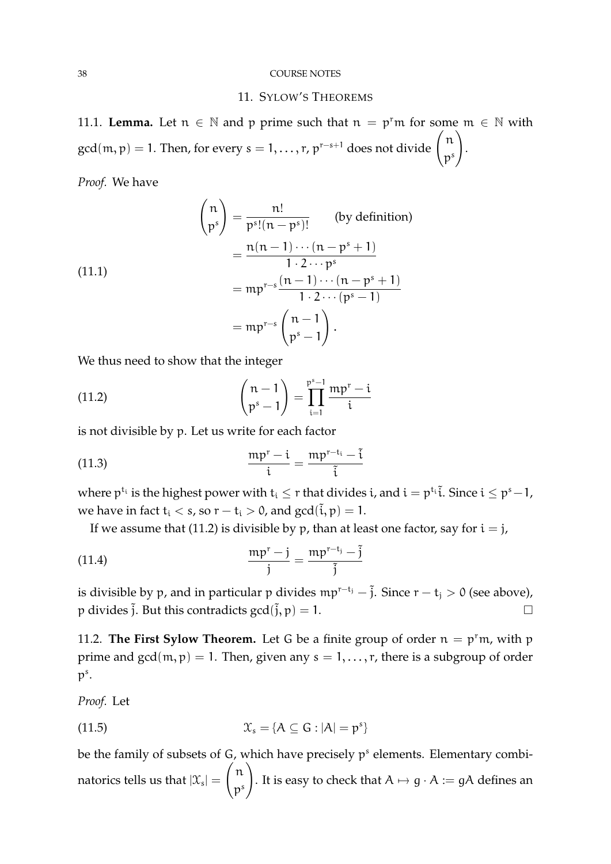#### 38 COURSE NOTES

### 11. SYLOW'S THEOREMS

11.1. **Lemma.** Let  $n \in \mathbb{N}$  and p prime such that  $n = p<sup>r</sup>$  for some  $m \in \mathbb{N}$  with gcd $(\mathfrak{m}, \mathfrak{p}) = 1$ . Then, for every  $s = 1, \ldots, r$ ,  $\mathfrak{p}^{r-s+1}$  does not divide  $\begin{pmatrix} n \\ s \end{pmatrix}$ p s  $\setminus$ .

*Proof.* We have

(11.1)  
\n
$$
\binom{n}{p^s} = \frac{n!}{p^s!(n-p^s)!}
$$
\n
$$
= \frac{n(n-1)\cdots(n-p^s+1)}{1\cdot 2\cdots p^s}
$$
\n
$$
= mp^{r-s} \frac{(n-1)\cdots(n-p^s+1)}{1\cdot 2\cdots(p^s-1)}
$$
\n
$$
= mp^{r-s} \left(\frac{n-1}{p^s-1}\right).
$$

We thus need to show that the integer

(11.2) 
$$
\begin{pmatrix} n-1 \ p^s-1 \end{pmatrix} = \prod_{i=1}^{p^s-1} \frac{mp^r - i}{i}
$$

is not divisible by p. Let us write for each factor

(11.3) 
$$
\frac{mp^{r}-i}{i} = \frac{mp^{r-t_i}-i}{\tilde{i}}
$$

where  $p^{t_i}$  is the highest power with  $t_i \leq r$  that divides  $i$ , and  $i = p^{t_i} \tilde{i}$ . Since  $i \leq p^s-1$ , we have in fact  $t_i < s$ , so  $r - t_i > 0$ , and  $gcd(\tilde{i}, p) = 1$ .

If we assume that (11.2) is divisible by p, than at least one factor, say for  $i = j$ ,

$$
\frac{\mathfrak{m} \mathfrak{p}^{\mathfrak{r}} - \mathfrak{j}}{\mathfrak{j}} = \frac{\mathfrak{m} \mathfrak{p}^{\mathfrak{r} - \mathfrak{t}_{\mathfrak{j}}}}{\mathfrak{j}}
$$

is divisible by p, and in particular p divides  $mp^{r-t_j} - \tilde{j}$ . Since  $r - t_j > 0$  (see above), p divides  $\tilde{j}$ . But this contradicts  $gcd(\tilde{j}, p) = 1$ .

11.2. **The First Sylow Theorem.** Let G be a finite group of order  $n = p<sup>r</sup>m$ , with p prime and  $gcd(m, p) = 1$ . Then, given any  $s = 1, ..., r$ , there is a subgroup of order  $p^s$ .

*Proof.* Let

(11.5) 
$$
\mathfrak{X}_s = \{ A \subseteq G : |A| = p^s \}
$$

be the family of subsets of  $G$ , which have precisely  $p<sup>s</sup>$  elements. Elementary combinatorics tells us that  $|\mathfrak{X}_\mathrm{s}| =$  $\bigl/n$ p s  $\setminus$ . It is easy to check that  $A \mapsto g \cdot A := gA$  defines an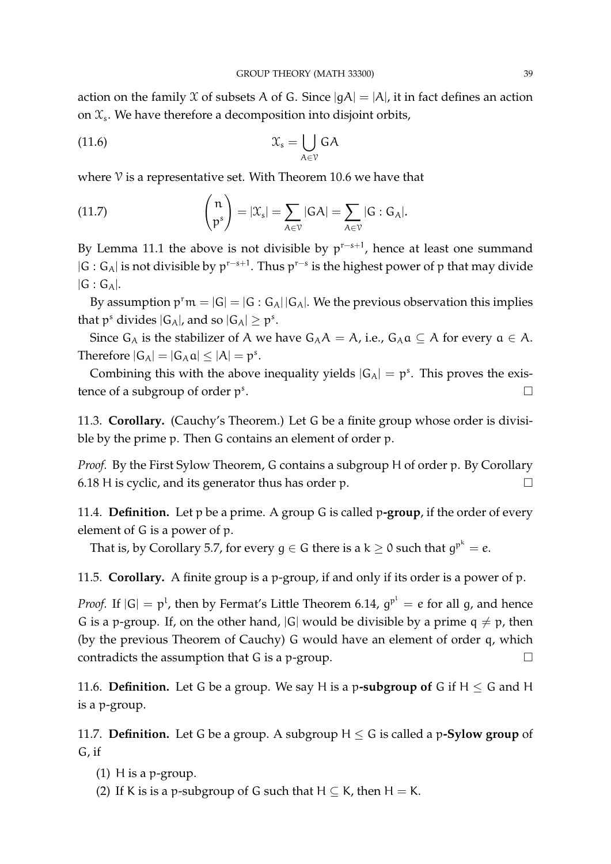action on the family  $X$  of subsets A of G. Since  $|gA| = |A|$ , it in fact defines an action on  $\mathfrak{X}_s$ . We have therefore a decomposition into disjoint orbits,

$$
\mathfrak{X}_{s} = \bigcup_{A \in \mathcal{V}} \mathsf{G}A
$$

where  $\mathcal V$  is a representative set. With Theorem 10.6 we have that

(11.7) 
$$
\binom{n}{p^s} = |\mathcal{X}_s| = \sum_{A \in \mathcal{V}} |GA| = \sum_{A \in \mathcal{V}} |G : G_A|.
$$

By Lemma 11.1 the above is not divisible by  $p^{r-s+1}$ , hence at least one summand  $|G : G_A|$  is not divisible by  $p^{r-s+1}$ . Thus  $p^{r-s}$  is the highest power of p that may divide  $|G : G_A|$ .

By assumption  $p^r m = |G| = |G : G_A||G_A|$ . We the previous observation this implies that  $p^s$  divides  $|G_A|$ , and so  $|G_A| \geq p^s$ .

Since  $G_A$  is the stabilizer of A we have  $G_A A = A$ , i.e.,  $G_A a \subseteq A$  for every  $a \in A$ . Therefore  $|G_A| = |G_A \mathfrak{a}| \leq |A| = \mathfrak{p}^s$ .

Combining this with the above inequality yields  $|G_A| = p^s$ . This proves the existence of a subgroup of order  $p^s$ .

11.3. **Corollary.** (Cauchy's Theorem.) Let G be a finite group whose order is divisible by the prime p. Then G contains an element of order p.

*Proof.* By the First Sylow Theorem, G contains a subgroup H of order p. By Corollary 6.18 H is cyclic, and its generator thus has order p.  $\Box$ 

11.4. **Definition.** Let p be a prime. A group G is called p**-group**, if the order of every element of G is a power of p.

That is, by Corollary 5.7, for every  $g\in G$  there is a k  $\geq$  0 such that  $g^{p^k}=e.$ 

11.5. **Corollary.** A finite group is a p-group, if and only if its order is a power of p.

*Proof.* If  $|G| = p^l$ , then by Fermat's Little Theorem 6.14,  $g^{p^l} = e$  for all g, and hence G is a p-group. If, on the other hand,  $|G|$  would be divisible by a prime  $q \neq p$ , then (by the previous Theorem of Cauchy) G would have an element of order q, which contradicts the assumption that G is a p-group.  $\Box$ 

11.6. **Definition.** Let G be a group. We say H is a p-subgroup of G if  $H \leq G$  and H is a p-group.

11.7. **Definition.** Let G be a group. A subgroup  $H \le G$  is called a p-**Sylow group** of G, if

- (1) H is a p-group.
- (2) If K is is a p-subgroup of G such that  $H \subseteq K$ , then  $H = K$ .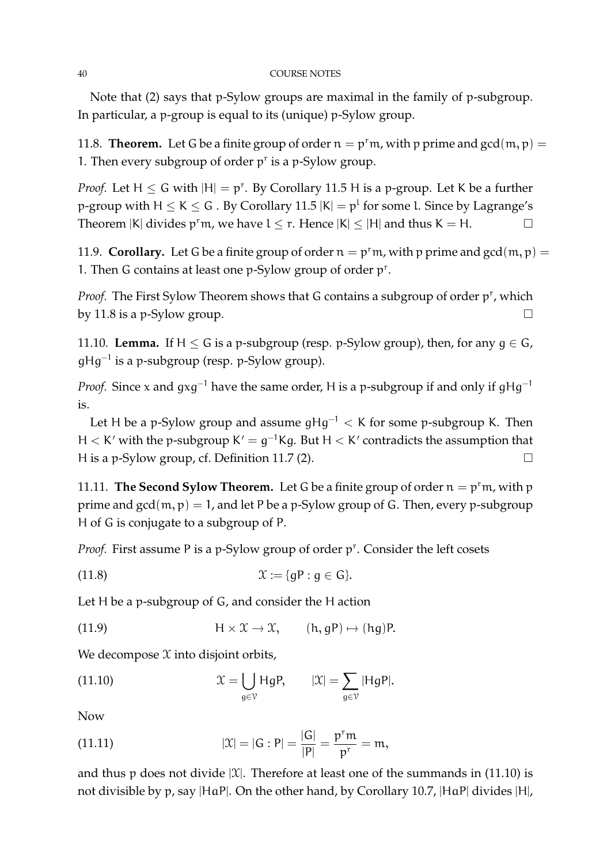#### 40 COURSE NOTES

Note that (2) says that p-Sylow groups are maximal in the family of p-subgroup. In particular, a p-group is equal to its (unique) p-Sylow group.

11.8. **Theorem.** Let G be a finite group of order  $n = p<sup>r</sup>m$ , with p prime and  $gcd(m, p)$ 1. Then every subgroup of order  $p<sup>r</sup>$  is a p-Sylow group.

*Proof.* Let  $H \le G$  with  $|H| = p^r$ . By Corollary 11.5 H is a p-group. Let K be a further p-group with H  $\leq$  K  $\leq$  G . By Corollary 11.5  $|{\sf K}| = p^1$  for some l. Since by Lagrange's Theorem  $|K|$  divides  $p^r m$ , we have  $l \leq r$ . Hence  $|K| \leq |H|$  and thus  $K = H$ .

11.9. **Corollary.** Let G be a finite group of order  $n = p<sup>r</sup>m$ , with p prime and  $gcd(m, p)$ 1. Then G contains at least one p-Sylow group of order p<sup>r</sup>.

Proof. The First Sylow Theorem shows that G contains a subgroup of order p<sup>r</sup>, which by 11.8 is a p-Sylow group.  $\square$ 

11.10. **Lemma.** If  $H \leq G$  is a p-subgroup (resp. p-Sylow group), then, for any  $g \in G$ , gHg<sup>−</sup><sup>1</sup> is a p-subgroup (resp. p-Sylow group).

*Proof.* Since x and  $qxq^{-1}$  have the same order, H is a p-subgroup if and only if  $qHq^{-1}$ is.

Let H be a p-Sylow group and assume  $gHg^{-1} < K$  for some p-subgroup K. Then H  $\lt$  K' with the p-subgroup K' =  $g^{-1}$ Kg. But H  $\lt$  K' contradicts the assumption that H is a p-Sylow group, cf. Definition 11.7 (2).  $\Box$ 

11.11. **The Second Sylow Theorem.** Let G be a finite group of order  $n = p<sup>r</sup>m$ , with p prime and  $gcd(m, p) = 1$ , and let P be a p-Sylow group of G. Then, every p-subgroup H of G is conjugate to a subgroup of P.

Proof. First assume P is a p-Sylow group of order p<sup>r</sup>. Consider the left cosets

$$
\mathfrak{X} := \{ gP : g \in G \}.
$$

Let H be a p-subgroup of G, and consider the H action

(11.9)  $H \times \mathcal{X} \to \mathcal{X}$ ,  $(h, qP) \mapsto (hq)P$ .

We decompose  $X$  into disjoint orbits,

(11.10) 
$$
\mathfrak{X} = \bigcup_{g \in \mathcal{V}} HgP, \qquad |\mathfrak{X}| = \sum_{g \in \mathcal{V}} |HgP|.
$$

Now

(11.11) 
$$
|\mathfrak{X}| = |G : P| = \frac{|G|}{|P|} = \frac{p^r m}{p^r} = m,
$$

and thus p does not divide  $|\mathfrak{X}|$ . Therefore at least one of the summands in (11.10) is not divisible by p, say |HaP|. On the other hand, by Corollary 10.7, |HaP| divides |H|,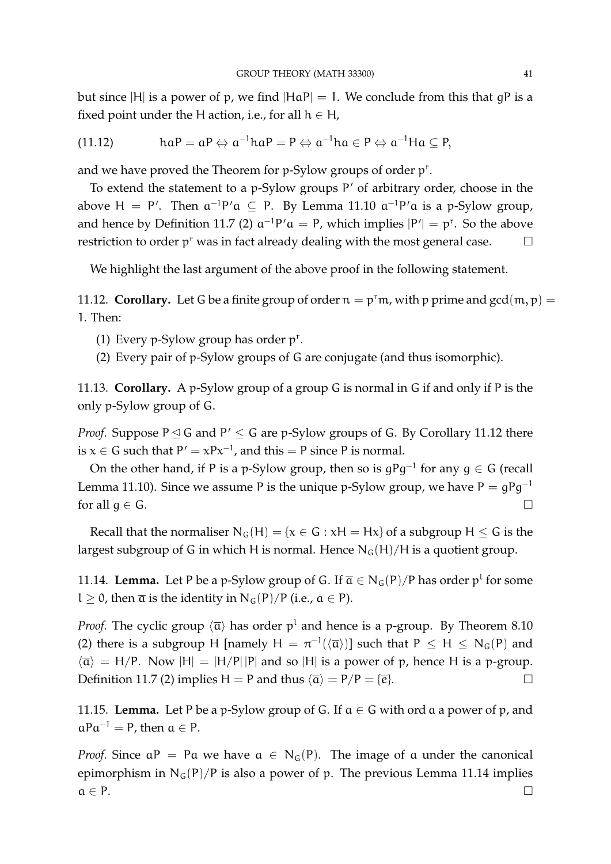but since |H| is a power of p, we find  $|{\rm HaP}| = 1$ . We conclude from this that gP is a fixed point under the H action, i.e., for all  $h \in H$ ,

(11.12) 
$$
haP = aP \Leftrightarrow a^{-1}haP = P \Leftrightarrow a^{-1}ha \in P \Leftrightarrow a^{-1}Ha \subseteq P,
$$

and we have proved the Theorem for p-Sylow groups of order p<sup>r</sup>.

To extend the statement to a p-Sylow groups P' of arbitrary order, choose in the above H = P'. Then  $a^{-1}P' a \subseteq P$ . By Lemma 11.10  $a^{-1}P' a$  is a p-Sylow group, and hence by Definition 11.7 (2)  $a^{-1}P' a = P$ , which implies  $|P'| = p^r$ . So the above restriction to order  $p^r$  was in fact already dealing with the most general case.  $\Box$ 

We highlight the last argument of the above proof in the following statement.

11.12. **Corollary.** Let G be a finite group of order  $n = p<sup>r</sup>m$ , with p prime and  $gcd(m, p)$  = 1. Then:

- (1) Every p-Sylow group has order  $p^r$ .
- (2) Every pair of p-Sylow groups of G are conjugate (and thus isomorphic).

11.13. **Corollary.** A p-Sylow group of a group G is normal in G if and only if P is the only p-Sylow group of G.

*Proof.* Suppose  $P \trianglelefteq G$  and  $P' \leq G$  are p-Sylow groups of G. By Corollary 11.12 there is  $x \in G$  such that  $P' = xPx^{-1}$ , and this = P since P is normal.

On the other hand, if P is a p-Sylow group, then so is  $gPg^{-1}$  for any  $g \in G$  (recall Lemma 11.10). Since we assume P is the unique p-Sylow group, we have  $P = gPg^{-1}$ for all  $g \in G$ .

Recall that the normaliser  $N_G(H) = \{x \in G : xH = Hx\}$  of a subgroup  $H \leq G$  is the largest subgroup of G in which H is normal. Hence  $N_G(H)/H$  is a quotient group.

11.14. **Lemma.** Let P be a p-Sylow group of G. If  $\overline{a} \in N_G(P)/P$  has order p<sup>1</sup> for some l  $\geq$  0, then  $\overline{a}$  is the identity in N<sub>G</sub>(P)/P (i.e.,  $a \in P$ ).

*Proof.* The cyclic group  $\langle \overline{a} \rangle$  has order  $p^1$  and hence is a p-group. By Theorem 8.10 (2) there is a subgroup H [namely  $H = \pi^{-1}(\langle \overline{a} \rangle)$ ] such that  $P \leq H \leq N_G(P)$  and  $\langle \overline{\alpha} \rangle = H/P$ . Now  $|H| = |H/P||P|$  and so  $|H|$  is a power of p, hence H is a p-group. Definition 11.7 (2) implies H = P and thus  $\langle \overline{\mathfrak{a}} \rangle = P/P = {\overline{e}}.$ 

11.15. **Lemma.** Let P be a p-Sylow group of G. If  $a \in G$  with ord a a power of p, and  $aPa^{-1} = P$ , then  $a \in P$ .

*Proof.* Since  $aP = Pa$  we have  $a \in N_G(P)$ . The image of a under the canonical epimorphism in  $N_G(P)/P$  is also a power of p. The previous Lemma 11.14 implies  $a \in P$ .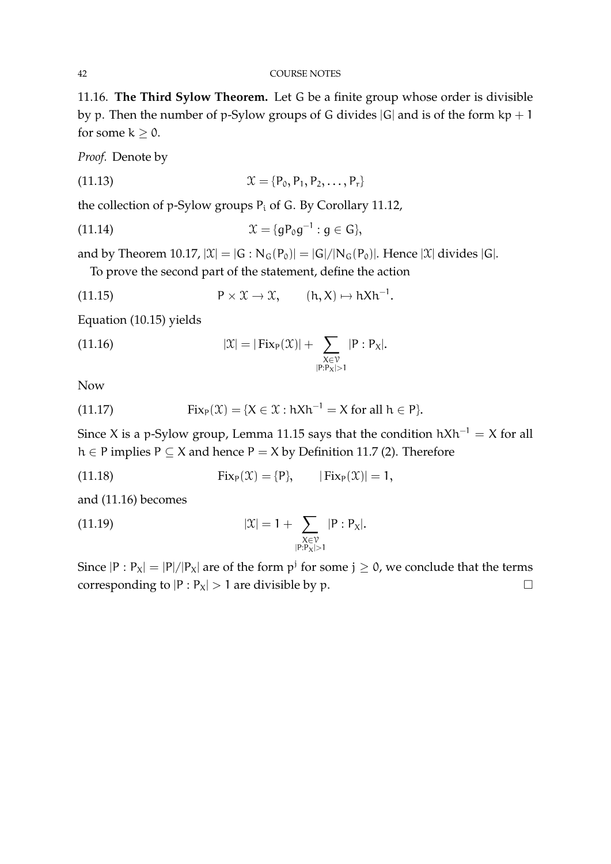11.16. **The Third Sylow Theorem.** Let G be a finite group whose order is divisible by p. Then the number of p-Sylow groups of G divides  $|G|$  and is of the form  $kp + 1$ for some  $k \geq 0$ .

*Proof.* Denote by

(11.13) 
$$
\mathcal{X} = \{P_0, P_1, P_2, \ldots, P_r\}
$$

the collection of p-Sylow groups  $P_i$  of G. By Corollary 11.12,

(11.14) 
$$
\mathfrak{X} = \{gP_0g^{-1} : g \in G\},\
$$

and by Theorem 10.17,  $|\mathfrak{X}| = |G : N_G(P_0)| = |G|/|N_G(P_0)|$ . Hence  $|\mathfrak{X}|$  divides  $|G|$ .

To prove the second part of the statement, define the action

(11.15) 
$$
P \times \mathcal{X} \to \mathcal{X}, \qquad (h, X) \mapsto hXh^{-1}.
$$

Equation (10.15) yields

(11.16) 
$$
|\mathfrak{X}| = |\text{Fix}_{P}(\mathfrak{X})| + \sum_{\substack{X \in \mathcal{V} \\ |P: P_X| > 1}} |P: P_X|.
$$

Now

(11.17) 
$$
Fix_{P}(\mathfrak{X})=\{X\in\mathfrak{X}:hXh^{-1}=X\text{ for all }h\in P\}.
$$

Since X is a p-Sylow group, Lemma 11.15 says that the condition  $hXh^{-1} = X$  for all h ∈ P implies P ⊆ X and hence P = X by Definition 11.7 (2). Therefore

(11.18) 
$$
Fix_{P}(\mathfrak{X}) = \{P\}, \qquad |Fix_{P}(\mathfrak{X})| = 1,
$$

and (11.16) becomes

(11.19) 
$$
|\mathfrak{X}| = 1 + \sum_{\substack{X \in \mathcal{V} \\ |\mathbf{P}: \mathbf{P}_X| > 1}} |\mathbf{P}: \mathbf{P}_X|.
$$

Since  $|P : P_X| = |P|/|P_X|$  are of the form  $p^j$  for some  $j \ge 0$ , we conclude that the terms corresponding to  $|P : P_X| > 1$  are divisible by p.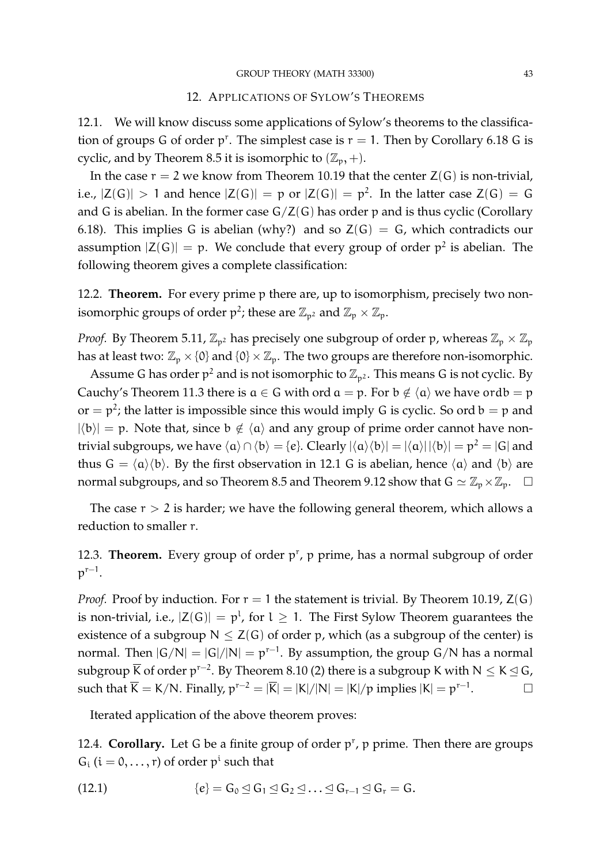# 12. APPLICATIONS OF SYLOW'S THEOREMS

12.1. We will know discuss some applications of Sylow's theorems to the classification of groups G of order  $p^r$ . The simplest case is  $r = 1$ . Then by Corollary 6.18 G is cyclic, and by Theorem 8.5 it is isomorphic to  $(\mathbb{Z}_p, +)$ .

In the case  $r = 2$  we know from Theorem 10.19 that the center  $Z(G)$  is non-trivial, i.e.,  $|Z(G)| > 1$  and hence  $|Z(G)| = p$  or  $|Z(G)| = p^2$ . In the latter case  $Z(G) = G$ and G is abelian. In the former case  $G/Z(G)$  has order p and is thus cyclic (Corollary 6.18). This implies G is abelian (why?) and so  $Z(G) = G$ , which contradicts our assumption  $|Z(G)| = p$ . We conclude that every group of order  $p^2$  is abelian. The following theorem gives a complete classification:

12.2. **Theorem.** For every prime p there are, up to isomorphism, precisely two nonisomorphic groups of order  $p^2$ ; these are  $\mathbb{Z}_{p^2}$  and  $\mathbb{Z}_p \times \mathbb{Z}_p$ .

*Proof.* By Theorem 5.11,  $\mathbb{Z}_{p^2}$  has precisely one subgroup of order p, whereas  $\mathbb{Z}_p \times \mathbb{Z}_p$ has at least two:  $\mathbb{Z}_p \times \{0\}$  and  $\{0\} \times \mathbb{Z}_p$ . The two groups are therefore non-isomorphic.

Assume G has order  $p^2$  and is not isomorphic to  $\mathbb{Z}_{p^2}$ . This means G is not cyclic. By Cauchy's Theorem 11.3 there is  $a \in G$  with ord  $a = p$ . For  $b \notin \langle a \rangle$  we have ord $b = p$ or  $=p^2$ ; the latter is impossible since this would imply G is cyclic. So ord  $b = p$  and  $|\langle b \rangle| = p$ . Note that, since  $b \notin \langle a \rangle$  and any group of prime order cannot have nontrivial subgroups, we have  $\langle a \rangle \cap \langle b \rangle = \{e\}$ . Clearly  $|\langle a \rangle \langle b \rangle| = |\langle a \rangle| |\langle b \rangle| = p^2 = |G|$  and thus  $G = \langle a \rangle \langle b \rangle$ . By the first observation in 12.1 G is abelian, hence  $\langle a \rangle$  and  $\langle b \rangle$  are normal subgroups, and so Theorem 8.5 and Theorem 9.12 show that  $G \simeq \mathbb{Z}_p \times \mathbb{Z}_p$ .  $\Box$ 

The case  $r > 2$  is harder; we have the following general theorem, which allows a reduction to smaller r.

12.3. **Theorem.** Every group of order  $p^r$ ,  $p$  prime, has a normal subgroup of order  $p^{r-1}$ .

*Proof.* Proof by induction. For  $r = 1$  the statement is trivial. By Theorem 10.19,  $Z(G)$ is non-trivial, i.e.,  $|Z(G)| = p^l$ , for  $l \geq 1$ . The First Sylow Theorem guarantees the existence of a subgroup  $N \leq Z(G)$  of order p, which (as a subgroup of the center) is normal. Then  $|G/N| = |G|/|N| = p^{r-1}$ . By assumption, the group  $G/N$  has a normal subgroup  $\overline{\mathsf{K}}$  of order  $\mathsf{p}^{r-2}$ . By Theorem 8.10 (2) there is a subgroup K with N  $\leq$  K  $\trianglelefteq$  G, such that  $\overline{K} = K/N$ . Finally,  $p^{r-2} = |\overline{K}| = |K|/|N| = |K|/p$  implies  $|K| = p^{r-1}$  $\Box$ 

Iterated application of the above theorem proves:

12.4. **Corollary.** Let G be a finite group of order p<sup>r</sup>, p prime. Then there are groups  $G_i$  ( $i = 0, \ldots, r$ ) of order  $p^i$  such that

(12.1) 
$$
\{e\} = G_0 \trianglelefteq G_1 \trianglelefteq G_2 \trianglelefteq \ldots \trianglelefteq G_{r-1} \trianglelefteq G_r = G.
$$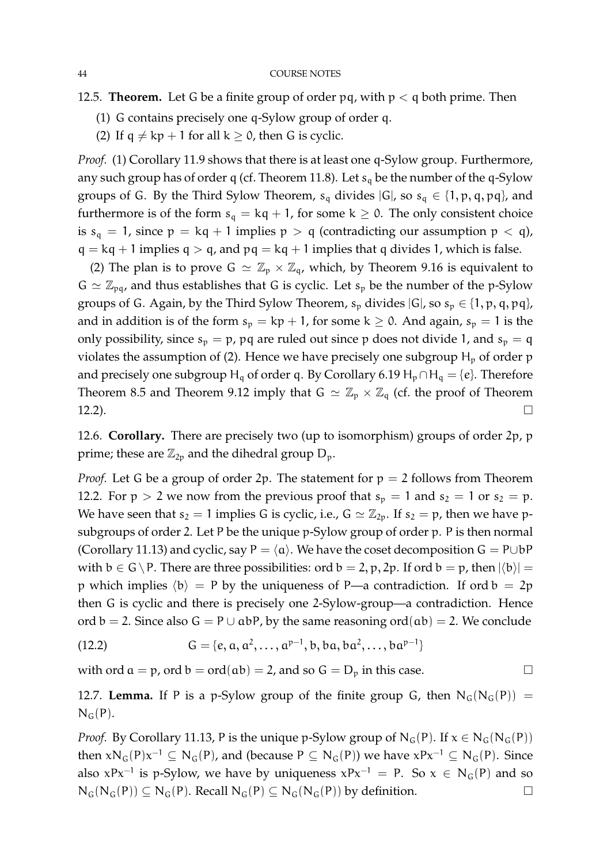- 12.5. **Theorem.** Let G be a finite group of order pq, with  $p < q$  both prime. Then
	- (1) G contains precisely one q-Sylow group of order q.
	- (2) If  $q \neq kp + 1$  for all  $k \geq 0$ , then G is cyclic.

*Proof.* (1) Corollary 11.9 shows that there is at least one q-Sylow group. Furthermore, any such group has of order q (cf. Theorem 11.8). Let  $s_q$  be the number of the q-Sylow groups of G. By the Third Sylow Theorem,  $s_q$  divides  $|G|$ , so  $s_q \in \{1, p, q, pq\}$ , and furthermore is of the form  $s_q = kq + 1$ , for some  $k \ge 0$ . The only consistent choice is  $s_q = 1$ , since  $p = kq + 1$  implies  $p > q$  (contradicting our assumption  $p < q$ ),  $q = kq + 1$  implies  $q > q$ , and  $pq = kq + 1$  implies that q divides 1, which is false.

(2) The plan is to prove  $G \simeq \mathbb{Z}_p \times \mathbb{Z}_q$ , which, by Theorem 9.16 is equivalent to  $G \simeq \mathbb{Z}_{\text{p}q}$ , and thus establishes that G is cyclic. Let  $s_p$  be the number of the p-Sylow groups of G. Again, by the Third Sylow Theorem,  $s_p$  divides  $|G|$ , so  $s_p \in \{1, p, q, pq\}$ , and in addition is of the form  $s_p = kp + 1$ , for some  $k \ge 0$ . And again,  $s_p = 1$  is the only possibility, since  $s_p = p$ ,  $pq$  are ruled out since p does not divide 1, and  $s_p = q$ violates the assumption of (2). Hence we have precisely one subgroup  $H_p$  of order p and precisely one subgroup H<sub>q</sub> of order q. By Corollary 6.19 H<sub>p</sub>∩H<sub>q</sub> = {e}. Therefore Theorem 8.5 and Theorem 9.12 imply that  $G \simeq \mathbb{Z}_p \times \mathbb{Z}_q$  (cf. the proof of Theorem 12.2).

12.6. **Corollary.** There are precisely two (up to isomorphism) groups of order 2p, p prime; these are  $\mathbb{Z}_{2p}$  and the dihedral group  $D_p$ .

*Proof.* Let G be a group of order 2p. The statement for  $p = 2$  follows from Theorem 12.2. For  $p > 2$  we now from the previous proof that  $s_p = 1$  and  $s_2 = 1$  or  $s_2 = p$ . We have seen that  $s_2 = 1$  implies G is cyclic, i.e.,  $G \simeq \mathbb{Z}_{2p}$ . If  $s_2 = p$ , then we have psubgroups of order 2. Let P be the unique p-Sylow group of order p. P is then normal (Corollary 11.13) and cyclic, say P =  $\langle a \rangle$ . We have the coset decomposition G = P∪bP with  $b \in G \backslash P$ . There are three possibilities: ord  $b = 2$ , p, 2p. If ord  $b = p$ , then  $|\langle b \rangle|$  = p which implies  $\langle b \rangle = P$  by the uniqueness of P—a contradiction. If ord b = 2p then G is cyclic and there is precisely one 2-Sylow-group—a contradiction. Hence ord  $b = 2$ . Since also  $G = P \cup abP$ , by the same reasoning ord $(ab) = 2$ . We conclude

(12.2) 
$$
G = \{e, a, a^2, ..., a^{p-1}, b, ba, ba^2, ..., ba^{p-1}\}\
$$

with ord  $a = p$ , ord  $b = ord(ab) = 2$ , and so  $G = D_p$  in this case.

12.7. **Lemma.** If P is a p-Sylow group of the finite group G, then  $N_G(N_G(P))$  =  $N_G(P)$ .

*Proof.* By Corollary 11.13, P is the unique p-Sylow group of  $N_G(P)$ . If  $x \in N_G(N_G(P))$ then  $xN_G(P)x^{-1} \subseteq N_G(P)$ , and (because  $P \subseteq N_G(P)$ ) we have  $xPx^{-1} \subseteq N_G(P)$ . Since also  $xPx^{-1}$  is p-Sylow, we have by uniqueness  $xPx^{-1} = P$ . So  $x \in N_G(P)$  and so  $N_G(N_G(P)) \subseteq N_G(P)$ . Recall  $N_G(P) \subseteq N_G(N_G(P))$  by definition.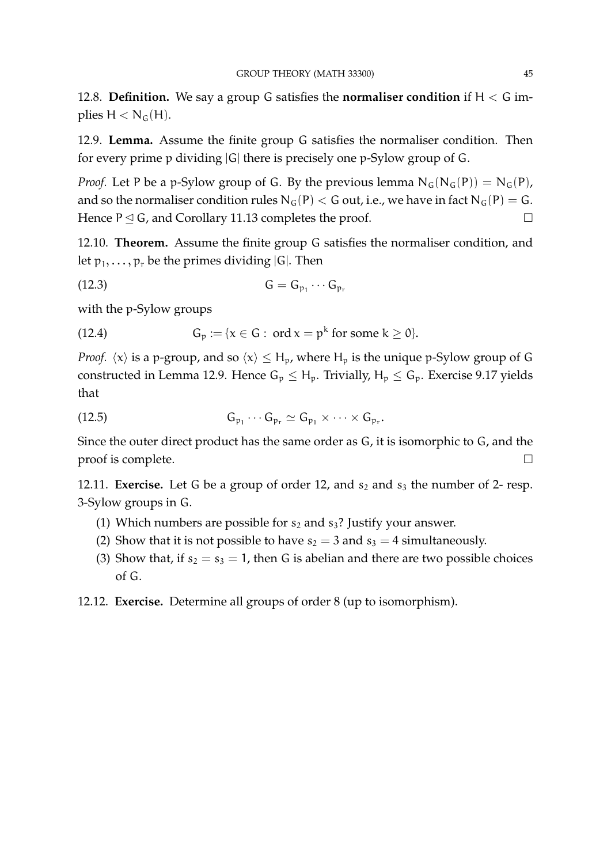12.8. **Definition.** We say a group G satisfies the **normaliser condition** if H < G implies  $H < N<sub>G</sub>(H)$ .

12.9. **Lemma.** Assume the finite group G satisfies the normaliser condition. Then for every prime p dividing |G| there is precisely one p-Sylow group of G.

*Proof.* Let P be a p-Sylow group of G. By the previous lemma  $N_G(N_G(P)) = N_G(P)$ , and so the normaliser condition rules  $N_G(P) < G$  out, i.e., we have in fact  $N_G(P) = G$ . Hence  $P \trianglelefteq G$ , and Corollary 11.13 completes the proof.

12.10. **Theorem.** Assume the finite group G satisfies the normaliser condition, and let  $p_1, \ldots, p_r$  be the primes dividing  $|G|$ . Then

$$
(12.3) \tG = G_{p_1} \cdots G_{p_r}
$$

with the p-Sylow groups

(12.4) 
$$
G_p := \{x \in G : \text{ ord } x = p^k \text{ for some } k \geq 0\}.
$$

*Proof.*  $\langle x \rangle$  is a p-group, and so  $\langle x \rangle \leq H_p$ , where  $H_p$  is the unique p-Sylow group of G constructed in Lemma 12.9. Hence  $G_p \leq H_p$ . Trivially,  $H_p \leq G_p$ . Exercise 9.17 yields that

$$
(12.5) \tG_{p_1}\cdots G_{p_r}\simeq G_{p_1}\times \cdots \times G_{p_r}.
$$

Since the outer direct product has the same order as G, it is isomorphic to G, and the proof is complete.

12.11. **Exercise.** Let G be a group of order 12, and  $s_2$  and  $s_3$  the number of 2- resp. 3-Sylow groups in G.

- (1) Which numbers are possible for  $s_2$  and  $s_3$ ? Justify your answer.
- (2) Show that it is not possible to have  $s_2 = 3$  and  $s_3 = 4$  simultaneously.
- (3) Show that, if  $s_2 = s_3 = 1$ , then G is abelian and there are two possible choices of G.
- 12.12. **Exercise.** Determine all groups of order 8 (up to isomorphism).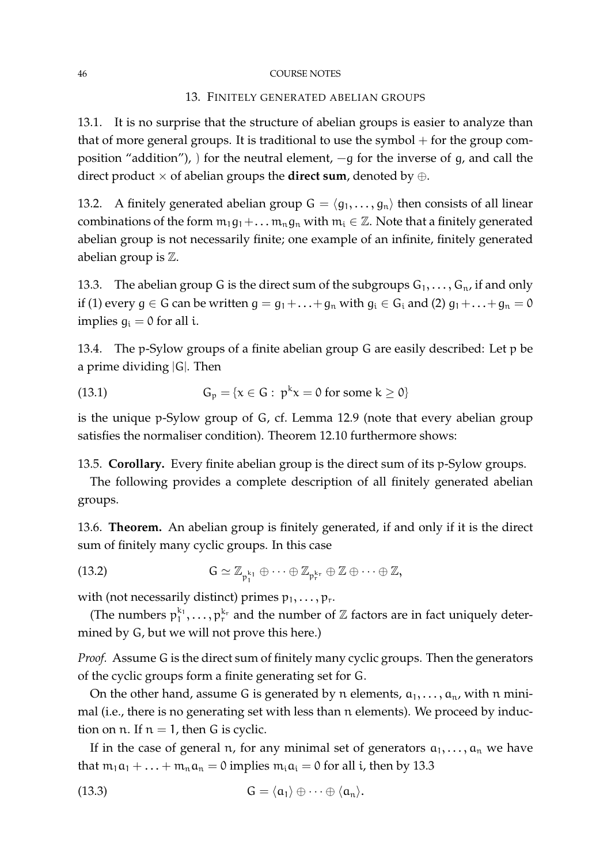#### 46 COURSE NOTES

### 13. FINITELY GENERATED ABELIAN GROUPS

13.1. It is no surprise that the structure of abelian groups is easier to analyze than that of more general groups. It is traditional to use the symbol  $+$  for the group composition "addition"), ) for the neutral element,  $-q$  for the inverse of q, and call the direct product  $\times$  of abelian groups the **direct sum**, denoted by  $\oplus$ .

13.2. A finitely generated abelian group  $G = \langle g_1, \ldots, g_n \rangle$  then consists of all linear combinations of the form  $m_1g_1+\dots m_ng_n$  with  $m_i \in \mathbb{Z}$ . Note that a finitely generated abelian group is not necessarily finite; one example of an infinite, finitely generated abelian group is Z.

13.3. The abelian group G is the direct sum of the subgroups  $G_1, \ldots, G_n$ , if and only if (1) every  $g \in G$  can be written  $g = g_1 + \ldots + g_n$  with  $g_i \in G_i$  and (2)  $g_1 + \ldots + g_n = 0$ implies  $q_i = 0$  for all i.

13.4. The p-Sylow groups of a finite abelian group G are easily described: Let p be a prime dividing |G|. Then

(13.1) 
$$
G_p = \{x \in G : p^k x = 0 \text{ for some } k \ge 0\}
$$

is the unique p-Sylow group of G, cf. Lemma 12.9 (note that every abelian group satisfies the normaliser condition). Theorem 12.10 furthermore shows:

13.5. **Corollary.** Every finite abelian group is the direct sum of its p-Sylow groups.

The following provides a complete description of all finitely generated abelian groups.

13.6. **Theorem.** An abelian group is finitely generated, if and only if it is the direct sum of finitely many cyclic groups. In this case

(13.2) 
$$
G \simeq \mathbb{Z}_{p_1^{k_1}} \oplus \cdots \oplus \mathbb{Z}_{p_r^{k_r}} \oplus \mathbb{Z} \oplus \cdots \oplus \mathbb{Z},
$$

with (not necessarily distinct) primes  $p_1, \ldots, p_r$ .

(The numbers  $p_1^{k_1}, \ldots, p_r^{k_r}$  and the number of  $\mathbb Z$  factors are in fact uniquely determined by G, but we will not prove this here.)

*Proof.* Assume G is the direct sum of finitely many cyclic groups. Then the generators of the cyclic groups form a finite generating set for G.

On the other hand, assume G is generated by n elements,  $a_1, \ldots, a_n$ , with n minimal (i.e., there is no generating set with less than n elements). We proceed by induction on n. If  $n = 1$ , then G is cyclic.

If in the case of general n, for any minimal set of generators  $a_1, \ldots, a_n$  we have that  $m_1a_1 + ... + m_na_n = 0$  implies  $m_ia_i = 0$  for all i, then by 13.3

(13.3) 
$$
G = \langle \alpha_1 \rangle \oplus \cdots \oplus \langle \alpha_n \rangle.
$$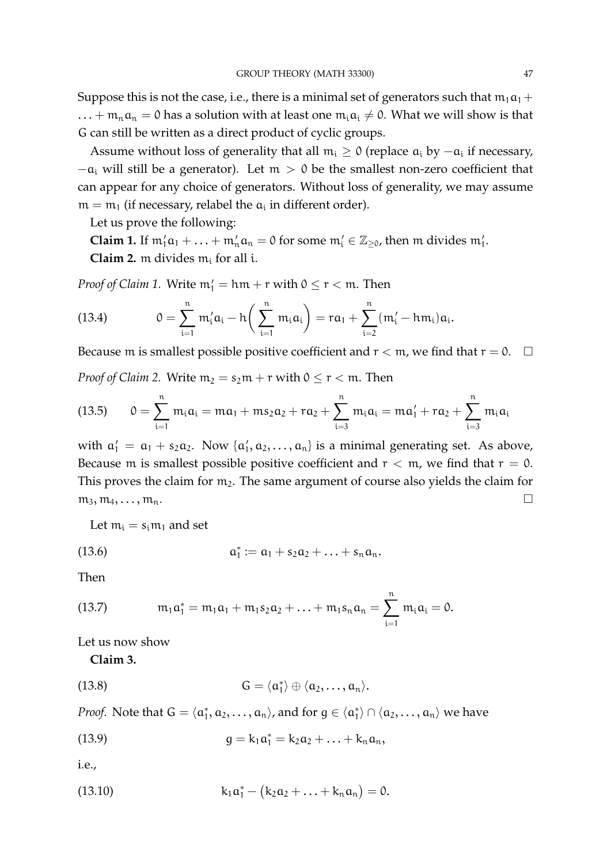Suppose this is not the case, i.e., there is a minimal set of generators such that  $m_1a_1 +$  $... + m_n a_n = 0$  has a solution with at least one  $m_i a_i \neq 0$ . What we will show is that G can still be written as a direct product of cyclic groups.

Assume without loss of generality that all  $m_i \geq 0$  (replace  $a_i$  by  $-a_i$  if necessary,  $-a_i$  will still be a generator). Let  $m > 0$  be the smallest non-zero coefficient that can appear for any choice of generators. Without loss of generality, we may assume  $m = m_1$  (if necessary, relabel the  $a_i$  in different order).

Let us prove the following:

**Claim 1.** If  $m'_1a_1 + ... + m'_na_n = 0$  for some  $m'_i \in \mathbb{Z}_{\geq 0}$ , then m divides  $m'_1$ . **Claim 2.** m divides  $m_i$  for all i.

*Proof of Claim 1.* Write  $m'_1 = h m + r$  with  $0 \le r < m$ . Then

(13.4) 
$$
0 = \sum_{i=1}^{n} m'_{i} \alpha_{i} - h \left( \sum_{i=1}^{n} m_{i} \alpha_{i} \right) = r \alpha_{1} + \sum_{i=2}^{n} (m'_{i} - h m_{i}) \alpha_{i}.
$$

Because m is smallest possible positive coefficient and  $r < m$ , we find that  $r = 0$ .  $\Box$ 

*Proof of Claim 2.* Write  $m_2 = s_2m + r$  with  $0 \le r < m$ . Then

(13.5) 
$$
0 = \sum_{i=1}^{n} m_i a_i = m a_1 + m s_2 a_2 + r a_2 + \sum_{i=3}^{n} m_i a_i = m a'_1 + r a_2 + \sum_{i=3}^{n} m_i a_i
$$

with  $a'_1 = a_1 + s_2 a_2$ . Now  $\{a'_1, a_2, \ldots, a_n\}$  is a minimal generating set. As above, Because m is smallest possible positive coefficient and  $r < m$ , we find that  $r = 0$ . This proves the claim for  $m_2$ . The same argument of course also yields the claim for  $m_3, m_4, \ldots, m_n.$ 

Let  $m_i = s_i m_1$  and set

(13.6) 
$$
a_1^* := a_1 + s_2 a_2 + \ldots + s_n a_n.
$$

Then

(13.7) 
$$
m_1a_1^* = m_1a_1 + m_1s_2a_2 + \ldots + m_1s_na_n = \sum_{i=1}^n m_ia_i = 0.
$$

Let us now show

**Claim 3.**

(13.8) 
$$
G = \langle \alpha_1^* \rangle \oplus \langle \alpha_2, \ldots, \alpha_n \rangle.
$$

*Proof.* Note that  $G = \langle a_1^*, a_2, \ldots, a_n \rangle$ , and for  $g \in \langle a_1^* \rangle \cap \langle a_2, \ldots, a_n \rangle$  we have

(13.9) 
$$
g = k_1 \alpha_1^* = k_2 \alpha_2 + \ldots + k_n \alpha_n,
$$

i.e.,

(13.10) 
$$
k_1 a_1^* - (k_2 a_2 + \ldots + k_n a_n) = 0.
$$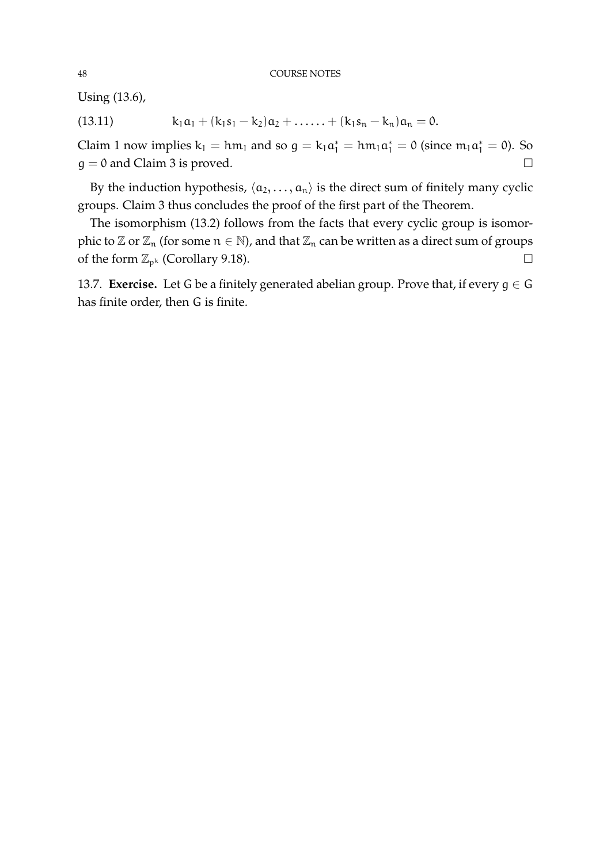Using (13.6),

(13.11) 
$$
k_1a_1 + (k_1s_1 - k_2)a_2 + \ldots + (k_1s_n - k_n)a_n = 0.
$$

Claim 1 now implies  $k_1 = h m_1$  and so  $g = k_1 \alpha_1^* = h m_1 \alpha_1^* = 0$  (since  $m_1 \alpha_1^* = 0$ ). So  $g = 0$  and Claim 3 is proved.

By the induction hypothesis,  $\langle a_2, \ldots, a_n \rangle$  is the direct sum of finitely many cyclic groups. Claim 3 thus concludes the proof of the first part of the Theorem.

The isomorphism (13.2) follows from the facts that every cyclic group is isomorphic to  $\mathbb{Z}$  or  $\mathbb{Z}_n$  (for some  $n \in \mathbb{N}$ ), and that  $\mathbb{Z}_n$  can be written as a direct sum of groups of the form  $\mathbb{Z}_{p^k}$  (Corollary 9.18).

13.7. **Exercise.** Let G be a finitely generated abelian group. Prove that, if every  $g \in G$ has finite order, then G is finite.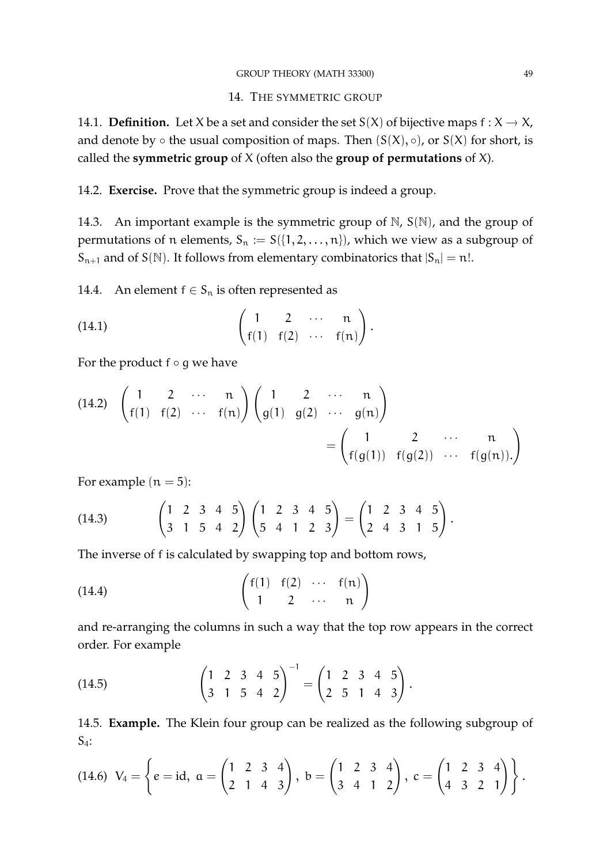### 14. THE SYMMETRIC GROUP

14.1. **Definition.** Let X be a set and consider the set  $S(X)$  of bijective maps  $f : X \to X$ , and denote by  $\circ$  the usual composition of maps. Then  $(S(X), \circ)$ , or  $S(X)$  for short, is called the **symmetric group** of X (often also the **group of permutations** of X).

14.2. **Exercise.** Prove that the symmetric group is indeed a group.

14.3. An important example is the symmetric group of  $\mathbb{N}$ ,  $S(\mathbb{N})$ , and the group of permutations of n elements,  $S_n := S({1, 2, ..., n})$ , which we view as a subgroup of  $S_{n+1}$  and of  $S(\mathbb{N})$ . It follows from elementary combinatorics that  $|S_n| = n!$ .

14.4. An element  $f \in S_n$  is often represented as

(14.1) 
$$
\begin{pmatrix} 1 & 2 & \cdots & n \\ f(1) & f(2) & \cdots & f(n) \end{pmatrix}.
$$

For the product  $f \circ g$  we have

(14.2) 
$$
\begin{pmatrix} 1 & 2 & \cdots & n \\ f(1) & f(2) & \cdots & f(n) \end{pmatrix} \begin{pmatrix} 1 & 2 & \cdots & n \\ g(1) & g(2) & \cdots & g(n) \end{pmatrix}
$$
  
=  $\begin{pmatrix} 1 & 2 & \cdots & n \\ f(g(1)) & f(g(2)) & \cdots & f(g(n)) \end{pmatrix}$ 

For example  $(n = 5)$ :

(14.3) 
$$
\begin{pmatrix} 1 & 2 & 3 & 4 & 5 \\ 3 & 1 & 5 & 4 & 2 \end{pmatrix} \begin{pmatrix} 1 & 2 & 3 & 4 & 5 \\ 5 & 4 & 1 & 2 & 3 \end{pmatrix} = \begin{pmatrix} 1 & 2 & 3 & 4 & 5 \\ 2 & 4 & 3 & 1 & 5 \end{pmatrix}.
$$

The inverse of f is calculated by swapping top and bottom rows,

(14.4) 
$$
\begin{pmatrix} f(1) & f(2) & \cdots & f(n) \\ 1 & 2 & \cdots & n \end{pmatrix}
$$

and re-arranging the columns in such a way that the top row appears in the correct order. For example

(14.5) 
$$
\begin{pmatrix} 1 & 2 & 3 & 4 & 5 \ 3 & 1 & 5 & 4 & 2 \end{pmatrix}^{-1} = \begin{pmatrix} 1 & 2 & 3 & 4 & 5 \ 2 & 5 & 1 & 4 & 3 \end{pmatrix}.
$$

14.5. **Example.** The Klein four group can be realized as the following subgroup of  $S_4$ :

(14.6) 
$$
V_4 = \left\{ e = id, a = \begin{pmatrix} 1 & 2 & 3 & 4 \\ 2 & 1 & 4 & 3 \end{pmatrix}, b = \begin{pmatrix} 1 & 2 & 3 & 4 \\ 3 & 4 & 1 & 2 \end{pmatrix}, c = \begin{pmatrix} 1 & 2 & 3 & 4 \\ 4 & 3 & 2 & 1 \end{pmatrix} \right\}.
$$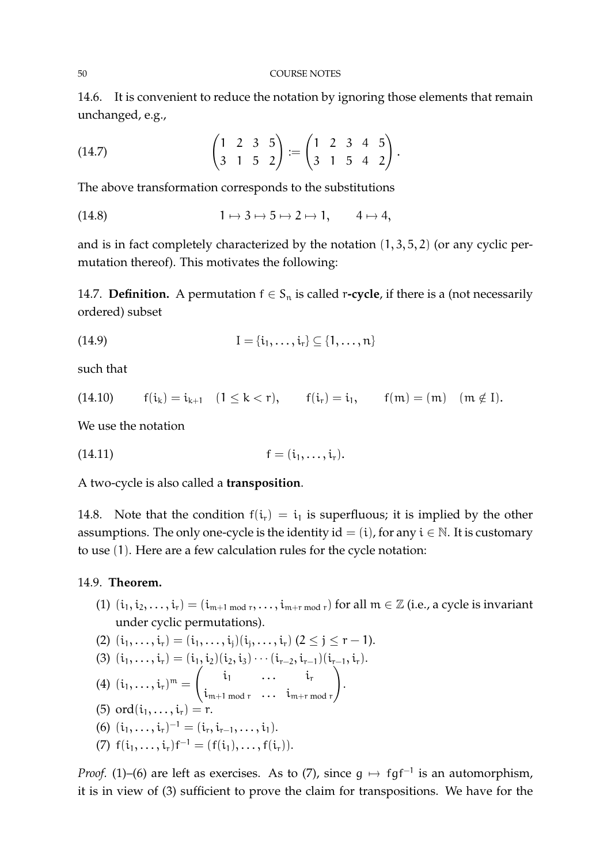14.6. It is convenient to reduce the notation by ignoring those elements that remain unchanged, e.g.,

(14.7) 
$$
\begin{pmatrix} 1 & 2 & 3 & 5 \ 3 & 1 & 5 & 2 \end{pmatrix} := \begin{pmatrix} 1 & 2 & 3 & 4 & 5 \ 3 & 1 & 5 & 4 & 2 \end{pmatrix}.
$$

The above transformation corresponds to the substitutions

$$
(14.8) \t 1 \mapsto 3 \mapsto 5 \mapsto 2 \mapsto 1, \t 4 \mapsto 4,
$$

and is in fact completely characterized by the notation  $(1, 3, 5, 2)$  (or any cyclic permutation thereof). This motivates the following:

14.7. **Definition.** A permutation  $f \in S_n$  is called r-cycle, if there is a (not necessarily ordered) subset

$$
I = \{\mathfrak{i}_1, \ldots, \mathfrak{i}_r\} \subseteq \{1, \ldots, n\}
$$

such that

(14.10) 
$$
f(i_k) = i_{k+1}
$$
  $(1 \le k < r)$ ,  $f(i_r) = i_1$ ,  $f(m) = (m)$   $(m \notin I)$ .

We use the notation

(14.11) 
$$
f = (i_1, ..., i_r).
$$

A two-cycle is also called a **transposition**.

14.8. Note that the condition  $f(i_r) = i_1$  is superfluous; it is implied by the other assumptions. The only one-cycle is the identity id = (i), for any  $i \in \mathbb{N}$ . It is customary to use (1). Here are a few calculation rules for the cycle notation:

14.9. **Theorem.**

(1)  $(i_1, i_2, \ldots, i_r) = (i_{m+1 \mod r}, \ldots, i_{m+r \mod r})$  for all  $m \in \mathbb{Z}$  (i.e., a cycle is invariant under cyclic permutations).

(2) 
$$
(i_1, ..., i_r) = (i_1, ..., i_j)(i_j, ..., i_r)
$$
  $(2 \leq j \leq r - 1)$ .

- (3)  $(i_1, \ldots, i_r) = (i_1, i_2)(i_2, i_3) \cdots (i_{r-2}, i_{r-1})(i_{r-1}, i_r).$
- $(4)$   $(i_1, \ldots, i_r)^m =$  $\begin{pmatrix} i_1 & \dots & i_r \end{pmatrix}$  $i_{m+1 \mod r}$  ...  $i_{m+r \mod r}$  $\setminus$ .
- (5) ord $(i_1, ..., i_r) = r$ .
- (6)  $(i_1, \ldots, i_r)^{-1} = (i_r, i_{r-1}, \ldots, i_1).$
- (7)  $f(i_1, \ldots, i_r) f^{-1} = (f(i_1), \ldots, f(i_r)).$

*Proof.* (1)–(6) are left as exercises. As to (7), since  $g \mapsto fgf^{-1}$  is an automorphism, it is in view of (3) sufficient to prove the claim for transpositions. We have for the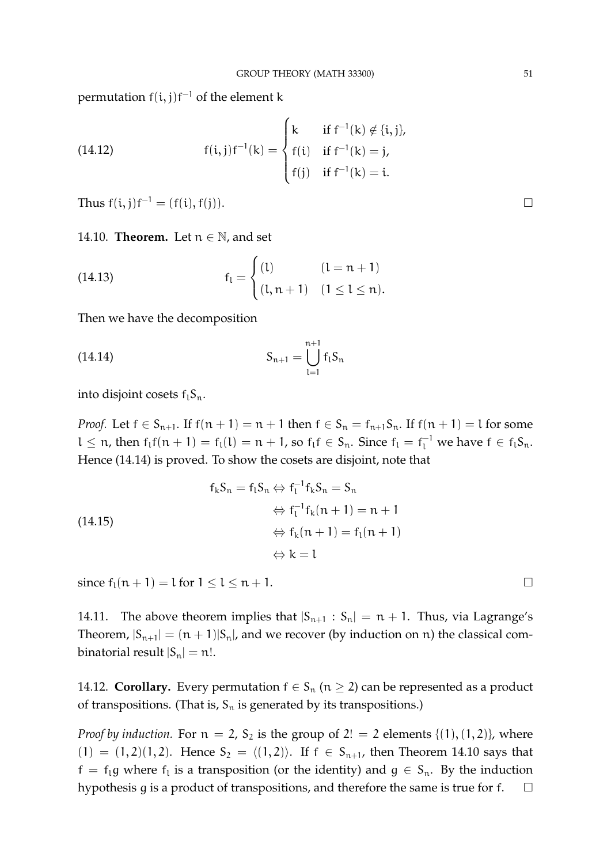permutation  $f(i,j)f^{-1}$  of the element k

(14.12) 
$$
f(i,j)f^{-1}(k) = \begin{cases} k & \text{if } f^{-1}(k) \notin \{i,j\}, \\ f(i) & \text{if } f^{-1}(k) = j, \\ f(j) & \text{if } f^{-1}(k) = i. \end{cases}
$$

Thus  $f(i, j)f^{-1} = (f(i), f(j)).$ 

14.10. **Theorem.** Let  $n \in \mathbb{N}$ , and set

(14.13) 
$$
f_l = \begin{cases} (l) & (l = n + 1) \\ (l, n + 1) & (1 \le l \le n). \end{cases}
$$

Then we have the decomposition

(14.14) 
$$
S_{n+1} = \bigcup_{l=1}^{n+1} f_l S_n
$$

into disjoint cosets  $f_1S_n$ .

*Proof.* Let  $f \in S_{n+1}$ . If  $f(n+1) = n+1$  then  $f \in S_n = f_{n+1}S_n$ . If  $f(n+1) = l$  for some  $l \leq n$ , then  $f_l f(n + 1) = f_l(l) = n + 1$ , so  $f_l f \in S_n$ . Since  $f_l = f_l^{-1}$  we have  $f \in f_l S_n$ . Hence (14.14) is proved. To show the cosets are disjoint, note that

$$
f_k S_n = f_l S_n \Leftrightarrow f_l^{-1} f_k S_n = S_n
$$
  
\n
$$
\Leftrightarrow f_l^{-1} f_k (n + 1) = n + 1
$$
  
\n
$$
\Leftrightarrow f_k (n + 1) = f_l (n + 1)
$$
  
\n
$$
\Leftrightarrow k = l
$$

since  $f_1(n + 1) = l$  for  $1 \le l \le n + 1$ .

14.11. The above theorem implies that  $|S_{n+1} : S_n| = n + 1$ . Thus, via Lagrange's Theorem,  $|S_{n+1}| = (n+1)|S_n|$ , and we recover (by induction on n) the classical combinatorial result  $|S_n| = n!$ .

14.12. **Corollary.** Every permutation  $f \in S_n$  ( $n \geq 2$ ) can be represented as a product of transpositions. (That is,  $S_n$  is generated by its transpositions.)

*Proof by induction.* For  $n = 2$ ,  $S_2$  is the group of  $2! = 2$  elements  $\{(1), (1, 2)\}$ , where  $(1) = (1, 2)(1, 2)$ . Hence  $S_2 = \langle (1, 2) \rangle$ . If  $f \in S_{n+1}$ , then Theorem 14.10 says that  $f = f_1g$  where  $f_1$  is a transposition (or the identity) and  $g \in S_n$ . By the induction hypothesis g is a product of transpositions, and therefore the same is true for f.  $\Box$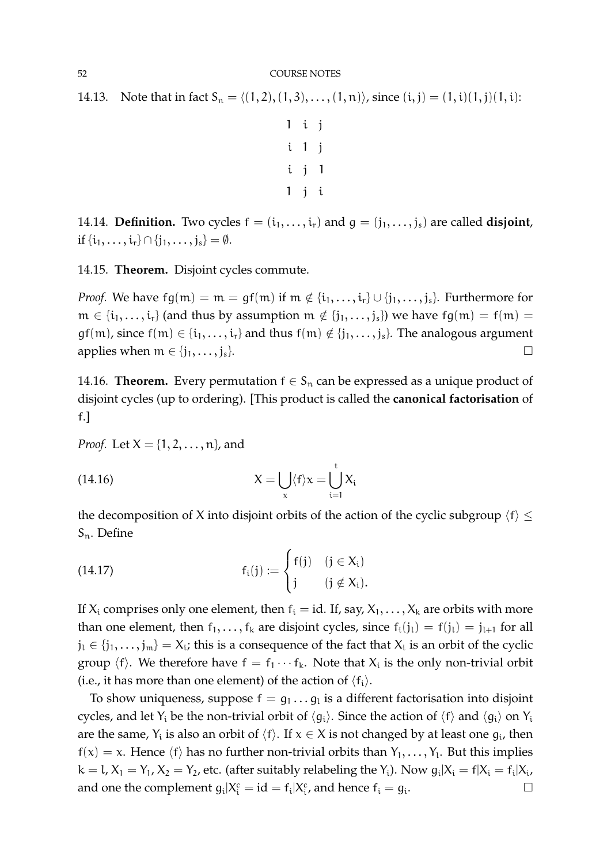14.13. Note that in fact  $S_n = \langle (1, 2), (1, 3), \ldots, (1, n) \rangle$ , since  $(i, j) = (1, i)(1, j)(1, i)$ :

$$
\begin{array}{ccc}\n1 & i & j \\
i & 1 & j \\
i & j & 1 \\
1 & j & i\n\end{array}
$$

14.14. **Definition.** Two cycles  $f = (i_1, \ldots, i_r)$  and  $g = (j_1, \ldots, j_s)$  are called **disjoint**, if  $\{i_1, ..., i_r\}$  ∩  $\{j_1, ..., j_s\} = ∅$ .

14.15. **Theorem.** Disjoint cycles commute.

*Proof.* We have  $fg(m) = m = gf(m)$  if  $m \notin \{i_1, \ldots, i_r\} \cup \{j_1, \ldots, j_s\}$ . Furthermore for  $m \in \{i_1, \ldots, i_r\}$  (and thus by assumption  $m \notin \{j_1, \ldots, j_s\}$ ) we have  $fg(m) = f(m) =$  $gf(m)$ , since  $f(m) \in \{i_1, \ldots, i_r\}$  and thus  $f(m) \notin \{j_1, \ldots, j_s\}$ . The analogous argument applies when  $m \in \{j_1, \ldots, j_s\}$ .

14.16. **Theorem.** Every permutation  $f \in S_n$  can be expressed as a unique product of disjoint cycles (up to ordering). [This product is called the **canonical factorisation** of f.]

*Proof.* Let  $X = \{1, 2, ..., n\}$ , and

(14.16) 
$$
X = \bigcup_{x} \langle f \rangle x = \bigcup_{i=1}^{t} X_i
$$

the decomposition of X into disjoint orbits of the action of the cyclic subgroup  $\langle f \rangle \leq$ Sn. Define

(14.17) 
$$
f_i(j) := \begin{cases} f(j) & (j \in X_i) \\ j & (j \notin X_i). \end{cases}
$$

If  $X_i$  comprises only one element, then  $f_i = id$ . If, say,  $X_1, \ldots, X_k$  are orbits with more than one element, then  $f_1, \ldots, f_k$  are disjoint cycles, since  $f_i(j_l) = f(j_l) = j_{l+1}$  for all  $j_l \in \{j_1,\ldots,j_m\} = X_i$ ; this is a consequence of the fact that  $X_i$  is an orbit of the cyclic group  $\langle f \rangle$ . We therefore have  $f = f_1 \cdots f_k$ . Note that  $X_i$  is the only non-trivial orbit (i.e., it has more than one element) of the action of  $\langle f_i \rangle$ .

To show uniqueness, suppose  $f = g_1 \dots g_l$  is a different factorisation into disjoint cycles, and let Y<sub>i</sub> be the non-trivial orbit of  $\langle q_i \rangle$ . Since the action of  $\langle f \rangle$  and  $\langle q_i \rangle$  on Y<sub>i</sub> are the same,  $Y_i$  is also an orbit of  $\langle f \rangle$ . If  $x \in X$  is not changed by at least one  $g_i$ , then  $f(x) = x$ . Hence  $\langle f \rangle$  has no further non-trivial orbits than  $Y_1, \ldots, Y_l$ . But this implies  $k = 1, X_1 = Y_1, X_2 = Y_2$ , etc. (after suitably relabeling the Y<sub>i</sub>). Now  $g_i|X_i = f|X_i = f_i|X_i$ , and one the complement  $g_i|X_i^c = id = f_i|X_i^c$ , and hence  $f_i = g_i$ .<br><u>.</u>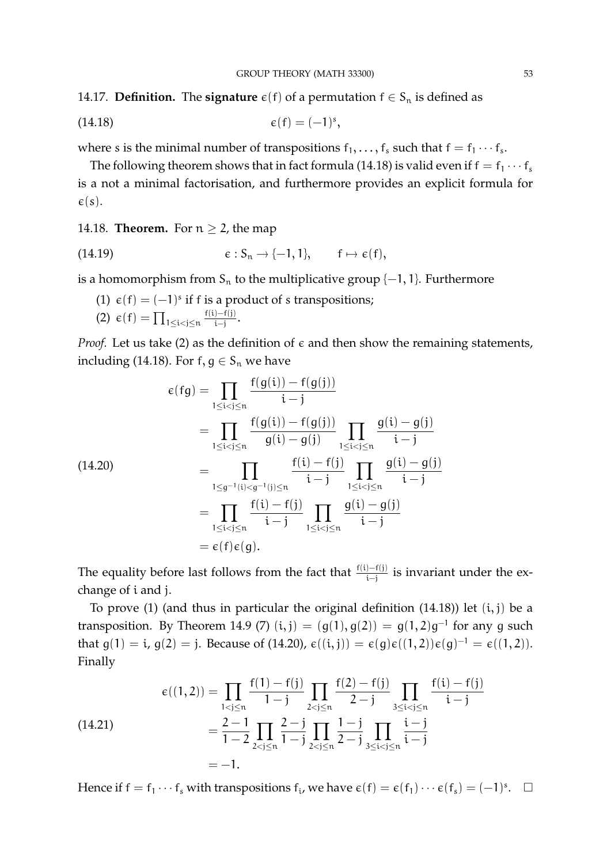14.17. **Definition.** The **signature**  $\varepsilon(f)$  of a permutation  $f \in S_n$  is defined as

$$
\epsilon(f) = (-1)^s,
$$

where s is the minimal number of transpositions  $f_1, \ldots, f_s$  such that  $f = f_1 \cdots f_s$ .

The following theorem shows that in fact formula (14.18) is valid even if  $f = f_1 \cdots f_s$ is a not a minimal factorisation, and furthermore provides an explicit formula for  $\varepsilon(s)$ .

14.18. **Theorem.** For  $n \geq 2$ , the map

(14.19) 
$$
\epsilon: S_n \to \{-1, 1\}, \quad f \mapsto \epsilon(f),
$$

is a homomorphism from  $S_n$  to the multiplicative group  $\{-1, 1\}$ . Furthermore

- (1)  $\varepsilon$ (f) = (-1)<sup>s</sup> if f is a product of s transpositions;
- (2)  $\varepsilon(f) = \prod_{1 \leq i < j \leq n}$  $f(i) - f(j)$  $\frac{(-+1)}{i-j}$ .

*Proof.* Let us take (2) as the definition of  $\epsilon$  and then show the remaining statements, including (14.18). For  $f, g \in S_n$  we have

$$
\epsilon(fg) = \prod_{1 \le i < j \le n} \frac{f(g(i)) - f(g(j))}{i - j} \\
= \prod_{1 \le i < j \le n} \frac{f(g(i)) - f(g(j))}{g(i) - g(j)} \prod_{1 \le i < j \le n} \frac{g(i) - g(j)}{i - j} \\
= \prod_{1 \le g^{-1}(i) < g^{-1}(j) \le n} \frac{f(i) - f(j)}{i - j} \prod_{1 \le i < j \le n} \frac{g(i) - g(j)}{i - j} \\
= \prod_{1 \le i < j \le n} \frac{f(i) - f(j)}{i - j} \prod_{1 \le i < j \le n} \frac{g(i) - g(j)}{i - j} \\
= \epsilon(f) \epsilon(g).
$$

The equality before last follows from the fact that  $f(i) - f(j)$  is invariant under the exchange of i and j.

To prove  $(1)$  (and thus in particular the original definition  $(14.18)$ ) let  $(i, j)$  be a transposition. By Theorem 14.9 (7)  $(i, j) = (g(1), g(2)) = g(1, 2)g^{-1}$  for any g such that  $g(1) = i$ ,  $g(2) = j$ . Because of (14.20),  $\varepsilon((i, j)) = \varepsilon(g)\varepsilon((1, 2))\varepsilon(g)^{-1} = \varepsilon((1, 2)).$ Finally

(14.21) 
$$
\epsilon((1,2)) = \prod_{1 < j \le n} \frac{f(1) - f(j)}{1 - j} \prod_{2 < j \le n} \frac{f(2) - f(j)}{2 - j} \prod_{3 \le i < j \le n} \frac{f(i) - f(j)}{i - j} = \frac{2 - 1}{1 - 2} \prod_{2 < j \le n} \frac{2 - j}{1 - j} \prod_{2 < j \le n} \frac{1 - j}{2 - j} \prod_{3 \le i < j \le n} \frac{i - j}{i - j} = -1.
$$

Hence if  $f = f_1 \cdots f_s$  with transpositions  $f_i$ , we have  $\epsilon(f) = \epsilon(f_1) \cdots \epsilon(f_s) = (-1)^s$ .  $\Box$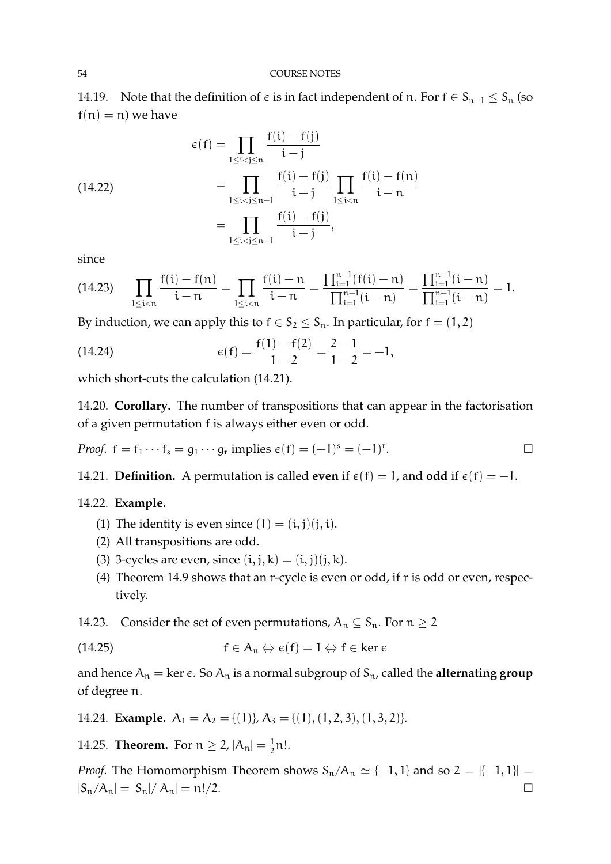14.19. Note that the definition of  $\epsilon$  is in fact independent of n. For  $f \in S_{n-1} \leq S_n$  (so  $f(n) = n$ ) we have

(14.22)  
\n
$$
\epsilon(f) = \prod_{1 \le i < j \le n} \frac{f(i) - f(j)}{i - j}
$$
\n
$$
= \prod_{1 \le i < j \le n-1} \frac{f(i) - f(j)}{i - j} \prod_{1 \le i < n} \frac{f(i) - f(n)}{i - n}
$$
\n
$$
= \prod_{1 \le i < j \le n-1} \frac{f(i) - f(j)}{i - j},
$$

since

$$
(14.23) \qquad \prod_{1 \leq i < n} \frac{f(i) - f(n)}{i - n} = \prod_{1 \leq i < n} \frac{f(i) - n}{i - n} = \frac{\prod_{i = 1}^{n - 1} (f(i) - n)}{\prod_{i = 1}^{n - 1} (i - n)} = \frac{\prod_{i = 1}^{n - 1} (i - n)}{\prod_{i = 1}^{n - 1} (i - n)} = 1.
$$

By induction, we can apply this to  $f \in S_2 \leq S_n$ . In particular, for  $f = (1, 2)$ 

(14.24) 
$$
\epsilon(f) = \frac{f(1) - f(2)}{1 - 2} = \frac{2 - 1}{1 - 2} = -1,
$$

which short-cuts the calculation (14.21).

14.20. **Corollary.** The number of transpositions that can appear in the factorisation of a given permutation f is always either even or odd.

*Proof.* 
$$
f = f_1 \cdots f_s = g_1 \cdots g_r
$$
 implies  $\epsilon(f) = (-1)^s = (-1)^r$ .

14.21. **Definition.** A permutation is called **even** if  $\epsilon(f) = 1$ , and **odd** if  $\epsilon(f) = -1$ .

### 14.22. **Example.**

- (1) The identity is even since  $(1) = (i, j)(j, i)$ .
- (2) All transpositions are odd.
- (3) 3-cycles are even, since  $(i, j, k) = (i, j)(j, k)$ .
- (4) Theorem 14.9 shows that an r-cycle is even or odd, if r is odd or even, respectively.
- 14.23. Consider the set of even permutations,  $A_n \subseteq S_n$ . For  $n \ge 2$

(14.25) 
$$
f \in A_n \Leftrightarrow \varepsilon(f) = 1 \Leftrightarrow f \in \ker \varepsilon
$$

and hence  $A_n = \ker \epsilon$ . So  $A_n$  is a normal subgroup of  $S_n$ , called the **alternating group** of degree n.

14.24. **Example.**  $A_1 = A_2 = \{(1)\}, A_3 = \{(1), (1, 2, 3), (1, 3, 2)\}.$ 

14.25. **Theorem.** For  $n \ge 2$ ,  $|A_n| = \frac{1}{2}$  $\frac{1}{2}$ n!.

*Proof.* The Homomorphism Theorem shows  $S_n/A_n \simeq \{-1, 1\}$  and so  $2 = \{-1, 1\}$  $|S_n/A_n| = |S_n|/|A_n| = n!/2.$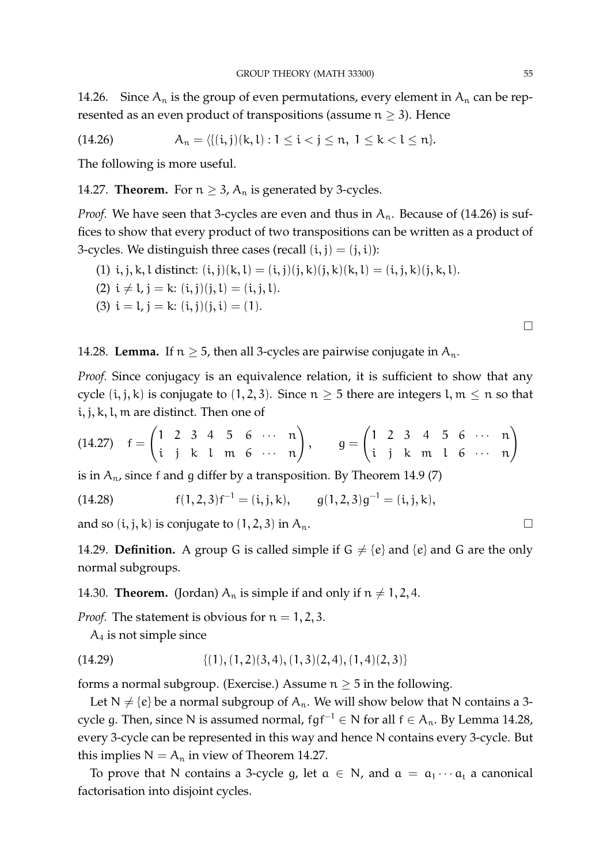14.26. Since  $A_n$  is the group of even permutations, every element in  $A_n$  can be represented as an even product of transpositions (assume  $n \geq 3$ ). Hence

(14.26) 
$$
A_n = \langle \{ (i,j)(k,l) : 1 \le i < j \le n, 1 \le k < l \le n \}.
$$

The following is more useful.

14.27. **Theorem.** For  $n \geq 3$ ,  $A_n$  is generated by 3-cycles.

*Proof.* We have seen that 3-cycles are even and thus in  $A_n$ . Because of (14.26) is suffices to show that every product of two transpositions can be written as a product of 3-cycles. We distinguish three cases (recall  $(i, j) = (j, i)$ ):

(1) 
$$
i, j, k, l
$$
 distinct:  $(i, j)(k, l) = (i, j)(j, k)(j, k)(k, l) = (i, j, k)(j, k, l)$ .

(2)  $i \neq l$ ,  $j = k$ :  $(i, j)(j, l) = (i, j, l)$ .

(3) 
$$
i = l
$$
,  $j = k$ :  $(i, j)(j, i) = (1)$ .

14.28. **Lemma.** If  $n \ge 5$ , then all 3-cycles are pairwise conjugate in  $A_n$ .

*Proof.* Since conjugacy is an equivalence relation, it is sufficient to show that any cycle  $(i, j, k)$  is conjugate to  $(1, 2, 3)$ . Since  $n \geq 5$  there are integers l,  $m \leq n$  so that i, j, k, l, m are distinct. Then one of

(14.27) 
$$
f = \begin{pmatrix} 1 & 2 & 3 & 4 & 5 & 6 & \cdots & n \\ i & j & k & 1 & m & 6 & \cdots & n \end{pmatrix}
$$
,  $g = \begin{pmatrix} 1 & 2 & 3 & 4 & 5 & 6 & \cdots & n \\ i & j & k & m & 1 & 6 & \cdots & n \end{pmatrix}$ 

is in  $A_n$ , since f and g differ by a transposition. By Theorem 14.9 (7)

(14.28) 
$$
f(1,2,3)f^{-1} = (i,j,k), \qquad g(1,2,3)g^{-1} = (i,j,k),
$$

and so  $(i, j, k)$  is conjugate to  $(1, 2, 3)$  in  $A_n$ .

14.29. **Definition.** A group G is called simple if  $G \neq \{e\}$  and  $\{e\}$  and G are the only normal subgroups.

14.30. **Theorem.** (Jordan)  $A_n$  is simple if and only if  $n \neq 1, 2, 4$ .

*Proof.* The statement is obvious for  $n = 1, 2, 3$ .

 $A_4$  is not simple since

$$
(14.29) \qquad \qquad \{ (1), (1,2)(3,4), (1,3)(2,4), (1,4)(2,3) \}
$$

forms a normal subgroup. (Exercise.) Assume  $n \geq 5$  in the following.

Let  $N \neq \{e\}$  be a normal subgroup of  $A_n$ . We will show below that N contains a 3cycle g. Then, since N is assumed normal,  $fgf^{-1} \in N$  for all  $f \in A_n$ . By Lemma 14.28, every 3-cycle can be represented in this way and hence N contains every 3-cycle. But this implies  $N = A_n$  in view of Theorem 14.27.

To prove that N contains a 3-cycle g, let  $\alpha \in N$ , and  $\alpha = \alpha_1 \cdots \alpha_t$  a canonical factorisation into disjoint cycles.

 $\Box$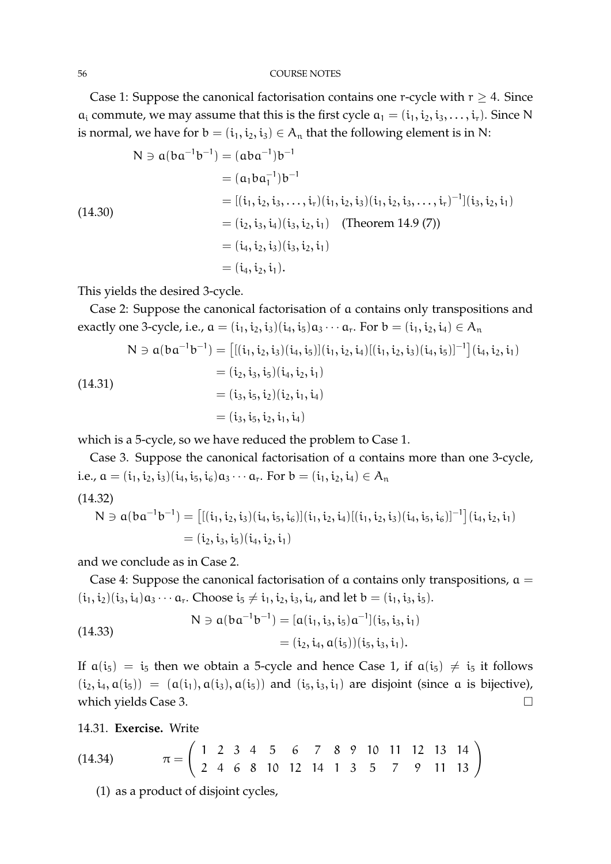#### 56 COURSE NOTES

Case 1: Suppose the canonical factorisation contains one r-cycle with  $r \geq 4$ . Since  $a_i$  commute, we may assume that this is the first cycle  $a_1 = (i_1, i_2, i_3, \dots, i_r)$ . Since N is normal, we have for  $b = (i_1, i_2, i_3) \in A_n$  that the following element is in N:

$$
N \ni a(ba^{-1}b^{-1}) = (aba^{-1})b^{-1}
$$
  
=  $(a_1ba_1^{-1})b^{-1}$   
=  $[(i_1, i_2, i_3, ..., i_r)(i_1, i_2, i_3)(i_1, i_2, i_3, ..., i_r)^{-1}](i_3, i_2, i_1)$   
=  $(i_2, i_3, i_4)(i_3, i_2, i_1)$  (Theorem 14.9 (7))  
=  $(i_4, i_2, i_3)(i_3, i_2, i_1)$   
=  $(i_4, i_2, i_1).$ 

This yields the desired 3-cycle.

Case 2: Suppose the canonical factorisation of a contains only transpositions and exactly one 3-cycle, i.e.,  $a = (i_1, i_2, i_3)(i_4, i_5)a_3 \cdots a_r$ . For  $b = (i_1, i_2, i_4) \in A_n$ 

$$
N \ni a(ba^{-1}b^{-1}) = \left[ [ (i_1, i_2, i_3)(i_4, i_5) ] (i_1, i_2, i_4) [ (i_1, i_2, i_3)(i_4, i_5) ]^{-1} \right] (i_4, i_2, i_1)
$$
  
\n
$$
= (i_2, i_3, i_5)(i_4, i_2, i_1)
$$
  
\n
$$
= (i_3, i_5, i_2)(i_2, i_1, i_4)
$$
  
\n
$$
= (i_3, i_5, i_2, i_1, i_4)
$$

which is a 5-cycle, so we have reduced the problem to Case 1.

Case 3. Suppose the canonical factorisation of a contains more than one 3-cycle, i.e.,  $a = (i_1, i_2, i_3)(i_4, i_5, i_6)a_3 \cdots a_r$ . For  $b = (i_1, i_2, i_4) \in A_n$ 

$$
(14.32)
$$

$$
N \ni a(ba^{-1}b^{-1}) = \left[ [({i_1},{i_2},{i_3})({i_4},{i_5},{i_6})]({i_1},{i_2},{i_4})[({i_1},{i_2},{i_3})({i_4},{i_5},{i_6})]^{-1} \right]({i_4},{i_2},{i_1})\\ = ({i_2},{i_3},{i_5})({i_4},{i_2},{i_1})
$$

and we conclude as in Case 2.

Case 4: Suppose the canonical factorisation of  $\alpha$  contains only transpositions,  $\alpha$  =  $(i_1, i_2)(i_3, i_4)a_3 \cdots a_r$ . Choose  $i_5 \neq i_1, i_2, i_3, i_4$ , and let  $b = (i_1, i_3, i_5)$ .

(14.33)  
\n
$$
N \ni a(ba^{-1}b^{-1}) = [a(i_1, i_3, i_5)a^{-1}](i_5, i_3, i_1)
$$
\n
$$
= (i_2, i_4, a(i_5)) (i_5, i_3, i_1).
$$

If  $a(i_5) = i_5$  then we obtain a 5-cycle and hence Case 1, if  $a(i_5) \neq i_5$  it follows  $(i_2, i_4, \alpha(i_5)) = (\alpha(i_1), \alpha(i_3), \alpha(i_5))$  and  $(i_5, i_3, i_1)$  are disjoint (since a is bijective), which yields Case 3.

14.31. **Exercise.** Write

(14.34) 
$$
\pi = \left(\begin{array}{cccccc} 1 & 2 & 3 & 4 & 5 & 6 & 7 & 8 & 9 & 10 & 11 & 12 & 13 & 14 \\ 2 & 4 & 6 & 8 & 10 & 12 & 14 & 1 & 3 & 5 & 7 & 9 & 11 & 13 \end{array}\right)
$$

(1) as a product of disjoint cycles,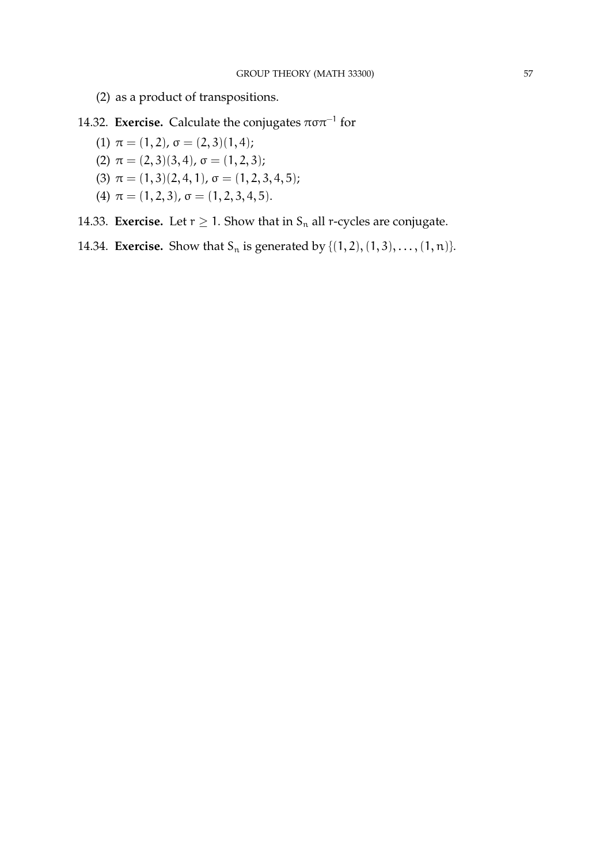- (2) as a product of transpositions.
- 14.32. **Exercise.** Calculate the conjugates  $\pi \sigma \pi^{-1}$  for
	- (1)  $\pi = (1, 2)$ ,  $\sigma = (2, 3)(1, 4)$ ;
	- (2)  $\pi = (2,3)(3,4)$ ,  $\sigma = (1,2,3)$ ;
	- (3)  $\pi = (1, 3)(2, 4, 1), \sigma = (1, 2, 3, 4, 5);$
	- (4)  $\pi = (1, 2, 3), \sigma = (1, 2, 3, 4, 5).$
- 14.33. **Exercise.** Let  $r \geq 1$ . Show that in  $S_n$  all r-cycles are conjugate.
- 14.34. **Exercise.** Show that  $S_n$  is generated by  $\{(1, 2), (1, 3), \ldots, (1, n)\}.$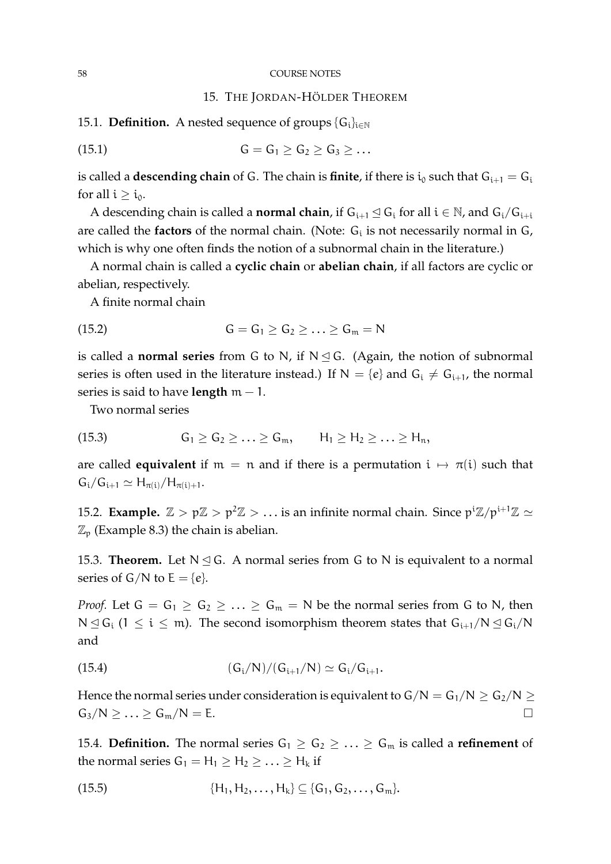#### 58 COURSE NOTES

#### 15. THE JORDAN-HÖLDER THEOREM

15.1. **Definition.** A nested sequence of groups  $\{G_i\}_{i\in\mathbb{N}}$ 

$$
(15.1) \tG = G1 \ge G2 \ge G3 \ge ...
$$

is called a **descending chain** of G. The chain is **finite**, if there is  $i_0$  such that  $G_{i+1} = G_i$ for all  $i \geq i_0$ .

A descending chain is called a **normal chain**, if  $G_{i+1} \trianglelefteq G_i$  for all  $i \in \mathbb{N}$ , and  $G_i/G_{i+i}$ are called the **factors** of the normal chain. (Note: G<sub>i</sub> is not necessarily normal in G, which is why one often finds the notion of a subnormal chain in the literature.)

A normal chain is called a **cyclic chain** or **abelian chain**, if all factors are cyclic or abelian, respectively.

A finite normal chain

$$
(15.2) \tG = G1 \ge G2 \ge \ldots \ge Gm = N
$$

is called a **normal series** from G to N, if  $N \leq G$ . (Again, the notion of subnormal series is often used in the literature instead.) If  $N = \{e\}$  and  $G_i \neq G_{i+1}$ , the normal series is said to have **length** m − 1.

Two normal series

$$
(15.3) \tG1 \ge G2 \ge \ldots \ge Gm, \tH1 \ge H2 \ge \ldots \ge Hn,
$$

are called **equivalent** if  $m = n$  and if there is a permutation  $i \mapsto \pi(i)$  such that  $G_i/G_{i+1} \simeq H_{\pi(i)}/H_{\pi(i)+1}.$ 

15.2. **Example.**  $\mathbb{Z} > p\mathbb{Z} > p^2\mathbb{Z} > ...$  is an infinite normal chain. Since  $p^i\mathbb{Z}/p^{i+1}\mathbb{Z} \simeq$  $\mathbb{Z}_p$  (Example 8.3) the chain is abelian.

15.3. **Theorem.** Let  $N \leq G$ . A normal series from G to N is equivalent to a normal series of  $G/N$  to  $E = \{e\}.$ 

*Proof.* Let  $G = G_1 \ge G_2 \ge ... \ge G_m = N$  be the normal series from G to N, then  $N \leq G_i$  (1  $\leq i \leq m$ ). The second isomorphism theorem states that  $G_{i+1}/N \leq G_i/N$ and

(15.4) 
$$
(G_i/N)/(G_{i+1}/N) \simeq G_i/G_{i+1}.
$$

Hence the normal series under consideration is equivalent to  $G/N = G_1/N \ge G_2/N \ge$  $G_3/N \geq \ldots \geq G_m/N = E.$ 

15.4. **Definition.** The normal series  $G_1 \geq G_2 \geq \ldots \geq G_m$  is called a **refinement** of the normal series  $G_1 = H_1 \ge H_2 \ge ... \ge H_k$  if

(15.5) 
$$
\{H_1, H_2, \ldots, H_k\} \subseteq \{G_1, G_2, \ldots, G_m\}.
$$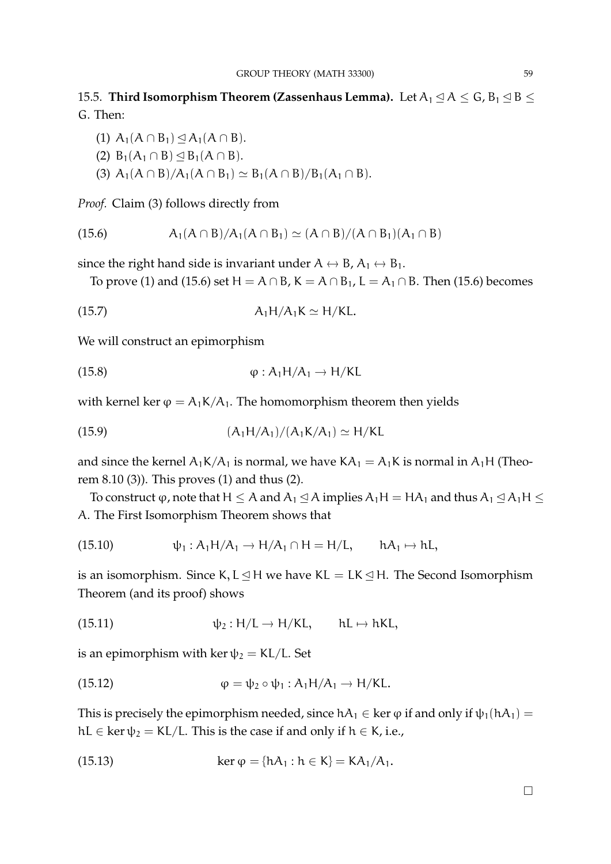# 15.5. **Third Isomorphism Theorem (Zassenhaus Lemma).** Let  $A_1 \trianglelefteq A \leq G$ ,  $B_1 \trianglelefteq B \leq$ G. Then:

- (1)  $A_1(A \cap B_1) \leq A_1(A \cap B)$ .
- (2)  $B_1(A_1 \cap B) \leq B_1(A \cap B)$ .
- (3)  $A_1(A \cap B)/A_1(A \cap B_1) \simeq B_1(A \cap B)/B_1(A_1 \cap B)$ .

*Proof.* Claim (3) follows directly from

(15.6) 
$$
A_1(A \cap B)/A_1(A \cap B_1) \simeq (A \cap B)/(A \cap B_1)(A_1 \cap B)
$$

since the right hand side is invariant under  $A \leftrightarrow B$ ,  $A_1 \leftrightarrow B_1$ .

To prove (1) and (15.6) set H =  $A \cap B$ , K =  $A \cap B_1$ , L =  $A_1 \cap B$ . Then (15.6) becomes

$$
(15.7) \t\t\t A1H/A1K \simeq H/KL.
$$

We will construct an epimorphism

(15.8) 
$$
\varphi : A_1 H / A_1 \to H / KL
$$

with kernel ker  $\varphi = A_1 K/A_1$ . The homomorphism theorem then yields

(15.9) 
$$
(A_1H/A_1)/(A_1K/A_1) \simeq H/KL
$$

and since the kernel  $A_1K/A_1$  is normal, we have  $KA_1 = A_1K$  is normal in  $A_1H$  (Theorem 8.10 (3)). This proves (1) and thus (2).

To construct  $\varphi$ , note that H  $\leq A$  and  $A_1 \leq A$  implies  $A_1H = HA_1$  and thus  $A_1 \leq A_1H \leq$ A. The First Isomorphism Theorem shows that

(15.10) 
$$
\psi_1: A_1H/A_1 \to H/A_1 \cap H = H/L, \qquad hA_1 \mapsto hL,
$$

is an isomorphism. Since K,  $L \leq H$  we have KL = LK  $\leq H$ . The Second Isomorphism Theorem (and its proof) shows

(15.11) 
$$
\psi_2: H/L \to H/KL
$$
,  $hL \mapsto hKL$ ,

is an epimorphism with ker  $\psi_2 = KL/L$ . Set

(15.12) 
$$
\varphi = \psi_2 \circ \psi_1 : A_1 H/A_1 \to H/KL.
$$

This is precisely the epimorphism needed, since  $hA_1 \in \text{ker } \varphi$  if and only if  $\psi_1(hA_1) =$ hL  $\in$  ker  $\psi_2 = KL/L$ . This is the case if and only if  $h \in K$ , i.e.,

(15.13) 
$$
\ker \varphi = \{hA_1 : h \in K\} = KA_1/A_1.
$$

 $\Box$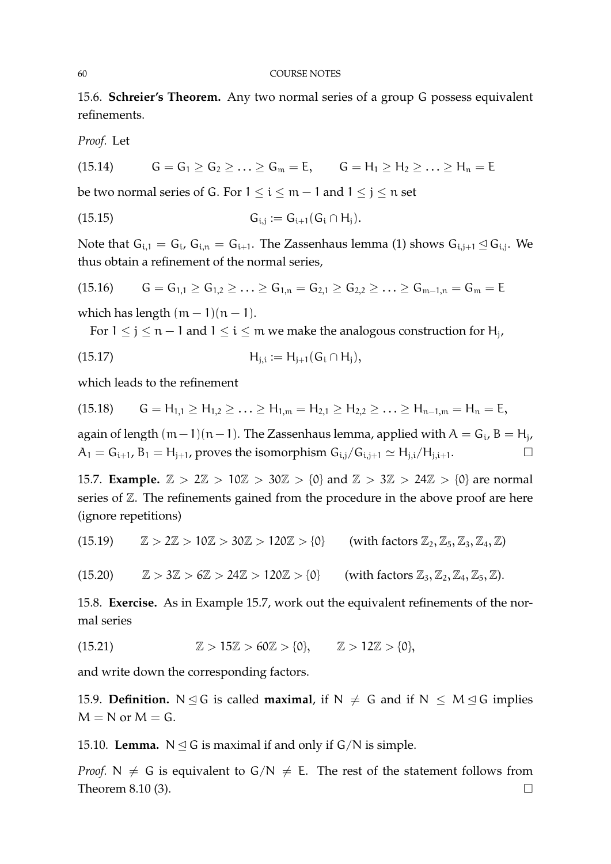15.6. **Schreier's Theorem.** Any two normal series of a group G possess equivalent refinements.

*Proof.* Let

(15.14) 
$$
G = G_1 \ge G_2 \ge ... \ge G_m = E
$$
,  $G = H_1 \ge H_2 \ge ... \ge H_n = E$ 

be two normal series of G. For  $1 \le i \le m-1$  and  $1 \le j \le n$  set

$$
(15.15) \t G_{i,j} := G_{i+1}(G_i \cap H_j).
$$

Note that  $G_{i,1} = G_i$ ,  $G_{i,n} = G_{i+1}$ . The Zassenhaus lemma (1) shows  $G_{i,j+1} \trianglelefteq G_{i,j}$ . We thus obtain a refinement of the normal series,

$$
(15.16) \qquad G = G_{1,1} \ge G_{1,2} \ge \ldots \ge G_{1,n} = G_{2,1} \ge G_{2,2} \ge \ldots \ge G_{m-1,n} = G_m = E
$$

which has length  $(m - 1)(n - 1)$ .

For  $1 \leq j \leq n-1$  and  $1 \leq i \leq m$  we make the analogous construction for  $\mathsf{H}_{j}$ ,

$$
(15.17) \t\t H_{j,i} := H_{j+1}(G_i \cap H_j),
$$

which leads to the refinement

$$
(15.18) \qquad G = H_{1,1} \geq H_{1,2} \geq \ldots \geq H_{1,m} = H_{2,1} \geq H_{2,2} \geq \ldots \geq H_{n-1,m} = H_n = E,
$$

again of length (m−1)(n−1). The Zassenhaus lemma, applied with  $A = G_i$ , B = H<sub>j</sub>,  $A_1 = G_{i+1}$ ,  $B_1 = H_{j+1}$ , proves the isomorphism  $G_{i,j}/G_{i,j+1} \simeq H_{j,i}/H_{j,i+1}$ .

15.7. **Example.**  $\mathbb{Z} > 2\mathbb{Z} > 10\mathbb{Z} > 30\mathbb{Z} > \{0\}$  and  $\mathbb{Z} > 3\mathbb{Z} > 24\mathbb{Z} > \{0\}$  are normal series of  $\mathbb Z$ . The refinements gained from the procedure in the above proof are here (ignore repetitions)

 $(15.19)$   $\mathbb{Z} > 2\mathbb{Z} > 10\mathbb{Z} > 30\mathbb{Z} > 120\mathbb{Z} > 0$  (with factors  $\mathbb{Z}_2, \mathbb{Z}_5, \mathbb{Z}_3, \mathbb{Z}_4, \mathbb{Z}$ )

$$
(15.20) \qquad \mathbb{Z} > 3\mathbb{Z} > 6\mathbb{Z} > 24\mathbb{Z} > 120\mathbb{Z} > \{0\} \qquad \text{(with factors } \mathbb{Z}_3, \mathbb{Z}_2, \mathbb{Z}_4, \mathbb{Z}_5, \mathbb{Z}).
$$

15.8. **Exercise.** As in Example 15.7, work out the equivalent refinements of the normal series

(15.21) 
$$
\mathbb{Z} > 15\mathbb{Z} > 60\mathbb{Z} > \{0\}, \qquad \mathbb{Z} > 12\mathbb{Z} > \{0\},
$$

and write down the corresponding factors.

15.9. **Definition.** N  $\leq$  G is called **maximal**, if N  $\neq$  G and if N  $\leq$  M  $\leq$  G implies  $M = N$  or  $M = G$ .

15.10. **Lemma.**  $N \leq G$  is maximal if and only if  $G/N$  is simple.

*Proof.* N  $\neq$  G is equivalent to G/N  $\neq$  E. The rest of the statement follows from Theorem 8.10 (3).  $\Box$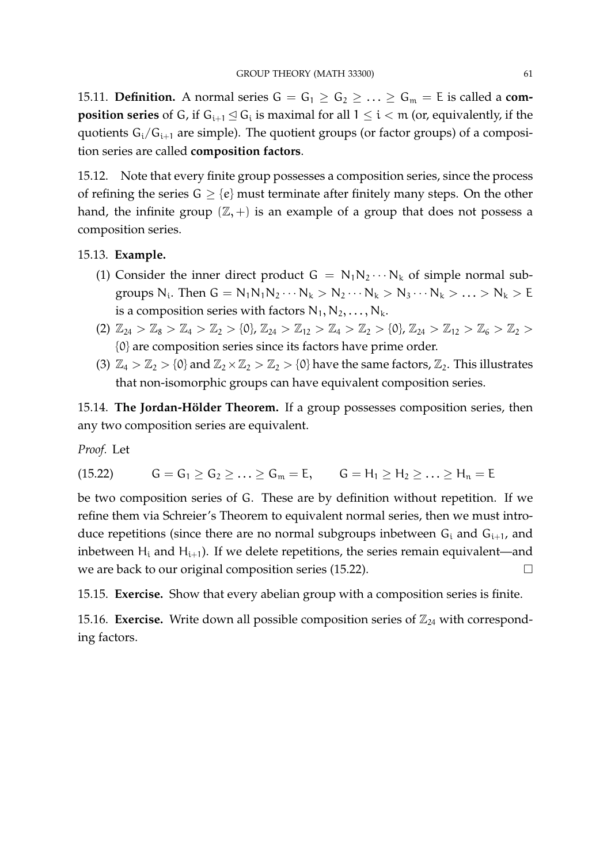15.11. **Definition.** A normal series  $G = G_1 \geq G_2 \geq \ldots \geq G_m = E$  is called a **composition series** of G, if  $G_{i+1} \leq G_i$  is maximal for all  $1 \leq i < m$  (or, equivalently, if the quotients  $G_i/G_{i+1}$  are simple). The quotient groups (or factor groups) of a composition series are called **composition factors**.

15.12. Note that every finite group possesses a composition series, since the process of refining the series  $G \geq \{e\}$  must terminate after finitely many steps. On the other hand, the infinite group  $(\mathbb{Z}, +)$  is an example of a group that does not possess a composition series.

# 15.13. **Example.**

- (1) Consider the inner direct product  $G = N_1N_2 \cdots N_k$  of simple normal subgroups  $N_i$ . Then  $G = N_1N_1N_2\cdots N_k > N_2\cdots N_k > N_3\cdots N_k > \ldots > N_k > E$ is a composition series with factors  $N_1, N_2, \ldots, N_k$ .
- (2)  $\mathbb{Z}_{24} > \mathbb{Z}_8 > \mathbb{Z}_4 > \mathbb{Z}_2 > \{0\}, \mathbb{Z}_{24} > \mathbb{Z}_{12} > \mathbb{Z}_4 > \mathbb{Z}_2 > \{0\}, \mathbb{Z}_{24} > \mathbb{Z}_{12} > \mathbb{Z}_6 > \mathbb{Z}_2 >$ {0} are composition series since its factors have prime order.
- (3)  $\mathbb{Z}_4 > \mathbb{Z}_2 > \{0\}$  and  $\mathbb{Z}_2 \times \mathbb{Z}_2 > \mathbb{Z}_2 > \{0\}$  have the same factors,  $\mathbb{Z}_2$ . This illustrates that non-isomorphic groups can have equivalent composition series.

15.14. The Jordan-Hölder Theorem. If a group possesses composition series, then any two composition series are equivalent.

*Proof.* Let

(15.22) 
$$
G = G_1 \ge G_2 \ge ... \ge G_m = E, \qquad G = H_1 \ge H_2 \ge ... \ge H_n = E
$$

be two composition series of G. These are by definition without repetition. If we refine them via Schreier's Theorem to equivalent normal series, then we must introduce repetitions (since there are no normal subgroups inbetween  $G_i$  and  $G_{i+1}$ , and inbetween  $H_i$  and  $H_{i+1}$ ). If we delete repetitions, the series remain equivalent—and we are back to our original composition series (15.22).

15.15. **Exercise.** Show that every abelian group with a composition series is finite.

15.16. **Exercise.** Write down all possible composition series of  $\mathbb{Z}_{24}$  with corresponding factors.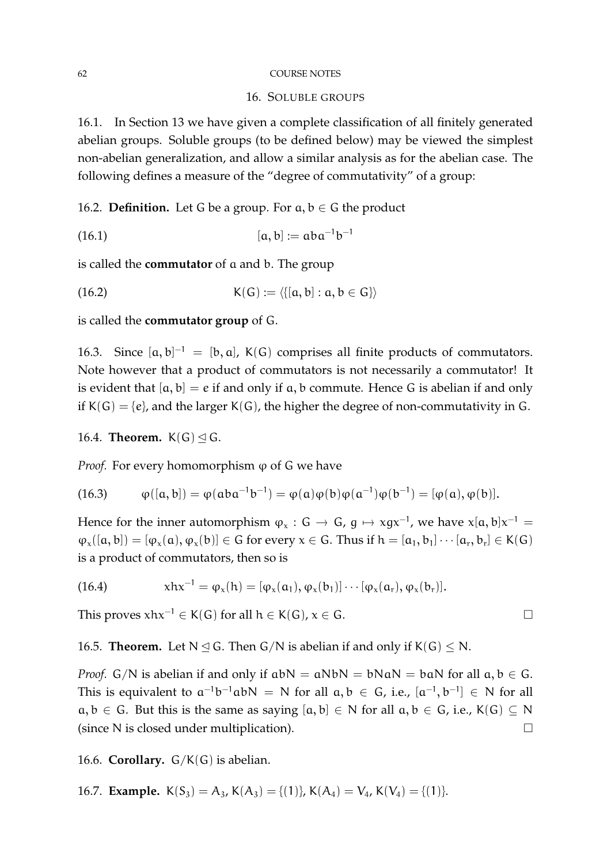#### 62 COURSE NOTES

### 16. SOLUBLE GROUPS

16.1. In Section 13 we have given a complete classification of all finitely generated abelian groups. Soluble groups (to be defined below) may be viewed the simplest non-abelian generalization, and allow a similar analysis as for the abelian case. The following defines a measure of the "degree of commutativity" of a group:

16.2. **Definition.** Let G be a group. For  $a, b \in G$  the product

(16.1) 
$$
[a, b] := aba^{-1}b^{-1}
$$

is called the **commutator** of a and b. The group

(16.2) 
$$
K(G) := \langle \{[a, b] : a, b \in G\} \rangle
$$

is called the **commutator group** of G.

16.3. Since  $[a, b]^{-1} = [b, a]$ , K(G) comprises all finite products of commutators. Note however that a product of commutators is not necessarily a commutator! It is evident that  $[a, b] = e$  if and only if a, b commute. Hence G is abelian if and only if  $K(G) = \{e\}$ , and the larger  $K(G)$ , the higher the degree of non-commutativity in G.

### 16.4. **Theorem.**  $K(G) \leq G$ .

*Proof.* For every homomorphism  $\varphi$  of G we have

(16.3) 
$$
\varphi([a,b]) = \varphi(aba^{-1}b^{-1}) = \varphi(a)\varphi(b)\varphi(a^{-1})\varphi(b^{-1}) = [\varphi(a), \varphi(b)].
$$

Hence for the inner automorphism  $\varphi_x : G \to G$ ,  $g \mapsto xgx^{-1}$ , we have  $x[a, b]x^{-1} =$  $\varphi_x([a, b]) = [\varphi_x(a), \varphi_x(b)] \in G$  for every  $x \in G$ . Thus if  $h = [a_1, b_1] \cdots [a_r, b_r] \in K(G)$ is a product of commutators, then so is

(16.4) 
$$
xhx^{-1} = \varphi_x(h) = [\varphi_x(\alpha_1), \varphi_x(b_1)] \cdots [\varphi_x(\alpha_r), \varphi_x(b_r)].
$$

This proves  $xhx^{-1} \in K(G)$  for all  $h \in K(G)$ ,  $x \in G$ .

16.5. **Theorem.** Let  $N \triangleleft G$ . Then  $G/N$  is abelian if and only if  $K(G) \le N$ .

*Proof.* G/N is abelian if and only if  $abN = aNbN = bNaN = baN$  for all  $a, b \in G$ . This is equivalent to  $a^{-1}b^{-1}abN = N$  for all  $a, b \in G$ , i.e.,  $[a^{-1}, b^{-1}] \in N$  for all  $a, b \in G$ . But this is the same as saying  $[a, b] \in N$  for all  $a, b \in G$ , i.e.,  $K(G) \subseteq N$ (since N is closed under multiplication).

16.6. **Corollary.**  $G/K(G)$  is abelian.

16.7. **Example.**  $K(S_3) = A_3$ ,  $K(A_3) = \{(1)\}\$ ,  $K(A_4) = V_4$ ,  $K(V_4) = \{(1)\}\$ .

$$
\qquad \qquad \Box
$$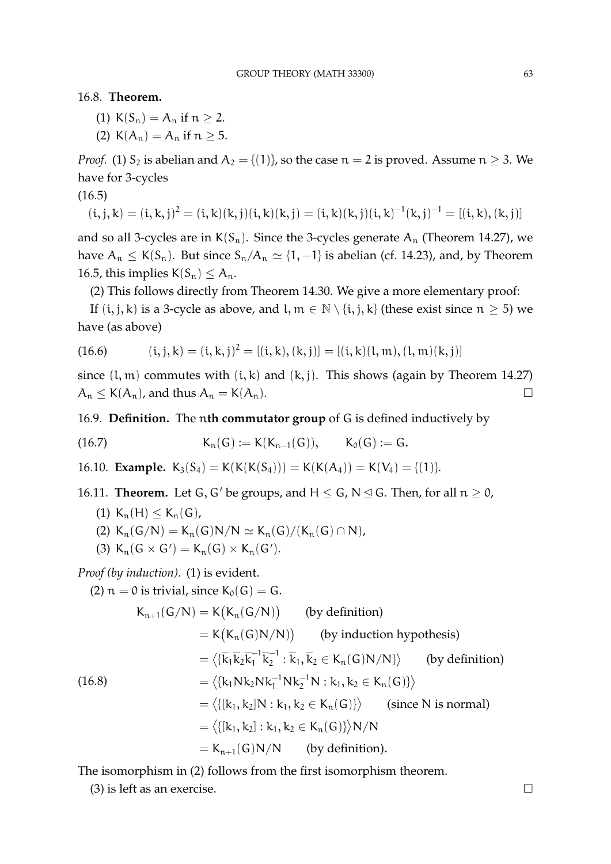16.8. **Theorem.**

- (1)  $K(S_n) = A_n$  if  $n > 2$ .
- (2)  $K(A_n) = A_n$  if  $n \ge 5$ .

*Proof.* (1)  $S_2$  is abelian and  $A_2 = \{(1)\}\$ , so the case  $n = 2$  is proved. Assume  $n \geq 3$ . We have for 3-cycles

(16.5)

$$
(\mathfrak{i}, \mathfrak{j}, \mathfrak{k}) = (\mathfrak{i}, \mathfrak{k}, \mathfrak{j})^2 = (\mathfrak{i}, \mathfrak{k})(\mathfrak{k}, \mathfrak{j})(\mathfrak{i}, \mathfrak{k})(\mathfrak{k}, \mathfrak{j}) = (\mathfrak{i}, \mathfrak{k})(\mathfrak{k}, \mathfrak{j})(\mathfrak{i}, \mathfrak{k})^{-1}(\mathfrak{k}, \mathfrak{j})^{-1} = [(\mathfrak{i}, \mathfrak{k}), (\mathfrak{k}, \mathfrak{j})]
$$

and so all 3-cycles are in  $K(S_n)$ . Since the 3-cycles generate  $A_n$  (Theorem 14.27), we have  $A_n \leq K(S_n)$ . But since  $S_n/A_n \simeq \{1, -1\}$  is abelian (cf. 14.23), and, by Theorem 16.5, this implies  $K(S_n) \leq A_n$ .

(2) This follows directly from Theorem 14.30. We give a more elementary proof:

If  $(i, j, k)$  is a 3-cycle as above, and  $l, m \in \mathbb{N} \setminus \{i, j, k\}$  (these exist since  $n \geq 5$ ) we have (as above)

(16.6) 
$$
(i, j, k) = (i, k, j)^2 = [(i, k), (k, j)] = [(i, k)(l, m), (l, m)(k, j)]
$$

since  $(l, m)$  commutes with  $(i, k)$  and  $(k, j)$ . This shows (again by Theorem 14.27)  $A_n \leq K(A_n)$ , and thus  $A_n = K(A_n)$ .

16.9. **Definition.** The n**th commutator group** of G is defined inductively by

(16.7) 
$$
K_n(G) := K(K_{n-1}(G)), \qquad K_0(G) := G.
$$

16.10. **Example.**  $K_3(S_4) = K(K(K(S_4))) = K(K(A_4)) = K(V_4) = \{(1)\}.$ 

- 16.11. **Theorem.** Let G, G' be groups, and  $H \le G$ ,  $N \le G$ . Then, for all  $n \ge 0$ ,
	- (1)  $K_n(H) \le K_n(G)$ ,
	- (2)  $K_n(G/N) = K_n(G)N/N \simeq K_n(G)/(K_n(G) \cap N),$
	- (3)  $K_n(G \times G') = K_n(G) \times K_n(G').$

*Proof (by induction).* (1) is evident.

(2)  $n = 0$  is trivial, since  $K_0(G) = G$ .

$$
K_{n+1}(G/N) = K(K_n(G/N)) \qquad \text{(by definition)}
$$
\n
$$
= K(K_n(G)N/N)) \qquad \text{(by induction hypothesis)}
$$
\n
$$
= \langle {\overline{k}_1 \overline{k}_2 \overline{k}_1}^{-1} \overline{k}_2^{-1} : \overline{k}_1, \overline{k}_2 \in K_n(G)N/N \rangle \rangle \qquad \text{(by definition)}
$$
\n
$$
= \langle {\overline{k}_1 N k_2 N k_1^{-1} N k_2^{-1} N : k_1, k_2 \in K_n(G)} \rangle
$$
\n
$$
= \langle {\overline{k}_1, k_2} \overline{k}_1 : k_1, k_2 \in K_n(G) \rangle \rangle \qquad \text{(since N is normal)}
$$
\n
$$
= \langle {\overline{k}_1, k_2} : k_1, k_2 \in K_n(G) \rangle \rangle N/N
$$
\n
$$
= K_{n+1}(G)N/N \qquad \text{(by definition)}.
$$

The isomorphism in (2) follows from the first isomorphism theorem.

(3) is left as an exercise.  $\square$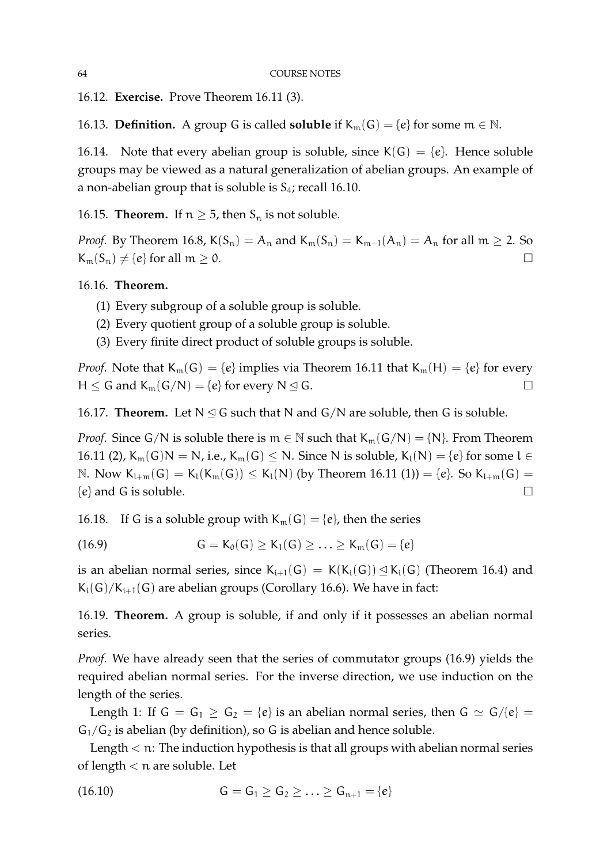16.12. **Exercise.** Prove Theorem 16.11 (3).

16.13. **Definition.** A group G is called **soluble** if  $K_m(G) = \{e\}$  for some  $m \in \mathbb{N}$ .

16.14. Note that every abelian group is soluble, since  $K(G) = \{e\}$ . Hence soluble groups may be viewed as a natural generalization of abelian groups. An example of a non-abelian group that is soluble is  $S_4$ ; recall 16.10.

16.15. **Theorem.** If  $n \geq 5$ , then  $S_n$  is not soluble.

*Proof.* By Theorem 16.8,  $K(S_n) = A_n$  and  $K_m(S_n) = K_{m-1}(A_n) = A_n$  for all  $m \ge 2$ . So  $K_m(S_n) \neq \{e\}$  for all  $m \geq 0$ .

16.16. **Theorem.**

- (1) Every subgroup of a soluble group is soluble.
- (2) Every quotient group of a soluble group is soluble.
- (3) Every finite direct product of soluble groups is soluble.

*Proof.* Note that  $K_m(G) = \{e\}$  implies via Theorem 16.11 that  $K_m(H) = \{e\}$  for every  $H \leq G$  and  $K_m(G/N) = \{e\}$  for every  $N \leq G$ .

16.17. **Theorem.** Let  $N \leq G$  such that N and  $G/N$  are soluble, then G is soluble.

*Proof.* Since G/N is soluble there is  $m \in \mathbb{N}$  such that  $K_m(G/N) = \{N\}$ . From Theorem 16.11 (2),  $K_m(G)N = N$ , i.e.,  $K_m(G) \le N$ . Since N is soluble,  $K_l(N) = \{e\}$  for some  $l \in$ N. Now  $K_{l+m}(G) = K_l(K_m(G)) \leq K_l(N)$  (by Theorem 16.11 (1)) = {e}. So  $K_{l+m}(G)$  =  $\{e\}$  and G is soluble.

16.18. If G is a soluble group with  $K_m(G) = \{e\}$ , then the series

(16.9) 
$$
G = K_0(G) \geq K_1(G) \geq \ldots \geq K_m(G) = \{e\}
$$

is an abelian normal series, since  $K_{i+1}(G) = K(K_i(G)) \leq K_i(G)$  (Theorem 16.4) and  $K_i(G)/K_{i+1}(G)$  are abelian groups (Corollary 16.6). We have in fact:

16.19. **Theorem.** A group is soluble, if and only if it possesses an abelian normal series.

*Proof.* We have already seen that the series of commutator groups (16.9) yields the required abelian normal series. For the inverse direction, we use induction on the length of the series.

Length 1: If  $G = G_1 \ge G_2 = \{e\}$  is an abelian normal series, then  $G \simeq G/\{e\} =$  $G_1/G_2$  is abelian (by definition), so G is abelian and hence soluble.

Length  $<$  n: The induction hypothesis is that all groups with abelian normal series of length  $<$  n are soluble. Let

(16.10) 
$$
G = G_1 \ge G_2 \ge \ldots \ge G_{n+1} = \{e\}
$$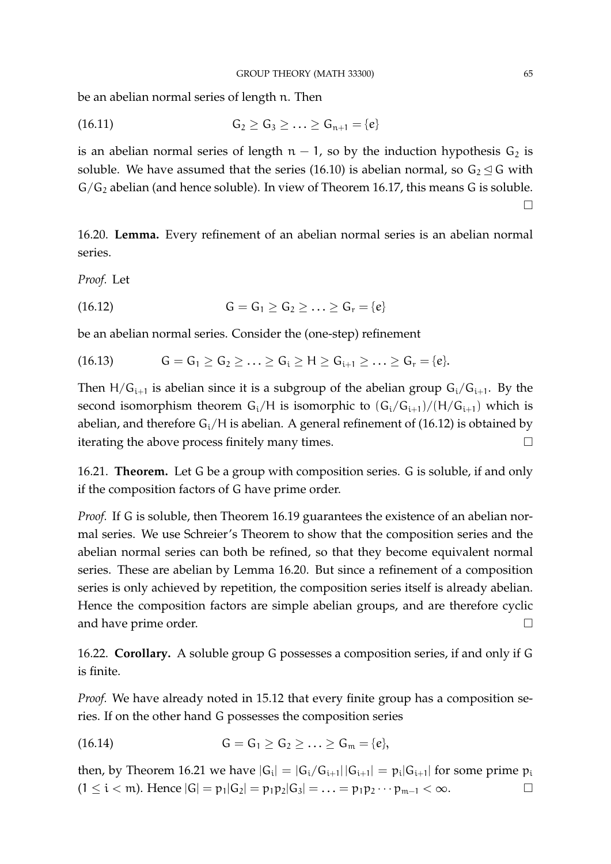be an abelian normal series of length n. Then

(16.11) 
$$
G_2 \ge G_3 \ge ... \ge G_{n+1} = \{e\}
$$

is an abelian normal series of length  $n - 1$ , so by the induction hypothesis  $G_2$  is soluble. We have assumed that the series (16.10) is abelian normal, so  $G_2 \trianglelefteq G$  with  $G/G_2$  abelian (and hence soluble). In view of Theorem 16.17, this means G is soluble.  $\Box$ 

16.20. **Lemma.** Every refinement of an abelian normal series is an abelian normal series.

*Proof.* Let

(16.12) 
$$
G = G_1 \ge G_2 \ge \ldots \ge G_r = \{e\}
$$

be an abelian normal series. Consider the (one-step) refinement

$$
(16.13) \tG = G1 \ge G2 \ge \ldots \ge Gi \ge H \ge Gi+1 \ge \ldots \ge Gr = \{e\}.
$$

Then  $H/G_{i+1}$  is abelian since it is a subgroup of the abelian group  $G_i/G_{i+1}$ . By the second isomorphism theorem  $G_i/H$  is isomorphic to  $(G_i/G_{i+1})/(H/G_{i+1})$  which is abelian, and therefore  $G_i/H$  is abelian. A general refinement of (16.12) is obtained by iterating the above process finitely many times.

16.21. **Theorem.** Let G be a group with composition series. G is soluble, if and only if the composition factors of G have prime order.

*Proof.* If G is soluble, then Theorem 16.19 guarantees the existence of an abelian normal series. We use Schreier's Theorem to show that the composition series and the abelian normal series can both be refined, so that they become equivalent normal series. These are abelian by Lemma 16.20. But since a refinement of a composition series is only achieved by repetition, the composition series itself is already abelian. Hence the composition factors are simple abelian groups, and are therefore cyclic and have prime order.

16.22. **Corollary.** A soluble group G possesses a composition series, if and only if G is finite.

*Proof.* We have already noted in 15.12 that every finite group has a composition series. If on the other hand G possesses the composition series

(16.14) 
$$
G = G_1 \ge G_2 \ge \ldots \ge G_m = \{e\},
$$

then, by Theorem 16.21 we have  $|G_i| = |G_i/G_{i+1}||G_{i+1}| = p_i|G_{i+1}|$  for some prime  $p_i$  $(1 \le i < m)$ . Hence  $|G| = p_1 |G_2| = p_1 p_2 |G_3| = \ldots = p_1 p_2 \cdots p_{m-1} < \infty$ .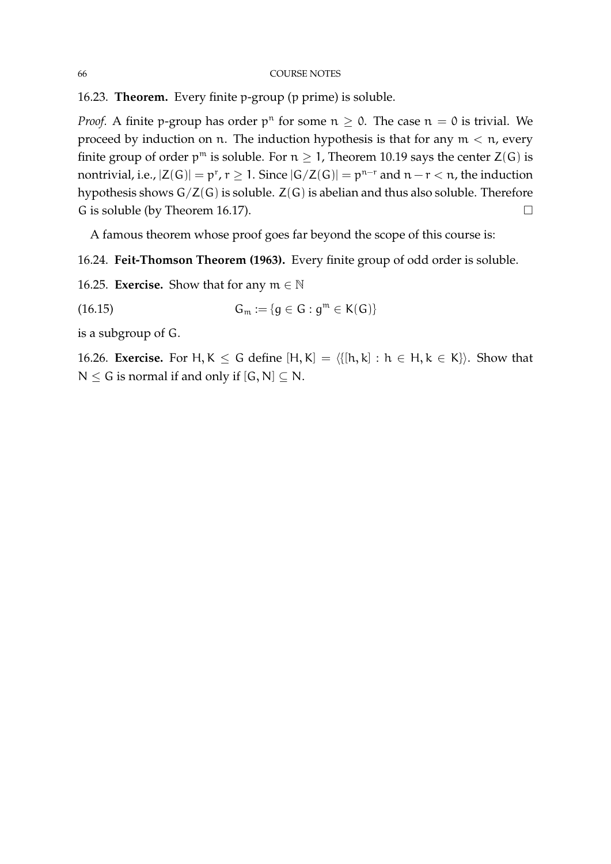16.23. **Theorem.** Every finite p-group (p prime) is soluble.

*Proof.* A finite p-group has order  $p^n$  for some  $n \ge 0$ . The case  $n = 0$  is trivial. We proceed by induction on n. The induction hypothesis is that for any  $m < n$ , every finite group of order  $p^m$  is soluble. For  $n \geq 1$ , Theorem 10.19 says the center  $Z(G)$  is nontrivial, i.e.,  $|Z(G)| = p^r$ ,  $r \geq 1$ . Since  $|G/Z(G)| = p^{n-r}$  and  $n-r < n$ , the induction hypothesis shows G/Z(G) is soluble. Z(G) is abelian and thus also soluble. Therefore G is soluble (by Theorem 16.17).  $\Box$ 

A famous theorem whose proof goes far beyond the scope of this course is:

16.24. **Feit-Thomson Theorem (1963).** Every finite group of odd order is soluble.

16.25. **Exercise.** Show that for any  $m \in \mathbb{N}$ 

$$
(16.15) \qquad \qquad \mathsf{G}_{\mathfrak{m}} := \{ g \in \mathsf{G} : g^{\mathfrak{m}} \in \mathsf{K}(\mathsf{G}) \}
$$

is a subgroup of G.

16.26. **Exercise.** For H, K  $\leq$  G define  $[H, K] = \{[h, k] : h \in H, k \in K\}$ . Show that  $N \le G$  is normal if and only if  $[G, N] \subset N$ .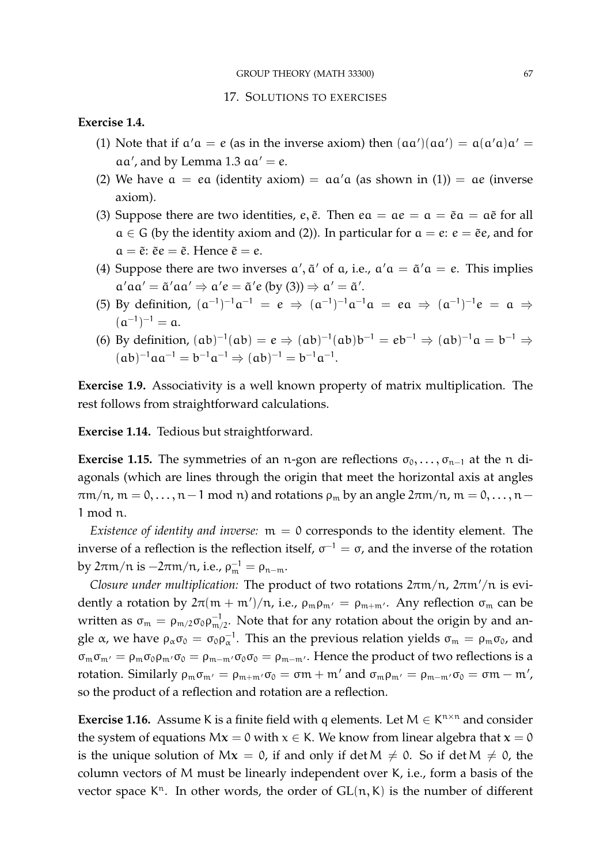### **Exercise 1.4.**

- (1) Note that if  $\alpha' \alpha = e$  (as in the inverse axiom) then  $(\alpha \alpha')(\alpha \alpha') = \alpha(\alpha' \alpha) \alpha' =$  $aa'$ , and by Lemma 1.3  $aa' = e$ .
- (2) We have  $a = ea$  (identity axiom) =  $aa'a$  (as shown in (1)) =  $ae$  (inverse axiom).
- (3) Suppose there are two identities, e,  $\tilde{e}$ . Then  $ea = ae = a = \tilde{e}a = a\tilde{e}$  for all  $a \in G$  (by the identity axiom and (2)). In particular for  $a = e$ :  $e = \tilde{e}e$ , and for  $a = \tilde{e}$ :  $\tilde{e}e = \tilde{e}$ . Hence  $\tilde{e} = e$ .
- (4) Suppose there are two inverses  $\alpha'$ ,  $\tilde{\alpha}'$  of  $\alpha$ , i.e.,  $\alpha'\alpha = \tilde{\alpha}'\alpha = e$ . This implies  $\alpha'$ a $\alpha' = \tilde{\alpha}'$ a $\alpha' \Rightarrow \alpha' e = \tilde{\alpha}' e$  (by (3))  $\Rightarrow \alpha' = \tilde{\alpha}'$ .
- (5) By definition,  $(a^{-1})^{-1}a^{-1} = e \Rightarrow (a^{-1})^{-1}a^{-1}a = ea \Rightarrow (a^{-1})^{-1}e = a \Rightarrow$  $(a^{-1})^{-1} = a.$
- (6) By definition,  $(ab)^{-1}(ab) = e \Rightarrow (ab)^{-1}(ab)b^{-1} = eb^{-1} \Rightarrow (ab)^{-1}a = b^{-1}$ ⇒  $(a b)^{-1} a a^{-1} = b^{-1} a^{-1} \Rightarrow (ab)^{-1} = b^{-1} a^{-1}.$

**Exercise 1.9.** Associativity is a well known property of matrix multiplication. The rest follows from straightforward calculations.

**Exercise 1.14.** Tedious but straightforward.

**Exercise 1.15.** The symmetries of an n-gon are reflections  $\sigma_0, \ldots, \sigma_{n-1}$  at the n diagonals (which are lines through the origin that meet the horizontal axis at angles  $\pi$ m/n, m = 0, ..., n – 1 mod n) and rotations  $\rho_m$  by an angle  $2\pi$ m/n, m = 0, ..., n – 1 mod n.

*Existence of identity and inverse:*  $m = 0$  corresponds to the identity element. The inverse of a reflection is the reflection itself,  $\sigma^{-1} = \sigma$ , and the inverse of the rotation by 2πm/n is  $-2\pi$ m/n, i.e., ρ $_m^{-1} = \rho_{n-m}$ .

*Closure under multiplication:* The product of two rotations  $2\pi m/n$ ,  $2\pi m/n$  is evidently a rotation by  $2\pi(m + m')/n$ , i.e.,  $\rho_m \rho_{m'} = \rho_{m+m'}$ . Any reflection  $\sigma_m$  can be written as  $\sigma_m = \rho_{m/2} \sigma_0 \rho_{m/2}^{-1}$ . Note that for any rotation about the origin by and angle  $\alpha$ , we have  $\rho_\alpha\sigma_0=\sigma_0\rho_\alpha^{-1}$ . This an the previous relation yields  $\sigma_m=\rho_m\sigma_0$ , and  $\sigma_m \sigma_{m'} = \rho_m \sigma_0 \rho_{m'} \sigma_0 = \rho_{m-m'} \sigma_0 \sigma_0 = \rho_{m-m'}$ . Hence the product of two reflections is a rotation. Similarly  $\rho_m \sigma_{m'} = \rho_{m+m'} \sigma_0 = \sigma m + m'$  and  $\sigma_m \rho_{m'} = \rho_{m-m'} \sigma_0 = \sigma m - m'$ , so the product of a reflection and rotation are a reflection.

**Exercise 1.16.** Assume K is a finite field with q elements. Let  $M \in K^{n \times n}$  and consider the system of equations  $Mx = 0$  with  $x \in K$ . We know from linear algebra that  $x = 0$ is the unique solution of  $Mx = 0$ , if and only if det  $M \neq 0$ . So if det  $M \neq 0$ , the column vectors of M must be linearly independent over K, i.e., form a basis of the vector space  $K<sup>n</sup>$ . In other words, the order of  $GL(n, K)$  is the number of different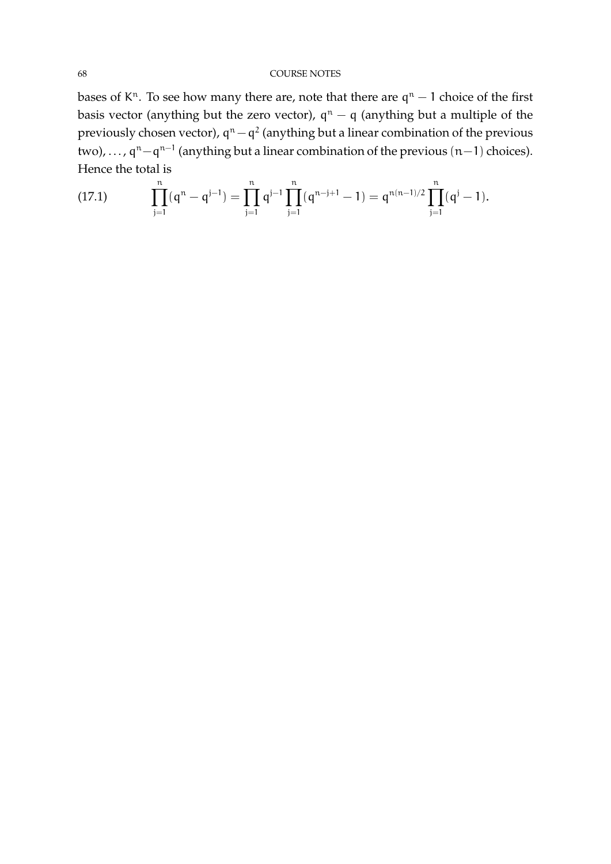bases of K<sup>n</sup>. To see how many there are, note that there are  $q<sup>n</sup> - 1$  choice of the first basis vector (anything but the zero vector),  $q^{n} - q$  (anything but a multiple of the previously chosen vector),  $\mathsf{q}^{\mathfrak{n}}-\mathsf{q}^{2}$  (anything but a linear combination of the previous two), ...,  $q^{n} - q^{n-1}$  (anything but a linear combination of the previous  $(n-1)$  choices). Hence the total is

(17.1) 
$$
\prod_{j=1}^{n} (q^{n} - q^{j-1}) = \prod_{j=1}^{n} q^{j-1} \prod_{j=1}^{n} (q^{n-j+1} - 1) = q^{n(n-1)/2} \prod_{j=1}^{n} (q^{j} - 1).
$$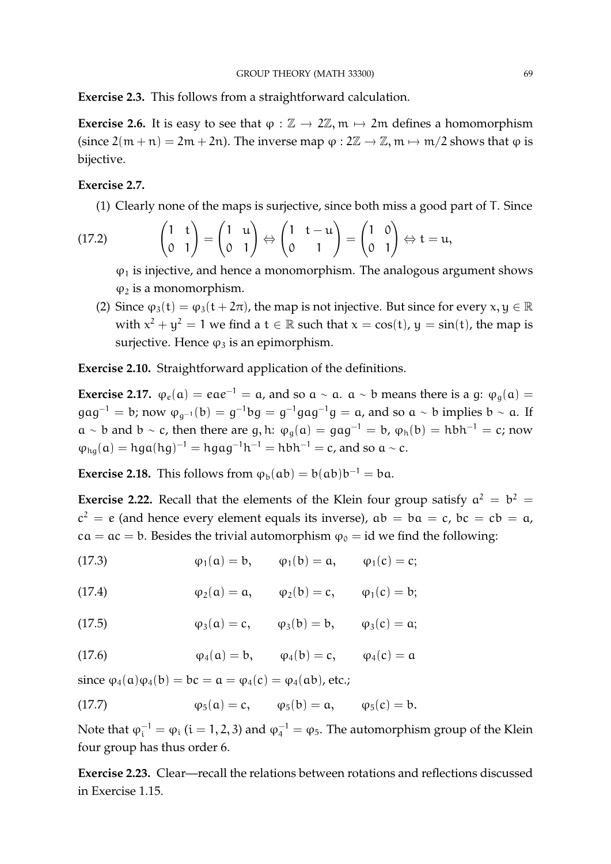**Exercise 2.3.** This follows from a straightforward calculation.

**Exercise 2.6.** It is easy to see that  $\varphi : \mathbb{Z} \to 2\mathbb{Z}$ ,  $m \mapsto 2m$  defines a homomorphism (since  $2(m + n) = 2m + 2n$ ). The inverse map  $\varphi : 2\mathbb{Z} \to \mathbb{Z}$ ,  $m \mapsto m/2$  shows that  $\varphi$  is bijective.

# **Exercise 2.7.**

(1) Clearly none of the maps is surjective, since both miss a good part of T. Since

(17.2) 
$$
\begin{pmatrix} 1 & t \\ 0 & 1 \end{pmatrix} = \begin{pmatrix} 1 & u \\ 0 & 1 \end{pmatrix} \Leftrightarrow \begin{pmatrix} 1 & t - u \\ 0 & 1 \end{pmatrix} = \begin{pmatrix} 1 & 0 \\ 0 & 1 \end{pmatrix} \Leftrightarrow t = u,
$$

 $\varphi_1$  is injective, and hence a monomorphism. The analogous argument shows  $\varphi_2$  is a monomorphism.

(2) Since  $\varphi_3(t) = \varphi_3(t + 2\pi)$ , the map is not injective. But since for every  $x, y \in \mathbb{R}$ with  $x^2 + y^2 = 1$  we find a  $t \in \mathbb{R}$  such that  $x = \cos(t)$ ,  $y = \sin(t)$ , the map is surjective. Hence  $\varphi_3$  is an epimorphism.

**Exercise 2.10.** Straightforward application of the definitions.

**Exercise 2.17.**  $\varphi_e(\mathfrak{a}) = e\mathfrak{a}e^{-1} = \mathfrak{a}$ , and so  $\mathfrak{a} \sim \mathfrak{a}$ .  $\mathfrak{a} \sim \mathfrak{b}$  means there is a g:  $\varphi_g(\mathfrak{a}) =$  $gag^{-1} = b$ ; now  $\varphi_{g^{-1}}(b) = g^{-1}bg = g^{-1}gag^{-1}g = a$ , and so  $a \sim b$  implies  $b \sim a$ . If  $a \sim b$  and  $b \sim c$ , then there are g, h:  $\varphi_{g}(a) = ga g^{-1} = b$ ,  $\varphi_{h}(b) = h b h^{-1} = c$ ; now  $\varphi_{hg}(a) = hga(hg)^{-1} = hgag^{-1}h^{-1} = hbh^{-1} = c$ , and so  $a \sim c$ .

**Exercise 2.18.** This follows from  $\varphi_b(ab) = b(ab)b^{-1} = ba$ .

**Exercise 2.22.** Recall that the elements of the Klein four group satisfy  $a^2 = b^2 = a$  $c^2 = e$  (and hence every element equals its inverse),  $ab = ba = c$ ,  $bc = cb = a$ ,  $ca = ac = b$ . Besides the trivial automorphism  $\varphi_0 = id$  we find the following:

(17.3)  $\varphi_1(a) = b, \qquad \varphi_1(b) = a, \qquad \varphi_1(c) = c;$ 

(17.4) 
$$
\varphi_2(\alpha) = \alpha, \qquad \varphi_2(b) = c, \qquad \varphi_1(c) = b;
$$

(17.5) 
$$
\varphi_3(a) = c, \qquad \varphi_3(b) = b, \qquad \varphi_3(c) = a;
$$

(17.6) 
$$
\varphi_4(a) = b, \qquad \varphi_4(b) = c, \qquad \varphi_4(c) = a
$$

since  $\varphi_4(\mathfrak{a})\varphi_4(\mathfrak{b}) = \mathfrak{b}\mathfrak{c} = \mathfrak{a} = \varphi_4(\mathfrak{c}) = \varphi_4(\mathfrak{a}\mathfrak{b})$ , etc.;

(17.7) 
$$
\varphi_5(a) = c, \qquad \varphi_5(b) = a, \qquad \varphi_5(c) = b.
$$

Note that  $\varphi_\mathfrak{i}^{-1}=\varphi_\mathfrak{i}$   $(\mathfrak{i}=1,2,3)$  and  $\varphi_\mathfrak{4}^{-1}=\varphi_5.$  The automorphism group of the Klein four group has thus order 6.

**Exercise 2.23.** Clear—recall the relations between rotations and reflections discussed in Exercise 1.15.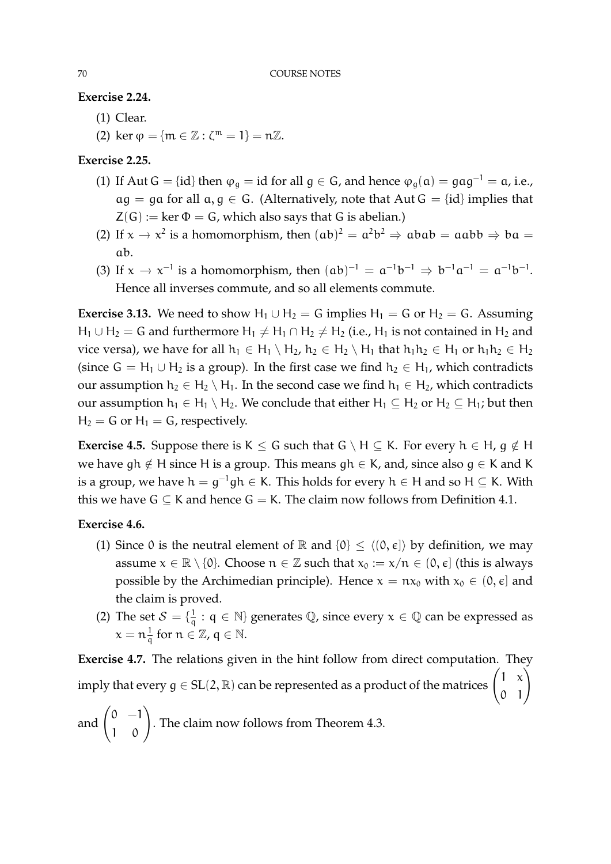**Exercise 2.24.**

- (1) Clear.
- (2) ker  $\varphi = {\mathfrak{m} \in \mathbb{Z} : \zeta^{\mathfrak{m}} = 1} = \mathfrak{n} \mathbb{Z}.$

# **Exercise 2.25.**

- (1) If Aut G = {id} then  $\varphi_g = id$  for all  $g \in G$ , and hence  $\varphi_g(a) = gag^{-1} = a$ , i.e.,  $ag = ga$  for all  $a, g \in G$ . (Alternatively, note that Aut  $G = {id}$  implies that  $Z(G) := \text{ker } \Phi = G$ , which also says that G is abelian.)
- (2) If  $x \to x^2$  is a homomorphism, then  $(ab)^2 = a^2b^2 \Rightarrow abab = aabb \Rightarrow ba =$ ab.
- (3) If  $x \to x^{-1}$  is a homomorphism, then  $(ab)^{-1} = a^{-1}b^{-1} \Rightarrow b^{-1}a^{-1} = a^{-1}b^{-1}$ . Hence all inverses commute, and so all elements commute.

**Exercise 3.13.** We need to show H<sub>1</sub> ∪ H<sub>2</sub> = G implies H<sub>1</sub> = G or H<sub>2</sub> = G. Assuming H<sub>1</sub> ∪ H<sub>2</sub> = G and furthermore H<sub>1</sub>  $\neq$  H<sub>1</sub> ∩ H<sub>2</sub>  $\neq$  H<sub>2</sub> (i.e., H<sub>1</sub> is not contained in H<sub>2</sub> and vice versa), we have for all  $h_1 \in H_1 \setminus H_2$ ,  $h_2 \in H_2 \setminus H_1$  that  $h_1h_2 \in H_1$  or  $h_1h_2 \in H_2$ (since  $G = H_1 \cup H_2$  is a group). In the first case we find  $h_2 \in H_1$ , which contradicts our assumption  $h_2 \in H_2 \setminus H_1$ . In the second case we find  $h_1 \in H_2$ , which contradicts our assumption  $h_1 \in H_1 \setminus H_2$ . We conclude that either  $H_1 \subseteq H_2$  or  $H_2 \subseteq H_1$ ; but then  $H_2 = G$  or  $H_1 = G$ , respectively.

**Exercise 4.5.** Suppose there is K  $\le$  G such that G \ H  $\subseteq$  K. For every h  $\in$  H,  $g \notin H$ we have gh  $\notin$  H since H is a group. This means gh  $\in$  K, and, since also g  $\in$  K and K is a group, we have  $\mathsf{h}=\mathsf{g}^{-1}\mathsf{gh}\in\mathsf{K}.$  This holds for every  $\mathsf{h}\in\mathsf{H}$  and so  $\mathsf{H}\subseteq\mathsf{K}.$  With this we have  $G \subset K$  and hence  $G = K$ . The claim now follows from Definition 4.1.

# **Exercise 4.6.**

- (1) Since 0 is the neutral element of  $\mathbb R$  and  $\{0\} \le \langle (0, \epsilon] \rangle$  by definition, we may assume  $x \in \mathbb{R} \setminus \{0\}$ . Choose  $n \in \mathbb{Z}$  such that  $x_0 := x/n \in (0, \epsilon]$  (this is always possible by the Archimedian principle). Hence  $x = nx_0$  with  $x_0 \in (0, \epsilon]$  and the claim is proved.
- (2) The set  $S = \{\frac{1}{a}\}$  $\frac{1}{q}$  :  $q \in \mathbb{N}$  generates  $\mathbb{Q}$ , since every  $x \in \mathbb{Q}$  can be expressed as  $x = \frac{1}{a}$  $\frac{1}{q}$  for  $n \in \mathbb{Z}$ ,  $q \in \mathbb{N}$ .

**Exercise 4.7.** The relations given in the hint follow from direct computation. They imply that every  $g \in SL(2,\mathbb{R})$  can be represented as a product of the matrices  $\begin{pmatrix} 1 & x \ 0 & 1 \end{pmatrix}$ 

and  $\begin{pmatrix} 0 & -1 \\ 1 & 0 \end{pmatrix}$ . The claim now follows from Theorem 4.3.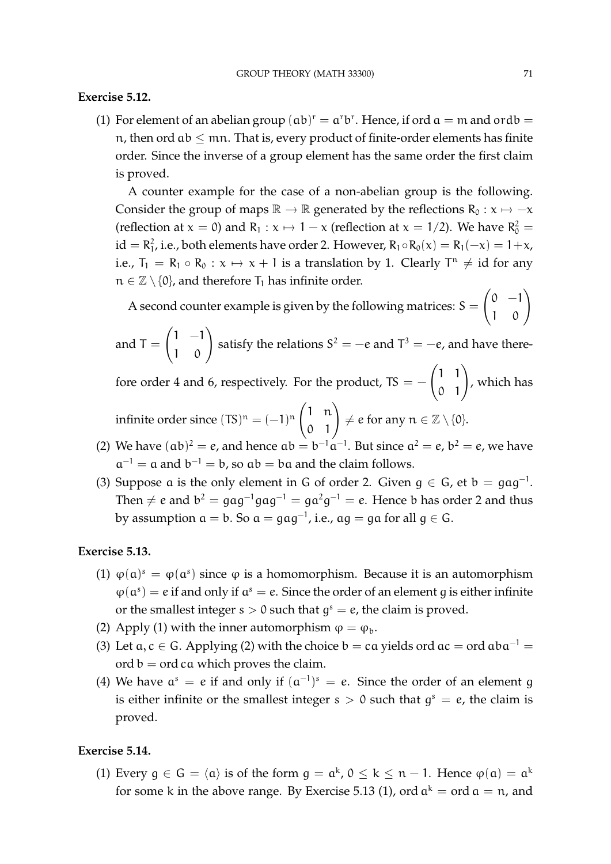# **Exercise 5.12.**

(1) For element of an abelian group  $(ab)^{r} = a^{r}b^{r}$ . Hence, if ord  $a = m$  and ordb = n, then ord  $ab \leq mn$ . That is, every product of finite-order elements has finite order. Since the inverse of a group element has the same order the first claim is proved.

A counter example for the case of a non-abelian group is the following. Consider the group of maps  $\mathbb{R} \to \mathbb{R}$  generated by the reflections  $R_0 : x \mapsto -x$ (reflection at  $x = 0$ ) and  $R_1 : x \mapsto 1 - x$  (reflection at  $x = 1/2$ ). We have  $R_0^2 =$  $\mathrm{id} = \mathsf{R}_{1}^{2}$ , i.e., both elements have order 2. However,  $\mathsf{R}_{1} \circ \mathsf{R}_{0}(\mathsf{x}) = \mathsf{R}_{1}(-\mathsf{x}) = 1 + \mathsf{x}$ , i.e.,  $T_1 = R_1 \circ R_0 : x \mapsto x + 1$  is a translation by 1. Clearly  $T^n \neq id$  for any  $n \in \mathbb{Z} \setminus \{0\}$ , and therefore  $T_1$  has infinite order.

A second counter example is given by the following matrices:  $S =$  $\begin{pmatrix} 0 & -1 \\ 1 & 0 \end{pmatrix}$ 

and 
$$
T = \begin{pmatrix} 1 & -1 \\ 1 & 0 \end{pmatrix}
$$
 satisfy the relations  $S^2 = -e$  and  $T^3 = -e$ , and have there-

fore order 4 and 6, respectively. For the product, TS =  $\begin{pmatrix} 1 & 1 \\ 0 & 1 \end{pmatrix}$ , which has

infinite order since  $(TS)^n = (-1)^n \begin{pmatrix} 1 & n \\ 0 & 1 \end{pmatrix}$  $\neq$  e for any  $n \in \mathbb{Z} \setminus \{0\}.$ 

- (2) We have  $(ab)^2 = e$ , and hence  $ab = b^{-1}a^{-1}$ . But since  $a^2 = e$ ,  $b^2 = e$ , we have  $a^{-1} = a$  and  $b^{-1} = b$ , so  $ab = ba$  and the claim follows.
- (3) Suppose a is the only element in G of order 2. Given  $g \in G$ , et  $b = gag^{-1}$ . Then  $\neq$   $e$  and  $\mathrm{b}^{2}=\mathrm{g} \mathrm{a} \mathrm{g}^{-1} \mathrm{g} \mathrm{a} \mathrm{g}^{-1} = \mathrm{g} \mathrm{a}^{2} \mathrm{g}^{-1} = e.$  Hence  $\mathrm{b}$  has order 2 and thus by assumption  $\mathfrak{a}=\mathfrak{b}.$  So  $\mathfrak{a}=\mathfrak{gag}^{-1}$ , i.e.,  $\mathfrak{a} \mathfrak{g}=\mathfrak{g} \mathfrak{a}$  for all  $\mathfrak{g}\in\mathsf{G}.$

# **Exercise 5.13.**

- (1)  $\varphi(\mathfrak{a})^s = \varphi(\mathfrak{a}^s)$  since  $\varphi$  is a homomorphism. Because it is an automorphism  $\varphi(\mathfrak{a}^s) = e$  if and only if  $\mathfrak{a}^s = e$ . Since the order of an element g is either infinite or the smallest integer  $s > 0$  such that  $g<sup>s</sup> = e$ , the claim is proved.
- (2) Apply (1) with the inner automorphism  $\varphi = \varphi_b$ .
- (3) Let  $a, c \in G$ . Applying (2) with the choice  $b = ca$  yields ord  $ac = ord$   $aba^{-1} =$ ord  $b =$  ord ca which proves the claim.
- (4) We have  $a^s = e$  if and only if  $(a^{-1})^s = e$ . Since the order of an element g is either infinite or the smallest integer  $s > 0$  such that  $g<sup>s</sup> = e$ , the claim is proved.

### **Exercise 5.14.**

(1) Every  $g \in G = \langle a \rangle$  is of the form  $g = a^k$ ,  $0 \le k \le n - 1$ . Hence  $\varphi(a) = a^k$ for some k in the above range. By Exercise 5.13 (1), ord  $a^k = \text{ord } a = n$ , and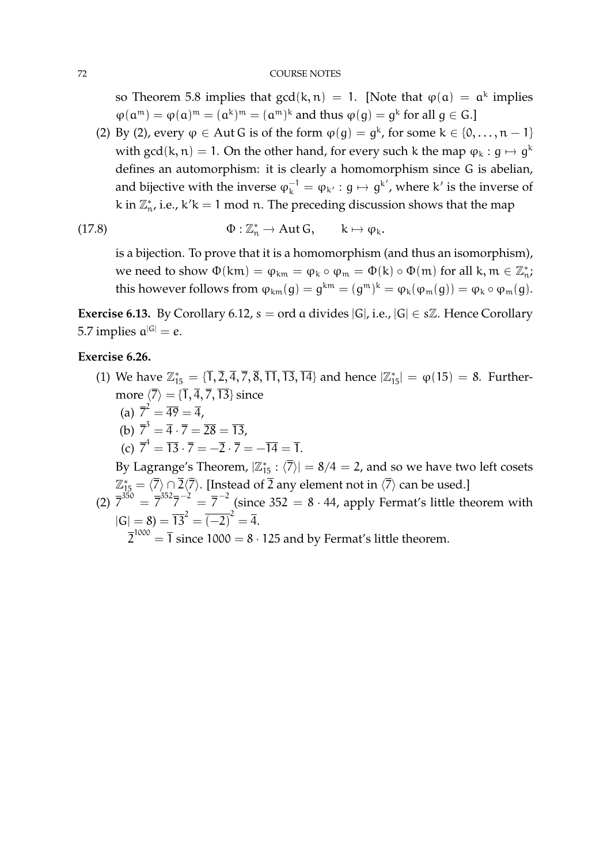so Theorem 5.8 implies that  $gcd(k, n) = 1$ . [Note that  $\varphi(\mathfrak{a}) = \mathfrak{a}^k$  implies  $\varphi(\mathfrak{a}^{\mathfrak{m}}) = \varphi(\mathfrak{a})^{\mathfrak{m}} = (\mathfrak{a}^{\mathfrak{m}})^{\mathfrak{k}}$  and thus  $\varphi(g) = g^{\mathfrak{k}}$  for all  $g \in G$ .]

(2) By (2), every  $\varphi \in$  Aut G is of the form  $\varphi(g) = g^k$ , for some  $k \in \{0, ..., n-1\}$ with gcd(k, n) = 1. On the other hand, for every such k the map  $\varphi_k : g \mapsto g^k$ defines an automorphism: it is clearly a homomorphism since G is abelian, and bijective with the inverse  $\varphi_k^{-1} = \varphi_{k'} : g \mapsto g^{k'}$ , where k' is the inverse of k in  $\mathbb{Z}_n^*$ , i.e., k'k = 1 mod n. The preceding discussion shows that the map

(17.8) 
$$
\Phi: \mathbb{Z}_n^* \to \text{Aut } G, \qquad k \mapsto \varphi_k.
$$

is a bijection. To prove that it is a homomorphism (and thus an isomorphism), we need to show  $\Phi(km) = \phi_{km} = \phi_k \circ \phi_m = \Phi(k) \circ \Phi(m)$  for all  $k, m \in \mathbb{Z}_n^*$ ; this however follows from  $\varphi_{km}(g) = g^{km} = (g^m)^k = \varphi_k(\varphi_m(g)) = \varphi_k \circ \varphi_m(g)$ .

**Exercise 6.13.** By Corollary 6.12,  $s = \text{ord}$  a divides  $|G|$ , i.e.,  $|G| \in s\mathbb{Z}$ . Hence Corollary 5.7 implies  $a^{|G|} = e$ .

# **Exercise 6.26.**

- (1) We have  $\mathbb{Z}_{15}^* = {\overline{1}, \overline{2}, \overline{4}, \overline{7}, \overline{8}, \overline{11}, \overline{13}, \overline{14}}$  and hence  $|\mathbb{Z}_{15}^*| = \varphi(15) = 8$ . Furthermore  $\langle \overline{7} \rangle = {\overline{1}, \overline{4}, \overline{7}, \overline{13}}$  since
	- (a)  $\overline{7}^2 = \overline{49} = \overline{4}$ ,
	- (b)  $\overline{7}^3 = \overline{4} \cdot \overline{7} = \overline{28} = \overline{13}$ ,
	- (c)  $\overline{7}^4 = \overline{13} \cdot \overline{7} = -\overline{2} \cdot \overline{7} = -\overline{14} = \overline{1}.$

By Lagrange's Theorem,  $|\mathbb{Z}_{15}^* : \langle \overline{7} \rangle| = 8/4 = 2$ , and so we have two left cosets  $\mathbb{Z}_{15}^* = \langle \overline{7} \rangle \cap \overline{2}\langle \overline{7} \rangle.$  [Instead of  $\overline{2}$  any element not in  $\langle \overline{7} \rangle$  can be used.]

(2)  $\bar{7}^{350} = \bar{7}^{352} \bar{7}^{-2} = \bar{7}^{-2}$  (since 352 = 8 · 44, apply Fermat's little theorem with  $|G| = 8$ ) =  $\overline{13}^2 = \overline{(-2)}^2 = \overline{4}.$ 

 $\overline{2}^{1000} = \overline{1}$  since 1000 = 8  $\cdot$  125 and by Fermat's little theorem.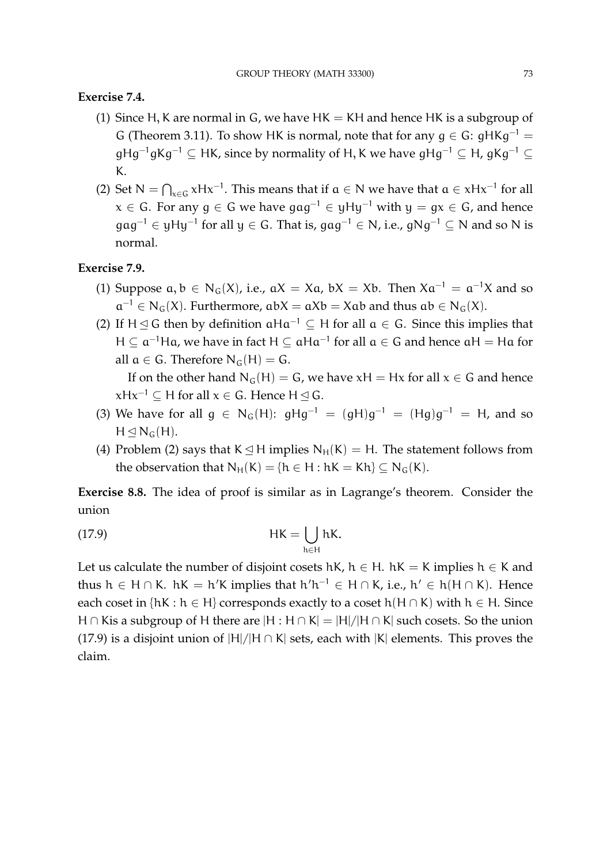## **Exercise 7.4.**

- (1) Since H, K are normal in G, we have  $HK = KH$  and hence HK is a subgroup of G (Theorem 3.11). To show HK is normal, note that for any  $q \in G$ :  $qHKq^{-1} =$  $gHg^{-1}gKg^{-1} \subseteq HK$ , since by normality of H, K we have  $gHg^{-1} \subseteq H$ ,  $gKg^{-1} \subseteq H$ K.
- (2) Set  $N = \bigcap_{x \in G} xHx^{-1}$ . This means that if  $a \in N$  we have that  $a \in xHx^{-1}$  for all  $x \in G$ . For any  $g \in G$  we have  $gag^{-1} \in yHy^{-1}$  with  $y = gx \in G$ , and hence gag $^{-1}$  ∈ yHy $^{-1}$  for all y ∈ G. That is, gag $^{-1}$  ∈ N, i.e., gNg $^{-1}$  ⊆ N and so N is normal.

# **Exercise 7.9.**

- (1) Suppose  $a, b \in N_G(X)$ , i.e.,  $aX = Xa$ ,  $bX = Xb$ . Then  $Xa^{-1} = a^{-1}X$  and so  $a^{-1} \in N_G(X)$ . Furthermore,  $abX = aXb = Xab$  and thus  $ab \in N_G(X)$ .
- (2) If H  $\leq$  G then by definition  $\alpha$ H $\alpha^{-1} \subseteq$  H for all  $\alpha \in G$ . Since this implies that  $H \subseteq a^{-1}$ Ha, we have in fact  $H \subseteq aHa^{-1}$  for all  $a \in G$  and hence  $aH = Ha$  for all  $a \in G$ . Therefore  $N_G(H) = G$ . If on the other hand  $N_G(H) = G$ , we have  $xH = Hx$  for all  $x \in G$  and hence

 $xHx^{-1} \subseteq H$  for all  $x \in G$ . Hence  $H \trianglelefteq G$ .

- (3) We have for all  $g \in N_G(H)$ :  $gHg^{-1} = (gH)g^{-1} = (Hg)g^{-1} = H$ , and so  $H \leq N_G(H)$ .
- (4) Problem (2) says that  $K \leq H$  implies  $N_H(K) = H$ . The statement follows from the observation that  $N_H(K) = \{h \in H : hK = Kh\} \subseteq N_G(K)$ .

**Exercise 8.8.** The idea of proof is similar as in Lagrange's theorem. Consider the union

(17.9) HK = [ h∈H hK.

Let us calculate the number of disjoint cosets hK,  $h \in H$ . hK = K implies  $h \in K$  and thus  $h \in H \cap K$ .  $hK = h'K$  implies that  $h'h^{-1} \in H \cap K$ , i.e.,  $h' \in h(H \cap K)$ . Hence each coset in  $\{ hK : h \in H \}$  corresponds exactly to a coset  $h(H \cap K)$  with  $h \in H$ . Since H ∩ Kis a subgroup of H there are  $|H : H \cap K| = |H|/|H \cap K|$  such cosets. So the union (17.9) is a disjoint union of  $|H|/|H \cap K|$  sets, each with  $|K|$  elements. This proves the claim.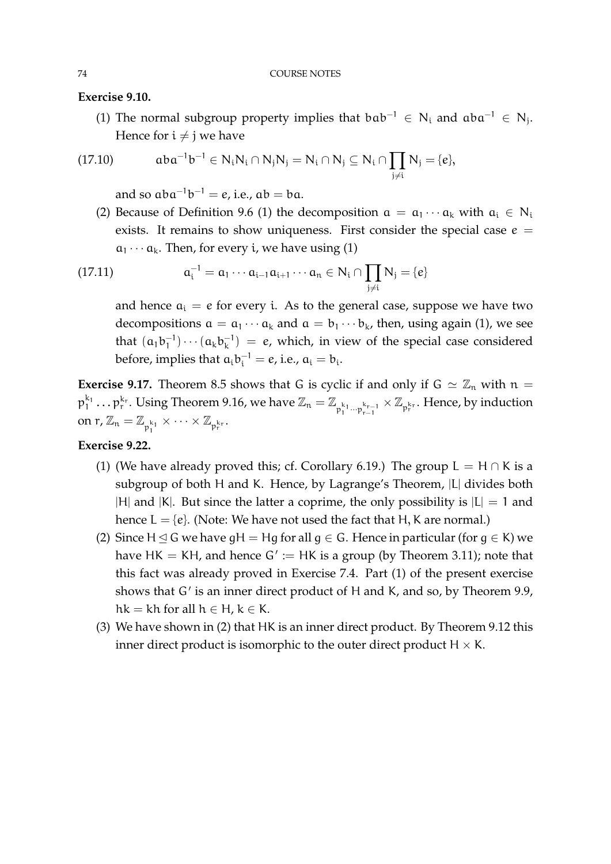**Exercise 9.10.**

(1) The normal subgroup property implies that  $bab^{-1} \in N_i$  and  $aba^{-1} \in N_j$ . Hence for  $i \neq j$  we have

$$
(17.10) \qquad \quad aba^{-1}b^{-1} \in N_iN_i \cap N_jN_j = N_i \cap N_j \subseteq N_i \cap \prod_{j \neq i} N_j = \{e\},
$$

and so  $aba^{-1}b^{-1} = e$ , i.e.,  $ab = ba$ .

(2) Because of Definition 9.6 (1) the decomposition  $a = a_1 \cdots a_k$  with  $a_i \in N_i$ exists. It remains to show uniqueness. First consider the special case  $e =$  $a_1 \cdots a_k$ . Then, for every *i*, we have using (1)

(17.11) 
$$
a_i^{-1} = a_1 \cdots a_{i-1} a_{i+1} \cdots a_n \in N_i \cap \prod_{j \neq i} N_j = \{e\}
$$

and hence  $a_i = e$  for every i. As to the general case, suppose we have two decompositions  $a = a_1 \cdots a_k$  and  $a = b_1 \cdots b_k$ , then, using again (1), we see that  $(a_1b_1^{-1})$  $\binom{-1}{1} \cdots \binom{}{} a_k b_k^{-1}$  $\binom{-1}{k}$  = e, which, in view of the special case considered before, implies that  $a_i b_i^{-1} = e$ , i.e.,  $a_i = b_i$ .

**Exercise 9.17.** Theorem 8.5 shows that G is cyclic if and only if  $G \simeq \mathbb{Z}_n$  with  $n =$  $\mathfrak{p}_1^{k_1}\ldots\mathfrak{p}_r^{k_r}$ . Using Theorem 9.16, we have  $\mathbb{Z}_n=\mathbb{Z}_{\mathfrak{p}_1^{k_1}\cdots\mathfrak{p}_{r-1}^{k_{r-1}}}\times\mathbb{Z}_{\mathfrak{p}_r^{k_r}}$ . Hence, by induction on  $r, \mathbb{Z}_n = \mathbb{Z}_{p_1^{k_1}} \times \cdots \times \mathbb{Z}_{p_r^{k_r}}.$ 

## **Exercise 9.22.**

- (1) (We have already proved this; cf. Corollary 6.19.) The group  $L = H \cap K$  is a subgroup of both H and K. Hence, by Lagrange's Theorem, |L| divides both |H| and |K|. But since the latter a coprime, the only possibility is  $|L| = 1$  and hence  $L = \{e\}$ . (Note: We have not used the fact that H, K are normal.)
- (2) Since H  $\leq$  G we have gH = Hg for all g  $\in$  G. Hence in particular (for g  $\in$  K) we have  $HK = KH$ , and hence  $G' := HK$  is a group (by Theorem 3.11); note that this fact was already proved in Exercise 7.4. Part (1) of the present exercise shows that G' is an inner direct product of H and K, and so, by Theorem 9.9, hk = kh for all  $h \in H$ ,  $k \in K$ .
- (3) We have shown in (2) that HK is an inner direct product. By Theorem 9.12 this inner direct product is isomorphic to the outer direct product  $H \times K$ .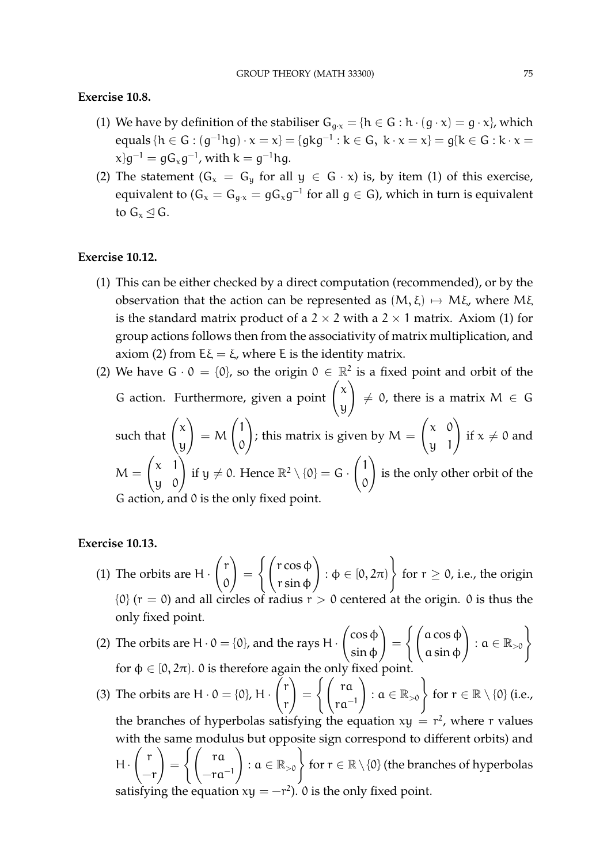## **Exercise 10.8.**

- (1) We have by definition of the stabiliser  $G_{g \cdot x} = \{h \in G : h \cdot (g \cdot x) = g \cdot x\}$ , which equals { $h \in G$  :  $(g^{-1}hg) \cdot x = x$ } = {gkg<sup>-1</sup> : k  $\in$  G, k  $\cdot$  x = x} = g{k  $\in$  G : k  $\cdot$  x =  $\langle \mathbf{x} \rangle$ g $^{-1} = \mathbf{g} \mathsf{G}_{\mathbf{x}} \mathbf{g}^{-1}$ , with  $\mathsf{k} = \mathsf{g}^{-1} \mathsf{h} \mathsf{g}.$
- (2) The statement  $(G_x = G_y \text{ for all } y \in G \cdot x)$  is, by item (1) of this exercise, equivalent to ( $\mathsf{G}_x=\mathsf{G}_{g\cdot x}=\mathsf{g}\mathsf{G}_x\mathsf{g}^{-1}$  for all  $\mathsf{g}\in\mathsf{G}$ ), which in turn is equivalent to  $G_x \triangleleft G$ .

## **Exercise 10.12.**

- (1) This can be either checked by a direct computation (recommended), or by the observation that the action can be represented as  $(M, \xi) \mapsto M\xi$ , where M $\xi$ is the standard matrix product of a  $2 \times 2$  with a  $2 \times 1$  matrix. Axiom (1) for group actions follows then from the associativity of matrix multiplication, and axiom (2) from  $E\xi = \xi$ , where E is the identity matrix.
- (2) We have  $G \cdot 0 = \{0\}$ , so the origin  $0 \in \mathbb{R}^2$  is a fixed point and orbit of the G action. Furthermore, given a point  $\begin{pmatrix} x \\ y \end{pmatrix}$ y  $\setminus$  $\neq$  0, there is a matrix  $M \in \mathsf{G}$ such that  $\int_0^{\infty}$ y  $\setminus$  $= M$  $\left(1\right)$  $\mathcal{O}$  $\setminus$ ; this matrix is given by  $M =$  $\begin{pmatrix} x & 0 \\ y & 1 \end{pmatrix}$ if  $x \neq 0$  and  $M =$  $\begin{pmatrix} x & 1 \\ y & 0 \end{pmatrix}$ if  $y \neq 0$ . Hence  $\mathbb{R}^2 \setminus \{0\} = G$ .  $\left(1\right)$  $\mathcal{O}$  $\setminus$ is the only other orbit of the G action, and 0 is the only fixed point.

#### **Exercise 10.13.**

- (1) The orbits are  $H \cdot$  $\int$ r  $\mathcal{O}$  $\setminus$ =  $\int$   $\int$  r cos  $\phi$ r sin φ  $\setminus$ :  $\varphi \in [0, 2\pi)$  $\mathcal{L}$ for  $r \geq 0$ , i.e., the origin  $\{0\}$  (r = 0) and all circles of radius r > 0 centered at the origin. 0 is thus the only fixed point.
- (2) The orbits are  $H \cdot 0 = \{0\}$ , and the rays H  $\cdot$  $\int$ cos φ sin φ  $\setminus$ =  $\int$   $\int$  a cos  $\phi$ a sin φ  $\Big\}$  :  $a \in \mathbb{R}_{>0}$ for  $\phi \in [0, 2\pi)$ . 0 is therefore again the only fixed point.
- (3) The orbits are  $H \cdot 0 = \{0\}$ , H  $\cdot$  $\int$ r r  $\setminus$ =  $\int \int r a$ ra<sup>−</sup><sup>1</sup>  $\Bigg)$  :  $a \in \mathbb{R}_{>0}$  for  $r \in \mathbb{R} \setminus \{0\}$  (i.e., the branches of hyperbolas satisfying the equation  $xy = r^2$ , where r values with the same modulus but opposite sign correspond to different orbits) and  $H \cdot$  $\int$  r  $-r$  $\setminus$ =  $\int \int$  ra  $-ra^{-1}$  $\Big) : \alpha \in \mathbb{R}_{>0}$  for  $r \in \mathbb{R} \setminus \{0\}$  (the branches of hyperbolas satisfying the equation  $xy = -r^2$ ). 0 is the only fixed point.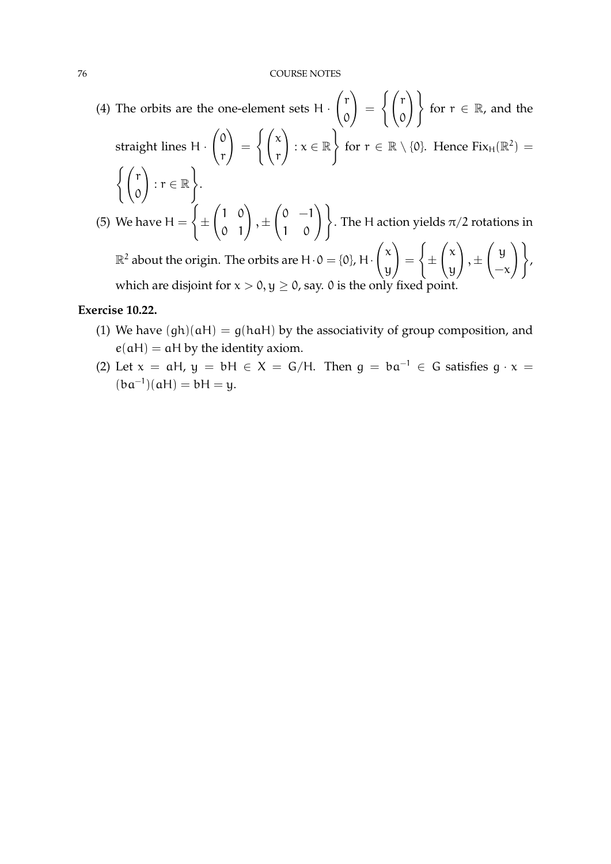(4) The orbits are the one-element sets  $H \cdot$  $\int$ r  $\mathcal{O}$  $\setminus$ =  $\int$  $\circ$  $\setminus$ for  $r \in \mathbb{R}$ , and the straight lines H ·  $\int$ r  $\setminus$ =  $\int$   $\int$   $\infty$ r  $\setminus$ :  $x \in \mathbb{R}$  $\mathcal{L}$ for  $r \in \mathbb{R} \setminus \{0\}$ . Hence  $Fix_H(\mathbb{R}^2) =$  $\int$   $\int$  r  $\mathcal{O}$  $\setminus$ :  $r \in \mathbb{R}$  $\mathcal{L}$ . (5) We have  $H =$  $\tilde{f}$ ±  $\begin{pmatrix} 1 & 0 \\ 0 & 1 \end{pmatrix}$  $, \pm$  $\begin{pmatrix} 0 & -1 \\ 1 & 0 \end{pmatrix}$ . The H action yields  $\pi/2$  rotations in  $\mathbb{R}^2$  about the origin. The orbits are H $\cdot$ 0 = {0}, H $\cdot$  $\int x$ y  $\setminus$ =  $\sqrt{ }$ ±  $\int x$ y  $\setminus$  $, \pm$  $\int y$  $-\chi$  $\setminus$ , which are disjoint for  $x > 0$ ,  $y \ge 0$ , say. 0 is the only fixed point.

## **Exercise 10.22.**

- (1) We have  $(qh)(aH) = q(haH)$  by the associativity of group composition, and  $e(aH) = aH$  by the identity axiom.
- (2) Let  $x = aH$ ,  $y = bH \in X = G/H$ . Then  $q = ba^{-1} \in G$  satisfies  $q \cdot x =$  $(ba^{-1})(aH) = bH = y.$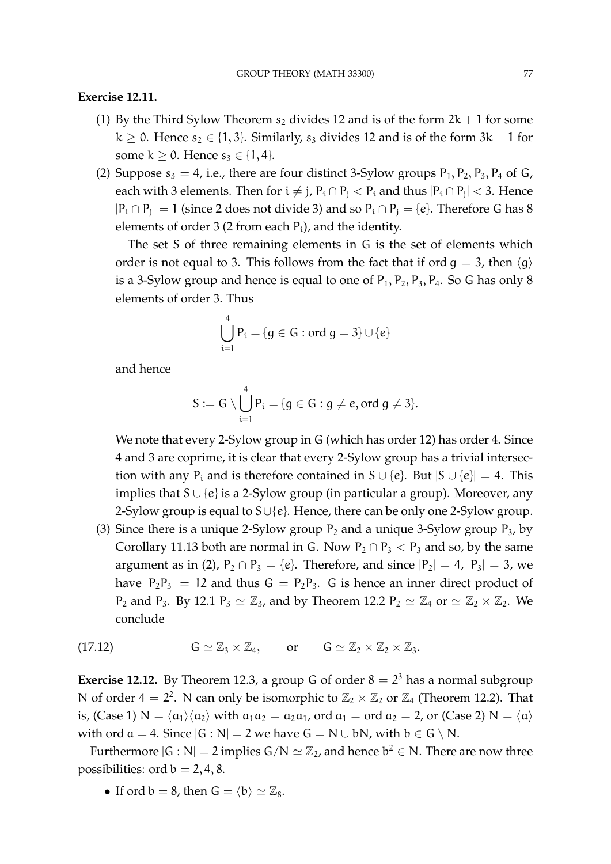## **Exercise 12.11.**

- (1) By the Third Sylow Theorem  $s_2$  divides 12 and is of the form  $2k + 1$  for some  $k \ge 0$ . Hence  $s_2 \in \{1,3\}$ . Similarly,  $s_3$  divides 12 and is of the form  $3k + 1$  for some  $k > 0$ . Hence  $s_3 \in \{1, 4\}$ .
- (2) Suppose  $s_3 = 4$ , i.e., there are four distinct 3-Sylow groups  $P_1$ ,  $P_2$ ,  $P_3$ ,  $P_4$  of G, each with 3 elements. Then for  $i \neq j$ ,  $P_i \cap P_j < P_i$  and thus  $|P_i \cap P_j| < 3$ . Hence  $|P_i \cap P_j| = 1$  (since 2 does not divide 3) and so  $P_i \cap P_j = \{e\}$ . Therefore G has 8 elements of order 3 (2 from each  $P_i$ ), and the identity.

The set S of three remaining elements in G is the set of elements which order is not equal to 3. This follows from the fact that if ord  $g = 3$ , then  $\langle g \rangle$ is a 3-Sylow group and hence is equal to one of  $P_1$ ,  $P_2$ ,  $P_3$ ,  $P_4$ . So G has only 8 elements of order 3. Thus

$$
\bigcup_{i=1}^{4} P_i = \{g \in G : ord \ g = 3\} \cup \{e\}
$$

and hence

$$
S:=G\setminus\bigcup_{i=1}^4 P_i=\{g\in G:g\neq e, \text{ord }g\neq 3\}.
$$

We note that every 2-Sylow group in G (which has order 12) has order 4. Since 4 and 3 are coprime, it is clear that every 2-Sylow group has a trivial intersection with any P<sub>i</sub> and is therefore contained in S ∪ {e}. But  $|S \cup \{e\}| = 4$ . This implies that  $S \cup \{e\}$  is a 2-Sylow group (in particular a group). Moreover, any 2-Sylow group is equal to  $S \cup \{e\}$ . Hence, there can be only one 2-Sylow group.

(3) Since there is a unique 2-Sylow group  $P_2$  and a unique 3-Sylow group  $P_3$ , by Corollary 11.13 both are normal in G. Now  $P_2 \cap P_3 < P_3$  and so, by the same argument as in (2),  $P_2 \cap P_3 = \{e\}$ . Therefore, and since  $|P_2| = 4$ ,  $|P_3| = 3$ , we have  $|P_2P_3| = 12$  and thus  $G = P_2P_3$ . G is hence an inner direct product of  $P_2$  and  $P_3$ . By 12.1  $P_3 \simeq \mathbb{Z}_3$ , and by Theorem 12.2  $P_2 \simeq \mathbb{Z}_4$  or  $\simeq \mathbb{Z}_2 \times \mathbb{Z}_2$ . We conclude

(17.12) 
$$
G \simeq \mathbb{Z}_3 \times \mathbb{Z}_4, \quad \text{or} \quad G \simeq \mathbb{Z}_2 \times \mathbb{Z}_2 \times \mathbb{Z}_3.
$$

**Exercise 12.12.** By Theorem 12.3, a group G of order  $8 = 2^3$  has a normal subgroup N of order  $4 = 2^2$ . N can only be isomorphic to  $\mathbb{Z}_2 \times \mathbb{Z}_2$  or  $\mathbb{Z}_4$  (Theorem 12.2). That is, (Case 1)  $N = \langle a_1 \rangle \langle a_2 \rangle$  with  $a_1a_2 = a_2a_1$ , ord  $a_1 = \text{ord } a_2 = 2$ , or (Case 2)  $N = \langle a \rangle$ with ord  $a = 4$ . Since  $|G : N| = 2$  we have  $G = N \cup bN$ , with  $b \in G \setminus N$ .

Furthermore  $|G:N|=2$  implies  $G/N \simeq \mathbb{Z}_2$ , and hence  $b^2 \in N$ . There are now three possibilities: ord  $b = 2, 4, 8$ .

• If ord  $b = 8$ , then  $G = \langle b \rangle \simeq \mathbb{Z}_8$ .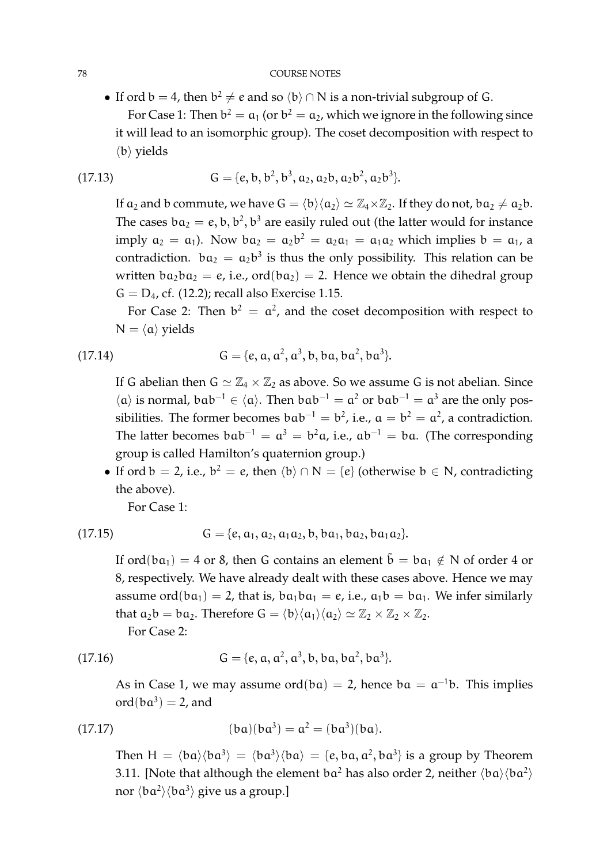#### 78 COURSE NOTES

• If ord  $b = 4$ , then  $b^2 \neq e$  and so  $\langle b \rangle \cap N$  is a non-trivial subgroup of G. For Case 1: Then  $b^2 = a_1$  (or  $b^2 = a_2$ , which we ignore in the following since it will lead to an isomorphic group). The coset decomposition with respect to  $\langle b \rangle$  yields

(17.13) 
$$
G = \{e, b, b^2, b^3, a_2, a_2b, a_2b^2, a_2b^3\}.
$$

If  $a_2$  and b commute, we have  $G = \langle b \rangle \langle a_2 \rangle \simeq \mathbb{Z}_4 \times \mathbb{Z}_2$ . If they do not,  $ba_2 \neq a_2b$ . The cases  $ba_2 = e$ ,  $b$ ,  $b^2$ ,  $b^3$  are easily ruled out (the latter would for instance imply  $a_2 = a_1$ ). Now  $ba_2 = a_2b^2 = a_2a_1 = a_1a_2$  which implies  $b = a_1$ , a contradiction.  $ba_2 = a_2b^3$  is thus the only possibility. This relation can be written  $ba_2ba_2 = e$ , i.e.,  $ord(ba_2) = 2$ . Hence we obtain the dihedral group  $G = D_4$ , cf. (12.2); recall also Exercise 1.15.

For Case 2: Then  $b^2 = a^2$ , and the coset decomposition with respect to  $N = \langle a \rangle$  yields

(17.14) 
$$
G = \{e, a, a^2, a^3, b, ba, ba^2, ba^3\}.
$$

If G abelian then  $G \simeq \mathbb{Z}_4 \times \mathbb{Z}_2$  as above. So we assume G is not abelian. Since  $\langle \alpha \rangle$  is normal, b $ab^{-1} \in \langle \alpha \rangle$ . Then  $bab^{-1} = \alpha^2$  or  $bab^{-1} = \alpha^3$  are the only possibilities. The former becomes  $bab^{-1} = b^2$ , i.e.,  $a = b^2 = a^2$ , a contradiction. The latter becomes  $bab^{-1} = a^3 = b^2a$ , i.e.,  $ab^{-1} = ba$ . (The corresponding group is called Hamilton's quaternion group.)

• If ord  $b = 2$ , i.e.,  $b^2 = e$ , then  $\langle b \rangle \cap N = \{e\}$  (otherwise  $b \in N$ , contradicting the above).

For Case 1:

(17.15) 
$$
G = \{e, a_1, a_2, a_1a_2, b, ba_1, ba_2, ba_1a_2\}.
$$

If ord(ba<sub>1</sub>) = 4 or 8, then G contains an element  $\tilde{b} = ba_1 \notin N$  of order 4 or 8, respectively. We have already dealt with these cases above. Hence we may assume ord(ba<sub>1</sub>) = 2, that is, ba<sub>1</sub>ba<sub>1</sub> = e, i.e.,  $a_1b = ba_1$ . We infer similarly that  $a_2b = ba_2$ . Therefore  $G = \langle b \rangle \langle a_1 \rangle \langle a_2 \rangle \simeq \mathbb{Z}_2 \times \mathbb{Z}_2 \times \mathbb{Z}_2$ . For Case 2:

(17.16) 
$$
G = \{e, a, a^2, a^3, b, ba, ba^2, ba^3\}.
$$

As in Case 1, we may assume  $ord(ba) = 2$ , hence  $ba = a^{-1}b$ . This implies  $ord(ba^3) = 2$ , and

(17.17) 
$$
(ba)(ba^3) = a^2 = (ba^3)(ba).
$$

Then  $H = \langle ba \rangle \langle ba^3 \rangle = \langle ba^3 \rangle \langle ba \rangle = \{e, ba, a^2, ba^3\}$  is a group by Theorem 3.11. [Note that although the element b $\mathfrak{a}^2$  has also order 2, neither  $\langle \mathfrak{b} \mathfrak{a} \rangle \langle \mathfrak{b} \mathfrak{a}^2 \rangle$ nor  $\langle$ b $a^{2}\rangle\langle$ b $a^{3}\rangle$  give us a group.]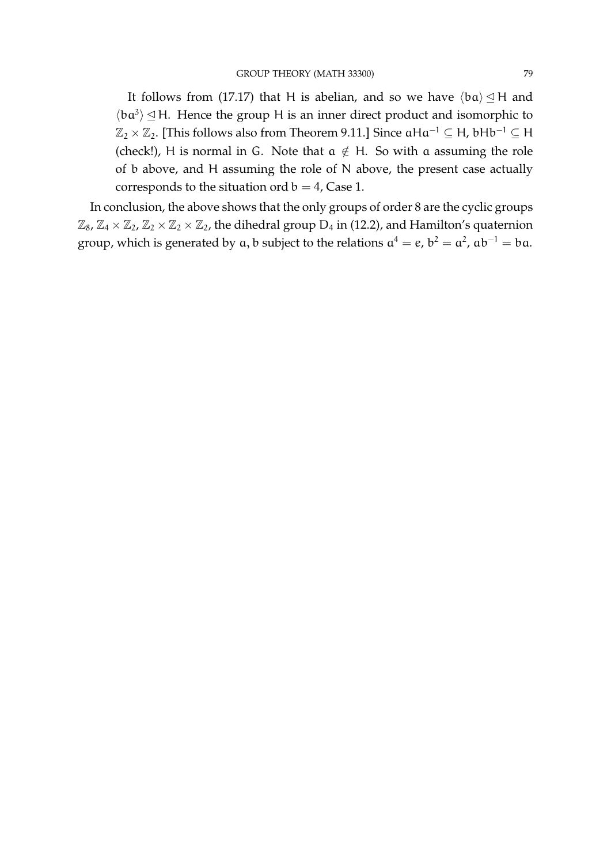It follows from (17.17) that H is abelian, and so we have  $\langle ba \rangle \leq H$  and  $\langle ba^3 \rangle \trianglelefteq H$ . Hence the group H is an inner direct product and isomorphic to  $\mathbb{Z}_2 \times \mathbb{Z}_2$ . [This follows also from Theorem 9.11.] Since  $\alpha Ha^{-1} \subseteq H$ , bHb<sup>-1</sup> ⊆ H (check!), H is normal in G. Note that  $a \notin H$ . So with a assuming the role of b above, and H assuming the role of N above, the present case actually corresponds to the situation ord  $b = 4$ , Case 1.

In conclusion, the above shows that the only groups of order 8 are the cyclic groups  $\mathbb{Z}_8$ ,  $\mathbb{Z}_4 \times \mathbb{Z}_2$ ,  $\mathbb{Z}_2 \times \mathbb{Z}_2 \times \mathbb{Z}_2$ , the dihedral group  $D_4$  in (12.2), and Hamilton's quaternion group, which is generated by  $a, b$  subject to the relations  $a^4 = e$ ,  $b^2 = a^2$ ,  $ab^{-1} = ba$ .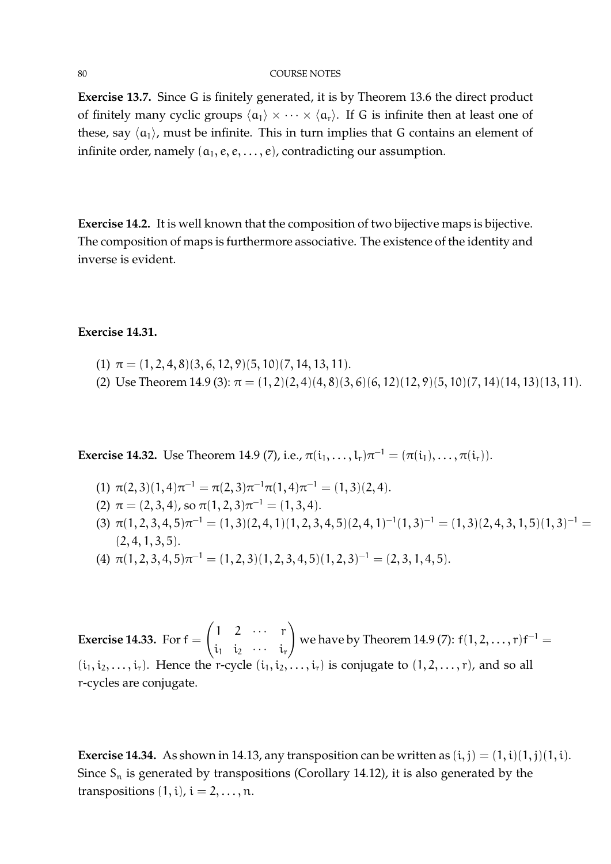#### 80 COURSE NOTES

**Exercise 13.7.** Since G is finitely generated, it is by Theorem 13.6 the direct product of finitely many cyclic groups  $\langle \alpha_1 \rangle \times \cdots \times \langle \alpha_r \rangle$ . If G is infinite then at least one of these, say  $\langle \alpha_1 \rangle$ , must be infinite. This in turn implies that G contains an element of infinite order, namely  $(a_1, e, e, \ldots, e)$ , contradicting our assumption.

**Exercise 14.2.** It is well known that the composition of two bijective maps is bijective. The composition of maps is furthermore associative. The existence of the identity and inverse is evident.

# **Exercise 14.31.**

- (1)  $\pi = (1, 2, 4, 8)(3, 6, 12, 9)(5, 10)(7, 14, 13, 11).$
- (2) Use Theorem 14.9 (3):  $\pi = (1, 2)(2, 4)(4, 8)(3, 6)(6, 12)(12, 9)(5, 10)(7, 14)(14, 13)(13, 11)$ .

**Exercise 14.32.** Use Theorem 14.9 (7), i.e.,  $\pi(i_1, \ldots, i_r) \pi^{-1} = (\pi(i_1), \ldots, \pi(i_r)).$ 

- (1)  $\pi(2,3)(1,4)\pi^{-1} = \pi(2,3)\pi^{-1}\pi(1,4)\pi^{-1} = (1,3)(2,4).$
- (2)  $\pi = (2, 3, 4)$ , so  $\pi(1, 2, 3)\pi^{-1} = (1, 3, 4)$ .
- (3)  $\pi(1, 2, 3, 4, 5)\pi^{-1} = (1, 3)(2, 4, 1)(1, 2, 3, 4, 5)(2, 4, 1)^{-1}(1, 3)^{-1} = (1, 3)(2, 4, 3, 1, 5)(1, 3)^{-1} =$  $(2, 4, 1, 3, 5).$
- (4)  $\pi(1, 2, 3, 4, 5)\pi^{-1} = (1, 2, 3)(1, 2, 3, 4, 5)(1, 2, 3)^{-1} = (2, 3, 1, 4, 5).$

**Exercise 14.33.** For  $f =$  $\begin{pmatrix} 1 & 2 & \cdots & r \end{pmatrix}$  $i_1$   $i_2$   $\cdots$   $i_r$  $\setminus$ we have by Theorem 14.9 (7):  $f(1,2,\ldots,r)f^{-1}=$  $(i_1, i_2, \ldots, i_r)$ . Hence the r-cycle  $(i_1, i_2, \ldots, i_r)$  is conjugate to  $(1, 2, \ldots, r)$ , and so all r-cycles are conjugate.

**Exercise 14.34.** As shown in 14.13, any transposition can be written as  $(i, j) = (1, i)(1, j)(1, i)$ . Since  $S_n$  is generated by transpositions (Corollary 14.12), it is also generated by the transpositions  $(1, i)$ ,  $i = 2, \ldots, n$ .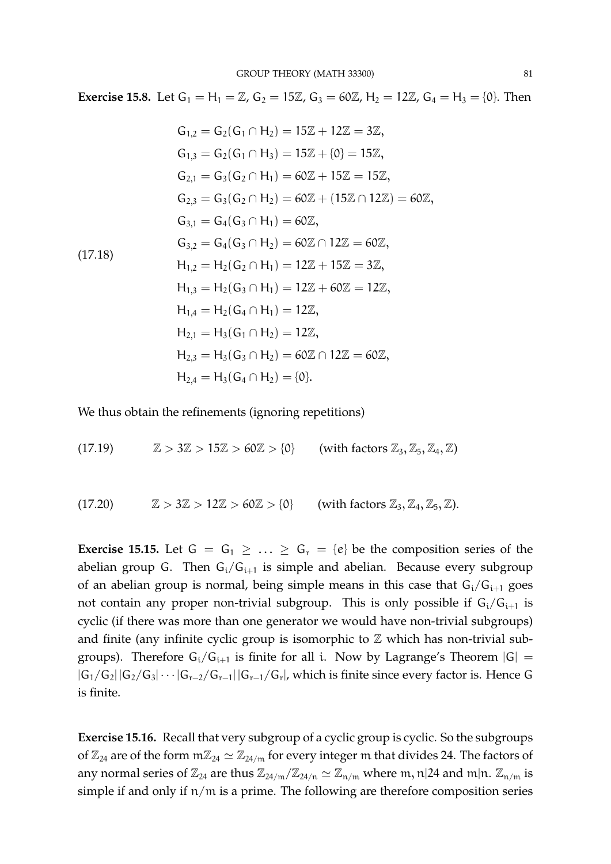**Exercise 15.8.** Let  $G_1 = H_1 = \mathbb{Z}$ ,  $G_2 = 15\mathbb{Z}$ ,  $G_3 = 60\mathbb{Z}$ ,  $H_2 = 12\mathbb{Z}$ ,  $G_4 = H_3 = \{0\}$ . Then

$$
G_{1,2} = G_2(G_1 \cap H_2) = 15\mathbb{Z} + 12\mathbb{Z} = 3\mathbb{Z},
$$
  
\n
$$
G_{1,3} = G_2(G_1 \cap H_3) = 15\mathbb{Z} + \{0\} = 15\mathbb{Z},
$$
  
\n
$$
G_{2,1} = G_3(G_2 \cap H_1) = 60\mathbb{Z} + 15\mathbb{Z} = 15\mathbb{Z},
$$
  
\n
$$
G_{2,3} = G_3(G_2 \cap H_2) = 60\mathbb{Z} + (15\mathbb{Z} \cap 12\mathbb{Z}) = 60\mathbb{Z},
$$
  
\n
$$
G_{3,1} = G_4(G_3 \cap H_1) = 60\mathbb{Z},
$$
  
\n
$$
G_{3,2} = G_4(G_3 \cap H_2) = 60\mathbb{Z} \cap 12\mathbb{Z} = 60\mathbb{Z},
$$
  
\n
$$
H_{1,2} = H_2(G_2 \cap H_1) = 12\mathbb{Z} + 15\mathbb{Z} = 3\mathbb{Z},
$$
  
\n
$$
H_{1,3} = H_2(G_3 \cap H_1) = 12\mathbb{Z} + 60\mathbb{Z} = 12\mathbb{Z},
$$
  
\n
$$
H_{1,4} = H_2(G_4 \cap H_1) = 12\mathbb{Z},
$$
  
\n
$$
H_{2,1} = H_3(G_1 \cap H_2) = 12\mathbb{Z},
$$
  
\n
$$
H_{2,3} = H_3(G_3 \cap H_2) = 60\mathbb{Z} \cap 12\mathbb{Z} = 60\mathbb{Z},
$$
  
\n
$$
H_{2,4} = H_3(G_4 \cap H_2) = \{0\}.
$$

We thus obtain the refinements (ignoring repetitions)

(17.19)  $\mathbb{Z} > 3\mathbb{Z} > 15\mathbb{Z} > 60\mathbb{Z} > \{0\}$  (with factors  $\mathbb{Z}_3$ ,  $\mathbb{Z}_5$ ,  $\mathbb{Z}_4$ ,  $\mathbb{Z}$ )

(17.20) 
$$
\mathbb{Z} > 3\mathbb{Z} > 12\mathbb{Z} > 60\mathbb{Z} > \{0\}
$$
 (with factors  $\mathbb{Z}_3, \mathbb{Z}_4, \mathbb{Z}_5, \mathbb{Z}$ ).

**Exercise 15.15.** Let  $G = G_1 \geq ... \geq G_r = \{e\}$  be the composition series of the abelian group G. Then  $G_i/G_{i+1}$  is simple and abelian. Because every subgroup of an abelian group is normal, being simple means in this case that  $G_i/G_{i+1}$  goes not contain any proper non-trivial subgroup. This is only possible if  $G_i/G_{i+1}$  is cyclic (if there was more than one generator we would have non-trivial subgroups) and finite (any infinite cyclic group is isomorphic to  $\mathbb Z$  which has non-trivial subgroups). Therefore  $G_i/G_{i+1}$  is finite for all i. Now by Lagrange's Theorem  $|G| =$  $|G_1/G_2||G_2/G_3|\cdots|G_{r-2}/G_{r-1}||G_{r-1}/G_r|$ , which is finite since every factor is. Hence G is finite.

**Exercise 15.16.** Recall that very subgroup of a cyclic group is cyclic. So the subgroups of  $\mathbb{Z}_{24}$  are of the form  $m\mathbb{Z}_{24} \simeq \mathbb{Z}_{24/m}$  for every integer m that divides 24. The factors of any normal series of  $\mathbb{Z}_{24}$  are thus  $\mathbb{Z}_{24/m}/\mathbb{Z}_{24/n} \simeq \mathbb{Z}_{n/m}$  where m, n|24 and m|n.  $\mathbb{Z}_{n/m}$  is simple if and only if  $n/m$  is a prime. The following are therefore composition series